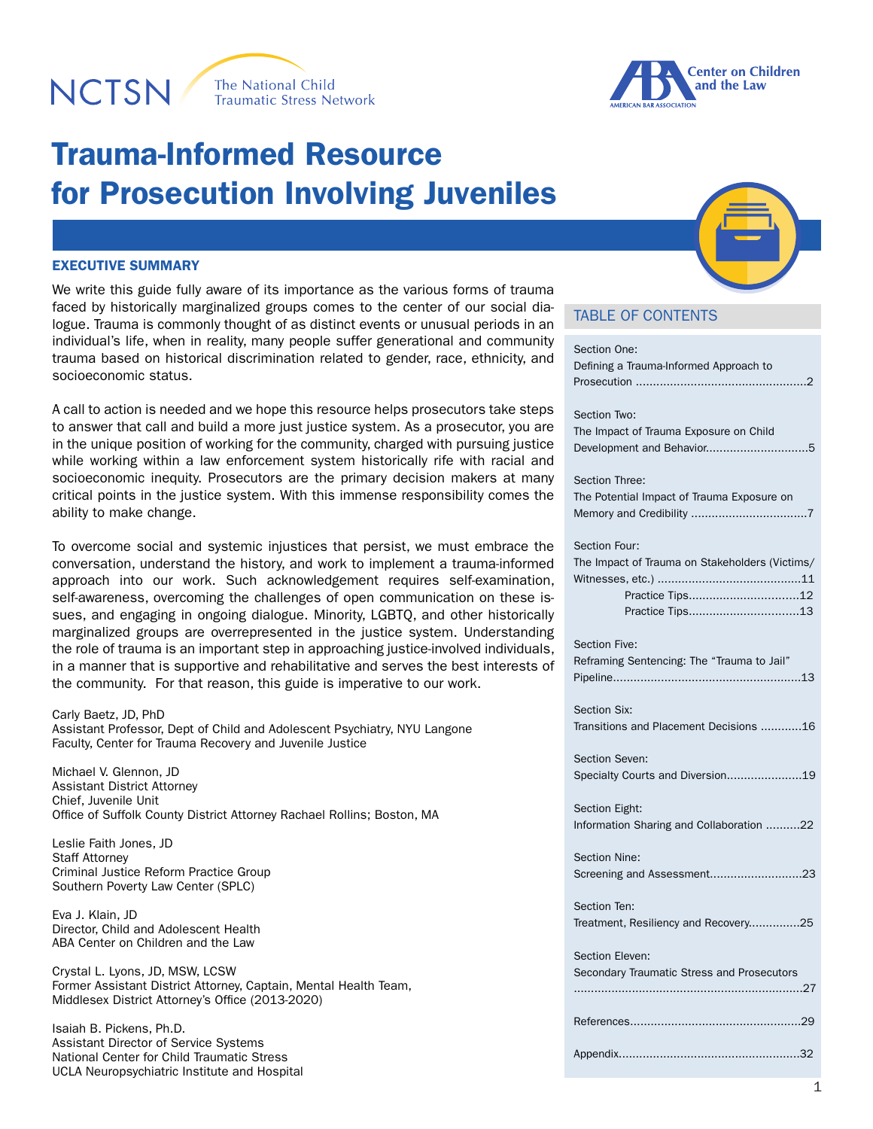# **NCTSN**





## Trauma-Informed Resource for Prosecution Involving Juveniles

#### EXECUTIVE SUMMARY

We write this guide fully aware of its importance as the various forms of trauma faced by historically marginalized groups comes to the center of our social dialogue. Trauma is commonly thought of as distinct events or unusual periods in an individual's life, when in reality, many people suffer generational and community trauma based on historical discrimination related to gender, race, ethnicity, and socioeconomic status.

A call to action is needed and we hope this resource helps prosecutors take steps to answer that call and build a more just justice system. As a prosecutor, you are in the unique position of working for the community, charged with pursuing justice while working within a law enforcement system historically rife with racial and socioeconomic inequity. Prosecutors are the primary decision makers at many critical points in the justice system. With this immense responsibility comes the ability to make change.

To overcome social and systemic injustices that persist, we must embrace the conversation, understand the history, and work to implement a trauma-informed approach into our work. Such acknowledgement requires self-examination, self-awareness, overcoming the challenges of open communication on these issues, and engaging in ongoing dialogue. Minority, LGBTQ, and other historically marginalized groups are overrepresented in the justice system. Understanding the role of trauma is an important step in approaching justice-involved individuals, in a manner that is supportive and rehabilitative and serves the best interests of the community. For that reason, this guide is imperative to our work.

Carly Baetz, JD, PhD Assistant Professor, Dept of Child and Adolescent Psychiatry, NYU Langone Faculty, Center for Trauma Recovery and Juvenile Justice

Michael V. Glennon, JD Assistant District Attorney Chief, Juvenile Unit Office of Suffolk County District Attorney Rachael Rollins; Boston, MA

Leslie Faith Jones, JD Staff Attorney Criminal Justice Reform Practice Group Southern Poverty Law Center (SPLC)

Eva J. Klain, JD Director, Child and Adolescent Health ABA Center on Children and the Law

Crystal L. Lyons, JD, MSW, LCSW Former Assistant District Attorney, Captain, Mental Health Team, Middlesex District Attorney's Office (2013-2020)

Isaiah B. Pickens, Ph.D. Assistant Director of Service Systems National Center for Child Traumatic Stress UCLA Neuropsychiatric Institute and Hospital

## TABLE OF CONTENTS

| Section One:<br>Defining a Trauma-Informed Approach to                             |
|------------------------------------------------------------------------------------|
| Section Two:<br>The Impact of Trauma Exposure on Child                             |
| Section Three:<br>The Potential Impact of Trauma Exposure on                       |
| Section Four:<br>The Impact of Trauma on Stakeholders (Victims/<br>Practice Tips12 |
| <b>Section Five:</b><br>Reframing Sentencing: The "Trauma to Jail"                 |
| Section Six:<br>Transitions and Placement Decisions 16                             |
| Section Seven:<br>Specialty Courts and Diversion19                                 |
| Section Eight:<br>Information Sharing and Collaboration 22                         |
| <b>Section Nine:</b><br>Screening and Assessment23                                 |
| Section Ten:<br>Treatment, Resiliency and Recovery25                               |
| Section Eleven:<br>Secondary Traumatic Stress and Prosecutors                      |
|                                                                                    |
|                                                                                    |

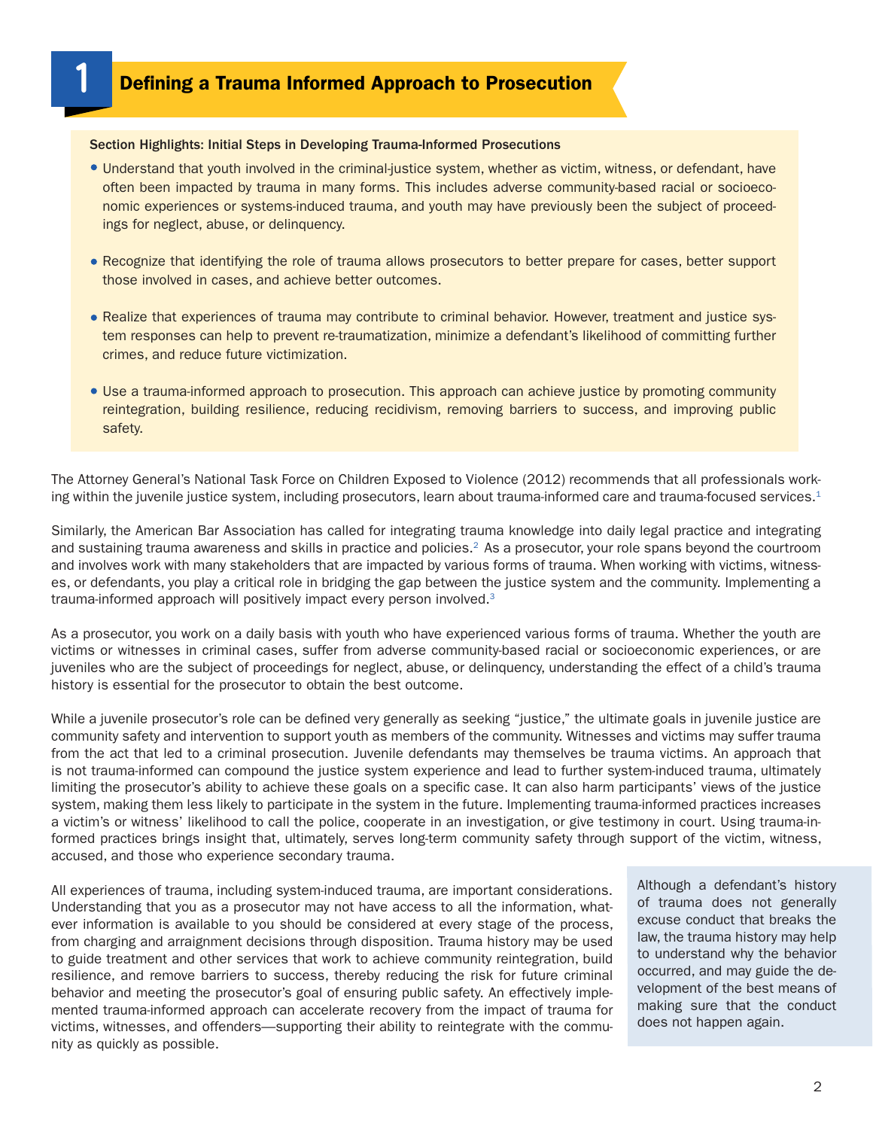## Defining a Trauma Informed Approach to Prosecution

#### Section Highlights: Initial Steps in Developing Trauma-Informed Prosecutions

**1**

- Understand that youth involved in the criminal-justice system, whether as victim, witness, or defendant, have often been impacted by trauma in many forms. This includes adverse community-based racial or socioeconomic experiences or systems-induced trauma, and youth may have previously been the subject of proceedings for neglect, abuse, or delinquency.
- Recognize that identifying the role of trauma allows prosecutors to better prepare for cases, better support those involved in cases, and achieve better outcomes.
- Realize that experiences of trauma may contribute to criminal behavior. However, treatment and justice system responses can help to prevent re-traumatization, minimize a defendant's likelihood of committing further crimes, and reduce future victimization.
- Use a trauma-informed approach to prosecution. This approach can achieve justice by promoting community reintegration, building resilience, reducing recidivism, removing barriers to success, and improving public safety.

The Attorney General's National Task Force on Children Exposed to Violence (2012) recommends that all professionals working within the juvenile justice system, including prosecutors, learn about trauma-informed care and trauma-focused services. $1$ 

Similarly, the American Bar Association has called for integrating trauma knowledge into daily legal practice and integrating and sustaining trauma awareness and skills in practice and policies.<sup>2</sup> As a prosecutor, your role spans beyond the courtroom and involves work with many stakeholders that are impacted by various forms of trauma. When working with victims, witnesses, or defendants, you play a critical role in bridging the gap between the justice system and the community. Implementing a trauma-informed approach will positively impact every person involved.3

As a prosecutor, you work on a daily basis with youth who have experienced various forms of trauma. Whether the youth are victims or witnesses in criminal cases, suffer from adverse community-based racial or socioeconomic experiences, or are juveniles who are the subject of proceedings for neglect, abuse, or delinquency, understanding the effect of a child's trauma history is essential for the prosecutor to obtain the best outcome.

While a juvenile prosecutor's role can be defined very generally as seeking "justice," the ultimate goals in juvenile justice are community safety and intervention to support youth as members of the community. Witnesses and victims may suffer trauma from the act that led to a criminal prosecution. Juvenile defendants may themselves be trauma victims. An approach that is not trauma-informed can compound the justice system experience and lead to further system-induced trauma, ultimately limiting the prosecutor's ability to achieve these goals on a specific case. It can also harm participants' views of the justice system, making them less likely to participate in the system in the future. Implementing trauma-informed practices increases a victim's or witness' likelihood to call the police, cooperate in an investigation, or give testimony in court. Using trauma-informed practices brings insight that, ultimately, serves long-term community safety through support of the victim, witness, accused, and those who experience secondary trauma.

All experiences of trauma, including system-induced trauma, are important considerations. Understanding that you as a prosecutor may not have access to all the information, whatever information is available to you should be considered at every stage of the process, from charging and arraignment decisions through disposition. Trauma history may be used to guide treatment and other services that work to achieve community reintegration, build resilience, and remove barriers to success, thereby reducing the risk for future criminal behavior and meeting the prosecutor's goal of ensuring public safety. An effectively implemented trauma-informed approach can accelerate recovery from the impact of trauma for victims, witnesses, and offenders—supporting their ability to reintegrate with the community as quickly as possible.

Although a defendant's history of trauma does not generally excuse conduct that breaks the law, the trauma history may help to understand why the behavior occurred, and may guide the development of the best means of making sure that the conduct does not happen again.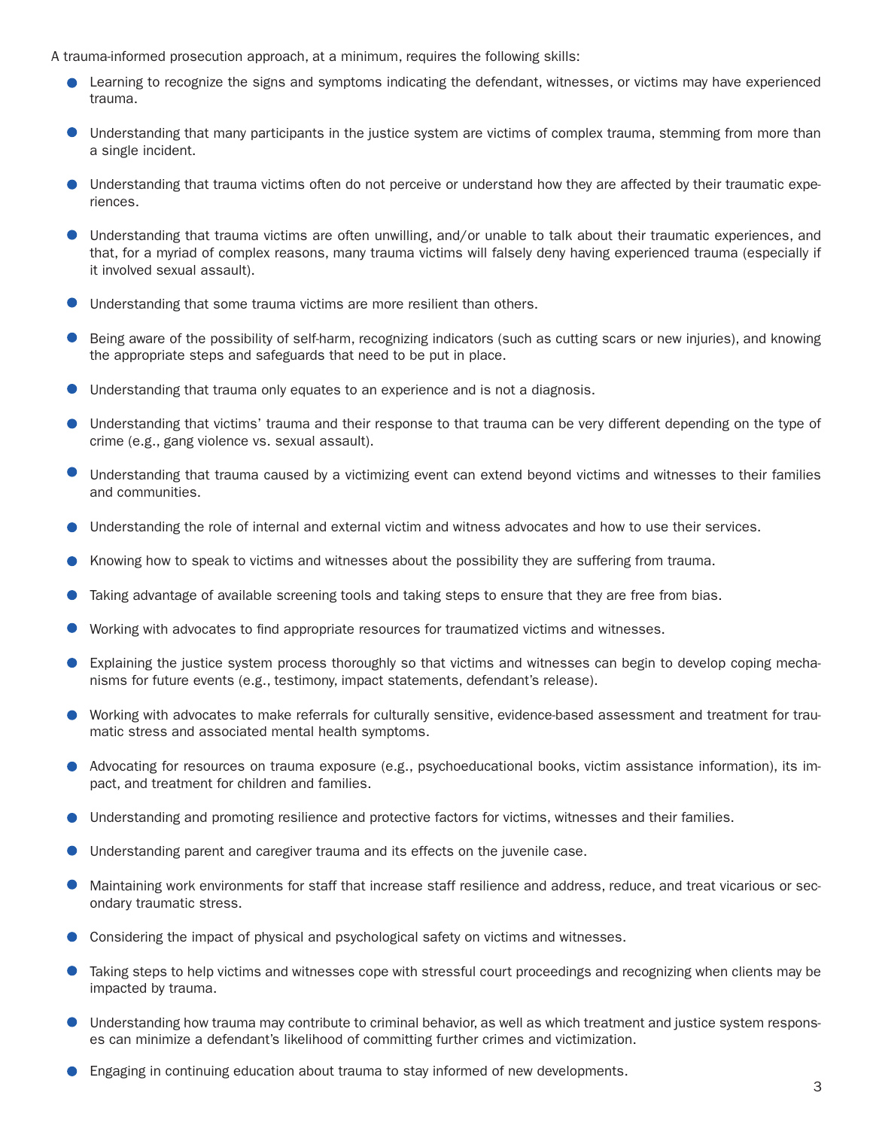A trauma-informed prosecution approach, at a minimum, requires the following skills:

- **•** Learning to recognize the signs and symptoms indicating the defendant, witnesses, or victims may have experienced trauma.
- Understanding that many participants in the justice system are victims of complex trauma, stemming from more than a single incident.
- Understanding that trauma victims often do not perceive or understand how they are affected by their traumatic experiences.
- Understanding that trauma victims are often unwilling, and/or unable to talk about their traumatic experiences, and that, for a myriad of complex reasons, many trauma victims will falsely deny having experienced trauma (especially if it involved sexual assault).
- Understanding that some trauma victims are more resilient than others.
- Being aware of the possibility of self-harm, recognizing indicators (such as cutting scars or new injuries), and knowing the appropriate steps and safeguards that need to be put in place.
- $\bullet$ Understanding that trauma only equates to an experience and is not a diagnosis.
- Understanding that victims' trauma and their response to that trauma can be very different depending on the type of crime (e.g., gang violence vs. sexual assault).
- Understanding that trauma caused by a victimizing event can extend beyond victims and witnesses to their families and communities.
- Understanding the role of internal and external victim and witness advocates and how to use their services.
- Knowing how to speak to victims and witnesses about the possibility they are suffering from trauma.
- Taking advantage of available screening tools and taking steps to ensure that they are free from bias.
- Working with advocates to find appropriate resources for traumatized victims and witnesses.
- Explaining the justice system process thoroughly so that victims and witnesses can begin to develop coping mechanisms for future events (e.g., testimony, impact statements, defendant's release).
- Working with advocates to make referrals for culturally sensitive, evidence-based assessment and treatment for traumatic stress and associated mental health symptoms.
- Advocating for resources on trauma exposure (e.g., psychoeducational books, victim assistance information), its impact, and treatment for children and families.
- Understanding and promoting resilience and protective factors for victims, witnesses and their families.
- Understanding parent and caregiver trauma and its effects on the juvenile case.
- Maintaining work environments for staff that increase staff resilience and address, reduce, and treat vicarious or secondary traumatic stress.
- Considering the impact of physical and psychological safety on victims and witnesses.
- Taking steps to help victims and witnesses cope with stressful court proceedings and recognizing when clients may be impacted by trauma.
- Understanding how trauma may contribute to criminal behavior, as well as which treatment and justice system responses can minimize a defendant's likelihood of committing further crimes and victimization.
- Engaging in continuing education about trauma to stay informed of new developments.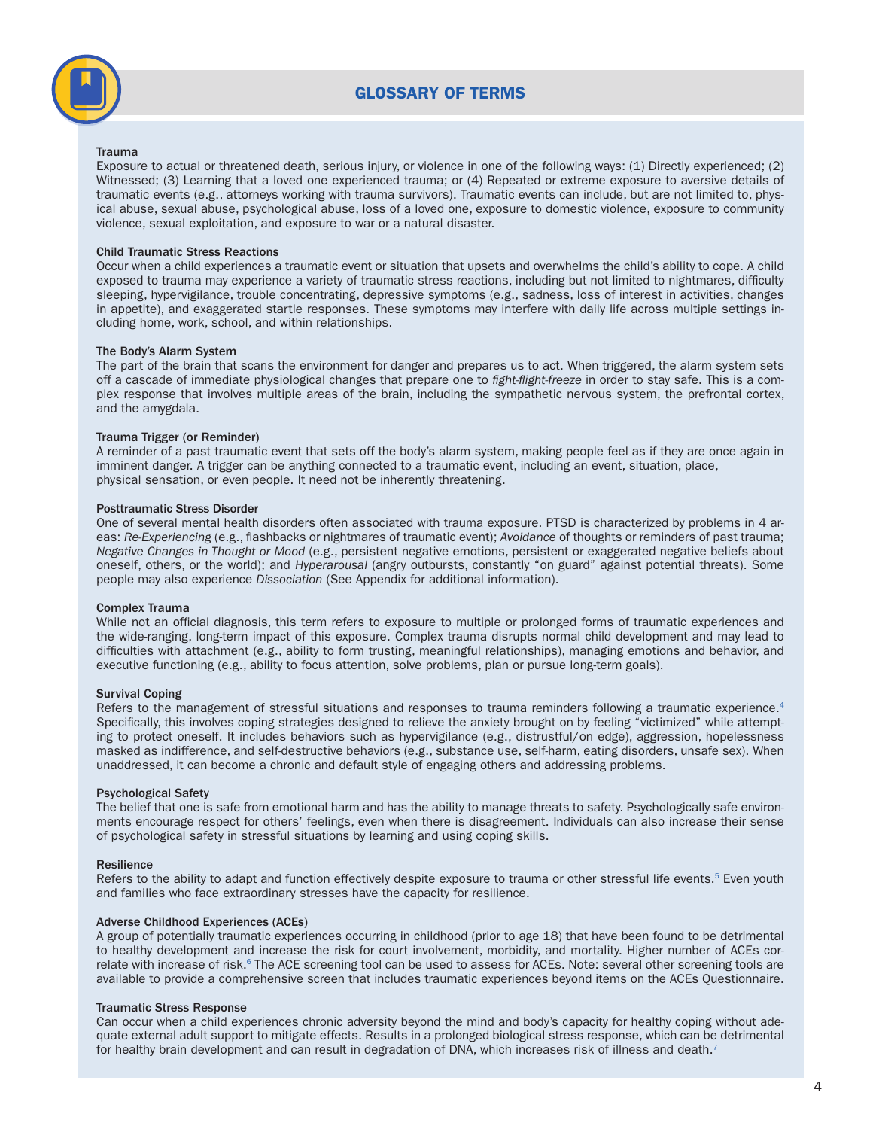

## GLOSSARY OF TERMS

#### Trauma

Exposure to actual or threatened death, serious injury, or violence in one of the following ways: (1) Directly experienced; (2) Witnessed; (3) Learning that a loved one experienced trauma; or (4) Repeated or extreme exposure to aversive details of traumatic events (e.g., attorneys working with trauma survivors). Traumatic events can include, but are not limited to, physical abuse, sexual abuse, psychological abuse, loss of a loved one, exposure to domestic violence, exposure to community violence, sexual exploitation, and exposure to war or a natural disaster.

#### Child Traumatic Stress Reactions

Occur when a child experiences a traumatic event or situation that upsets and overwhelms the child's ability to cope. A child exposed to trauma may experience a variety of traumatic stress reactions, including but not limited to nightmares, difficulty sleeping, hypervigilance, trouble concentrating, depressive symptoms (e.g., sadness, loss of interest in activities, changes in appetite), and exaggerated startle responses. These symptoms may interfere with daily life across multiple settings including home, work, school, and within relationships.

#### The Body's Alarm System

The part of the brain that scans the environment for danger and prepares us to act. When triggered, the alarm system sets off a cascade of immediate physiological changes that prepare one to *fight-flight-freeze* in order to stay safe. This is a complex response that involves multiple areas of the brain, including the sympathetic nervous system, the prefrontal cortex, and the amygdala.

#### Trauma Trigger (or Reminder)

A reminder of a past traumatic event that sets off the body's alarm system, making people feel as if they are once again in imminent danger. A trigger can be anything connected to a traumatic event, including an event, situation, place, physical sensation, or even people. It need not be inherently threatening.

#### Posttraumatic Stress Disorder

One of several mental health disorders often associated with trauma exposure. PTSD is characterized by problems in 4 areas: *Re-Experiencing* (e.g., flashbacks or nightmares of traumatic event); *Avoidance* of thoughts or reminders of past trauma; *Negative Changes in Thought or Mood* (e.g., persistent negative emotions, persistent or exaggerated negative beliefs about oneself, others, or the world); and *Hyperarousal* (angry outbursts, constantly "on guard" against potential threats). Some people may also experience *Dissociation* (See Appendix for additional information).

#### Complex Trauma

While not an official diagnosis, this term refers to exposure to multiple or prolonged forms of traumatic experiences and the wide-ranging, long-term impact of this exposure. Complex trauma disrupts normal child development and may lead to difficulties with attachment (e.g., ability to form trusting, meaningful relationships), managing emotions and behavior, and executive functioning (e.g., ability to focus attention, solve problems, plan or pursue long-term goals).

#### Survival Coping

Refers to the management of stressful situations and responses to trauma reminders following a traumatic experience.<sup>4</sup> Specifically, this involves coping strategies designed to relieve the anxiety brought on by feeling "victimized" while attempting to protect oneself. It includes behaviors such as hypervigilance (e.g., distrustful/on edge), aggression, hopelessness masked as indifference, and self-destructive behaviors (e.g., substance use, self-harm, eating disorders, unsafe sex). When unaddressed, it can become a chronic and default style of engaging others and addressing problems.

#### Psychological Safety

The belief that one is safe from emotional harm and has the ability to manage threats to safety. Psychologically safe environments encourage respect for others' feelings, even when there is disagreement. Individuals can also increase their sense of psychological safety in stressful situations by learning and using coping skills.

#### Resilience

Refers to the ability to adapt and function effectively despite exposure to trauma or other stressful life events.<sup>5</sup> Even youth and families who face extraordinary stresses have the capacity for resilience.

#### Adverse Childhood Experiences (ACEs)

A group of potentially traumatic experiences occurring in childhood (prior to age 18) that have been found to be detrimental to healthy development and increase the risk for court involvement, morbidity, and mortality. Higher number of ACEs correlate with increase of risk.<sup>6</sup> The ACE screening tool can be used to assess for ACEs. Note: several other screening tools are available to provide a comprehensive screen that includes traumatic experiences beyond items on the ACEs Questionnaire.

#### Traumatic Stress Response

Can occur when a child experiences chronic adversity beyond the mind and body's capacity for healthy coping without adequate external adult support to mitigate effects. Results in a prolonged biological stress response, which can be detrimental for healthy brain development and can result in degradation of DNA, which increases risk of illness and death.<sup>7</sup>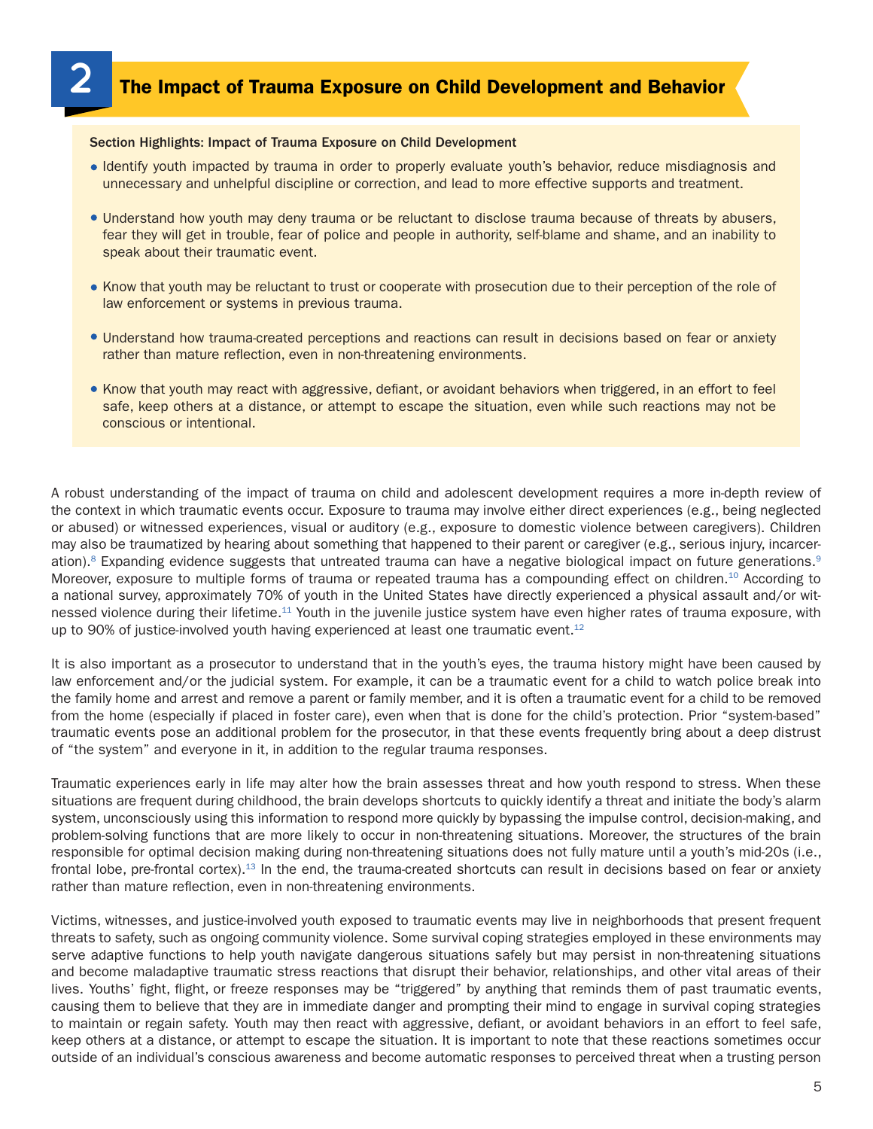#### Section Highlights: Impact of Trauma Exposure on Child Development

- Identify youth impacted by trauma in order to properly evaluate youth's behavior, reduce misdiagnosis and unnecessary and unhelpful discipline or correction, and lead to more effective supports and treatment.
- Understand how youth may deny trauma or be reluctant to disclose trauma because of threats by abusers, fear they will get in trouble, fear of police and people in authority, self-blame and shame, and an inability to speak about their traumatic event.
- Know that youth may be reluctant to trust or cooperate with prosecution due to their perception of the role of law enforcement or systems in previous trauma.
- Understand how trauma-created perceptions and reactions can result in decisions based on fear or anxiety rather than mature reflection, even in non-threatening environments.
- Know that youth may react with aggressive, defiant, or avoidant behaviors when triggered, in an effort to feel safe, keep others at a distance, or attempt to escape the situation, even while such reactions may not be conscious or intentional.

A robust understanding of the impact of trauma on child and adolescent development requires a more in-depth review of the context in which traumatic events occur. Exposure to trauma may involve either direct experiences (e.g., being neglected or abused) or witnessed experiences, visual or auditory (e.g., exposure to domestic violence between caregivers). Children may also be traumatized by hearing about something that happened to their parent or caregiver (e.g., serious injury, incarceration).<sup>8</sup> Expanding evidence suggests that untreated trauma can have a negative biological impact on future generations.<sup>9</sup> Moreover, exposure to multiple forms of trauma or repeated trauma has a compounding effect on children.<sup>10</sup> According to a national survey, approximately 70% of youth in the United States have directly experienced a physical assault and/or witnessed violence during their lifetime.11 Youth in the juvenile justice system have even higher rates of trauma exposure, with up to 90% of justice-involved youth having experienced at least one traumatic event.<sup>12</sup>

It is also important as a prosecutor to understand that in the youth's eyes, the trauma history might have been caused by law enforcement and/or the judicial system. For example, it can be a traumatic event for a child to watch police break into the family home and arrest and remove a parent or family member, and it is often a traumatic event for a child to be removed from the home (especially if placed in foster care), even when that is done for the child's protection. Prior "system-based" traumatic events pose an additional problem for the prosecutor, in that these events frequently bring about a deep distrust of "the system" and everyone in it, in addition to the regular trauma responses.

Traumatic experiences early in life may alter how the brain assesses threat and how youth respond to stress. When these situations are frequent during childhood, the brain develops shortcuts to quickly identify a threat and initiate the body's alarm system, unconsciously using this information to respond more quickly by bypassing the impulse control, decision-making, and problem-solving functions that are more likely to occur in non-threatening situations. Moreover, the structures of the brain responsible for optimal decision making during non-threatening situations does not fully mature until a youth's mid-20s (i.e., frontal lobe, pre-frontal cortex).<sup>13</sup> In the end, the trauma-created shortcuts can result in decisions based on fear or anxiety rather than mature reflection, even in non-threatening environments.

Victims, witnesses, and justice-involved youth exposed to traumatic events may live in neighborhoods that present frequent threats to safety, such as ongoing community violence. Some survival coping strategies employed in these environments may serve adaptive functions to help youth navigate dangerous situations safely but may persist in non-threatening situations and become maladaptive traumatic stress reactions that disrupt their behavior, relationships, and other vital areas of their lives. Youths' fight, flight, or freeze responses may be "triggered" by anything that reminds them of past traumatic events, causing them to believe that they are in immediate danger and prompting their mind to engage in survival coping strategies to maintain or regain safety. Youth may then react with aggressive, defiant, or avoidant behaviors in an effort to feel safe, keep others at a distance, or attempt to escape the situation. It is important to note that these reactions sometimes occur outside of an individual's conscious awareness and become automatic responses to perceived threat when a trusting person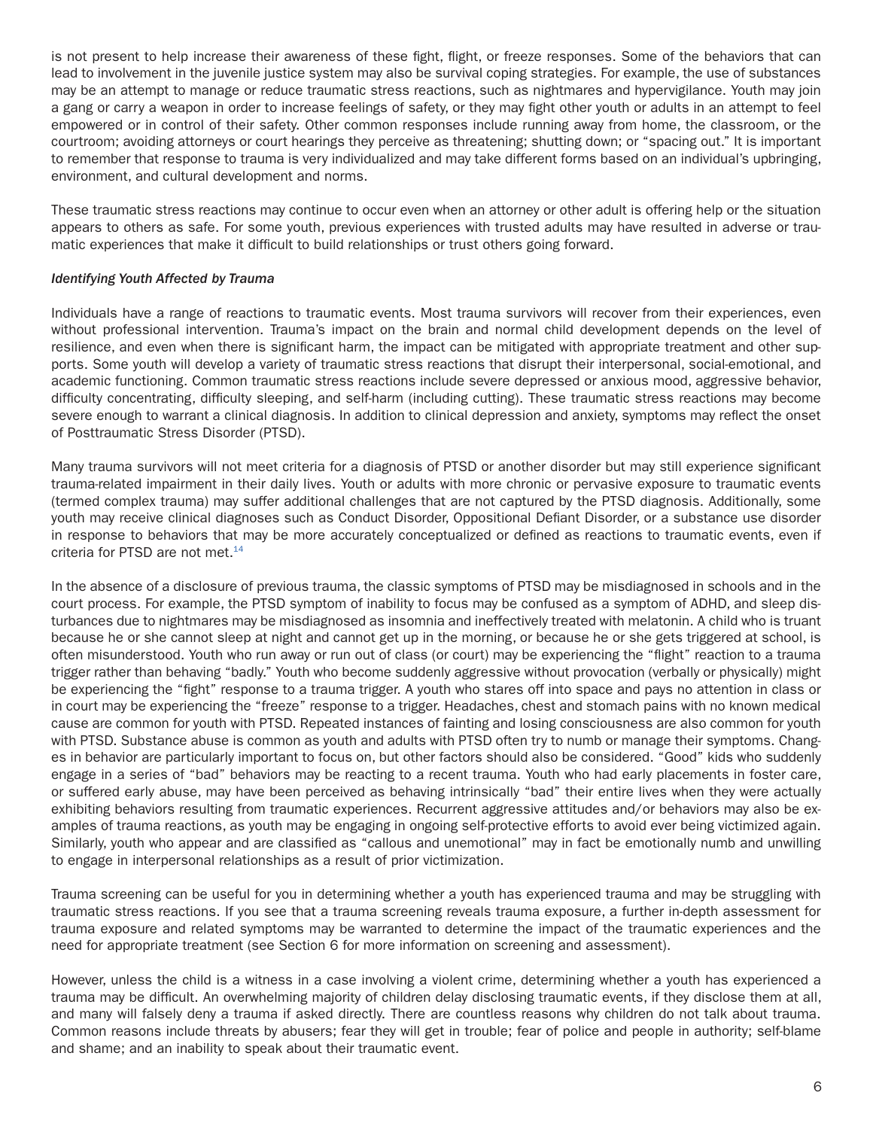is not present to help increase their awareness of these fight, flight, or freeze responses. Some of the behaviors that can lead to involvement in the juvenile justice system may also be survival coping strategies. For example, the use of substances may be an attempt to manage or reduce traumatic stress reactions, such as nightmares and hypervigilance. Youth may join a gang or carry a weapon in order to increase feelings of safety, or they may fight other youth or adults in an attempt to feel empowered or in control of their safety. Other common responses include running away from home, the classroom, or the courtroom; avoiding attorneys or court hearings they perceive as threatening; shutting down; or "spacing out." It is important to remember that response to trauma is very individualized and may take different forms based on an individual's upbringing, environment, and cultural development and norms.

These traumatic stress reactions may continue to occur even when an attorney or other adult is offering help or the situation appears to others as safe. For some youth, previous experiences with trusted adults may have resulted in adverse or traumatic experiences that make it difficult to build relationships or trust others going forward.

#### *Identifying Youth Affected by Trauma*

Individuals have a range of reactions to traumatic events. Most trauma survivors will recover from their experiences, even without professional intervention. Trauma's impact on the brain and normal child development depends on the level of resilience, and even when there is significant harm, the impact can be mitigated with appropriate treatment and other supports. Some youth will develop a variety of traumatic stress reactions that disrupt their interpersonal, social-emotional, and academic functioning. Common traumatic stress reactions include severe depressed or anxious mood, aggressive behavior, difficulty concentrating, difficulty sleeping, and self-harm (including cutting). These traumatic stress reactions may become severe enough to warrant a clinical diagnosis. In addition to clinical depression and anxiety, symptoms may reflect the onset of Posttraumatic Stress Disorder (PTSD).

Many trauma survivors will not meet criteria for a diagnosis of PTSD or another disorder but may still experience significant trauma-related impairment in their daily lives. Youth or adults with more chronic or pervasive exposure to traumatic events (termed complex trauma) may suffer additional challenges that are not captured by the PTSD diagnosis. Additionally, some youth may receive clinical diagnoses such as Conduct Disorder, Oppositional Defiant Disorder, or a substance use disorder in response to behaviors that may be more accurately conceptualized or defined as reactions to traumatic events, even if criteria for PTSD are not met.<sup>14</sup>

In the absence of a disclosure of previous trauma, the classic symptoms of PTSD may be misdiagnosed in schools and in the court process. For example, the PTSD symptom of inability to focus may be confused as a symptom of ADHD, and sleep disturbances due to nightmares may be misdiagnosed as insomnia and ineffectively treated with melatonin. A child who is truant because he or she cannot sleep at night and cannot get up in the morning, or because he or she gets triggered at school, is often misunderstood. Youth who run away or run out of class (or court) may be experiencing the "flight" reaction to a trauma trigger rather than behaving "badly." Youth who become suddenly aggressive without provocation (verbally or physically) might be experiencing the "fight" response to a trauma trigger. A youth who stares off into space and pays no attention in class or in court may be experiencing the "freeze" response to a trigger. Headaches, chest and stomach pains with no known medical cause are common for youth with PTSD. Repeated instances of fainting and losing consciousness are also common for youth with PTSD. Substance abuse is common as youth and adults with PTSD often try to numb or manage their symptoms. Changes in behavior are particularly important to focus on, but other factors should also be considered. "Good" kids who suddenly engage in a series of "bad" behaviors may be reacting to a recent trauma. Youth who had early placements in foster care, or suffered early abuse, may have been perceived as behaving intrinsically "bad" their entire lives when they were actually exhibiting behaviors resulting from traumatic experiences. Recurrent aggressive attitudes and/or behaviors may also be examples of trauma reactions, as youth may be engaging in ongoing self-protective efforts to avoid ever being victimized again. Similarly, youth who appear and are classified as "callous and unemotional" may in fact be emotionally numb and unwilling to engage in interpersonal relationships as a result of prior victimization.

Trauma screening can be useful for you in determining whether a youth has experienced trauma and may be struggling with traumatic stress reactions. If you see that a trauma screening reveals trauma exposure, a further in-depth assessment for trauma exposure and related symptoms may be warranted to determine the impact of the traumatic experiences and the need for appropriate treatment (see Section 6 for more information on screening and assessment).

However, unless the child is a witness in a case involving a violent crime, determining whether a youth has experienced a trauma may be difficult. An overwhelming majority of children delay disclosing traumatic events, if they disclose them at all, and many will falsely deny a trauma if asked directly. There are countless reasons why children do not talk about trauma. Common reasons include threats by abusers; fear they will get in trouble; fear of police and people in authority; self-blame and shame; and an inability to speak about their traumatic event.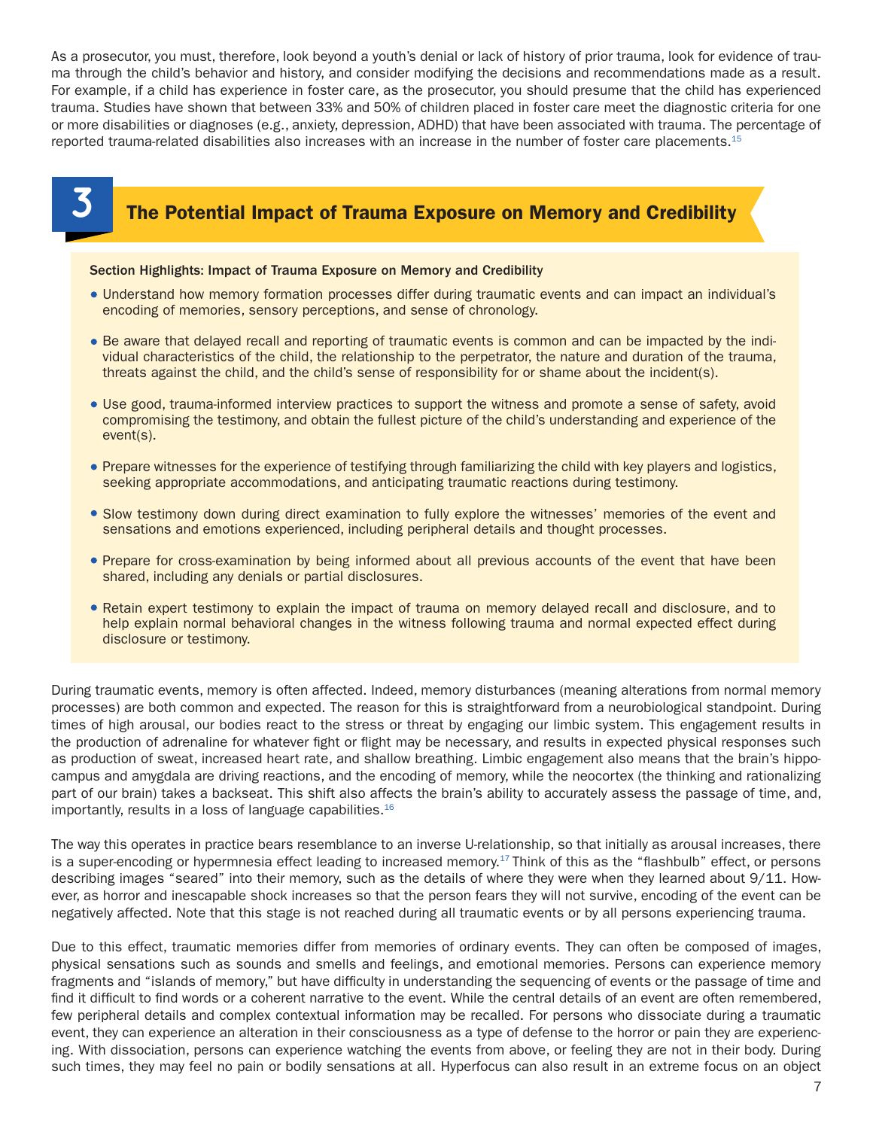As a prosecutor, you must, therefore, look beyond a youth's denial or lack of history of prior trauma, look for evidence of trauma through the child's behavior and history, and consider modifying the decisions and recommendations made as a result. For example, if a child has experience in foster care, as the prosecutor, you should presume that the child has experienced trauma. Studies have shown that between 33% and 50% of children placed in foster care meet the diagnostic criteria for one or more disabilities or diagnoses (e.g., anxiety, depression, ADHD) that have been associated with trauma. The percentage of reported trauma-related disabilities also increases with an increase in the number of foster care placements.<sup>15</sup>



## **3** The Potential Impact of Trauma Exposure on Memory and Credibility

#### Section Highlights: Impact of Trauma Exposure on Memory and Credibility

- Understand how memory formation processes differ during traumatic events and can impact an individual's encoding of memories, sensory perceptions, and sense of chronology.
- Be aware that delayed recall and reporting of traumatic events is common and can be impacted by the individual characteristics of the child, the relationship to the perpetrator, the nature and duration of the trauma, threats against the child, and the child's sense of responsibility for or shame about the incident(s).
- Use good, trauma-informed interview practices to support the witness and promote a sense of safety, avoid compromising the testimony, and obtain the fullest picture of the child's understanding and experience of the event(s).
- Prepare witnesses for the experience of testifying through familiarizing the child with key players and logistics, seeking appropriate accommodations, and anticipating traumatic reactions during testimony.
- Slow testimony down during direct examination to fully explore the witnesses' memories of the event and sensations and emotions experienced, including peripheral details and thought processes.
- Prepare for cross-examination by being informed about all previous accounts of the event that have been shared, including any denials or partial disclosures.
- Retain expert testimony to explain the impact of trauma on memory delayed recall and disclosure, and to help explain normal behavioral changes in the witness following trauma and normal expected effect during disclosure or testimony.

During traumatic events, memory is often affected. Indeed, memory disturbances (meaning alterations from normal memory processes) are both common and expected. The reason for this is straightforward from a neurobiological standpoint. During times of high arousal, our bodies react to the stress or threat by engaging our limbic system. This engagement results in the production of adrenaline for whatever fight or flight may be necessary, and results in expected physical responses such as production of sweat, increased heart rate, and shallow breathing. Limbic engagement also means that the brain's hippocampus and amygdala are driving reactions, and the encoding of memory, while the neocortex (the thinking and rationalizing part of our brain) takes a backseat. This shift also affects the brain's ability to accurately assess the passage of time, and, importantly, results in a loss of language capabilities. $16$ 

The way this operates in practice bears resemblance to an inverse U-relationship, so that initially as arousal increases, there is a super-encoding or hypermnesia effect leading to increased memory.<sup>17</sup> Think of this as the "flashbulb" effect, or persons describing images "seared" into their memory, such as the details of where they were when they learned about 9/11. However, as horror and inescapable shock increases so that the person fears they will not survive, encoding of the event can be negatively affected. Note that this stage is not reached during all traumatic events or by all persons experiencing trauma.

Due to this effect, traumatic memories differ from memories of ordinary events. They can often be composed of images, physical sensations such as sounds and smells and feelings, and emotional memories. Persons can experience memory fragments and "islands of memory," but have difficulty in understanding the sequencing of events or the passage of time and find it difficult to find words or a coherent narrative to the event. While the central details of an event are often remembered, few peripheral details and complex contextual information may be recalled. For persons who dissociate during a traumatic event, they can experience an alteration in their consciousness as a type of defense to the horror or pain they are experiencing. With dissociation, persons can experience watching the events from above, or feeling they are not in their body. During such times, they may feel no pain or bodily sensations at all. Hyperfocus can also result in an extreme focus on an object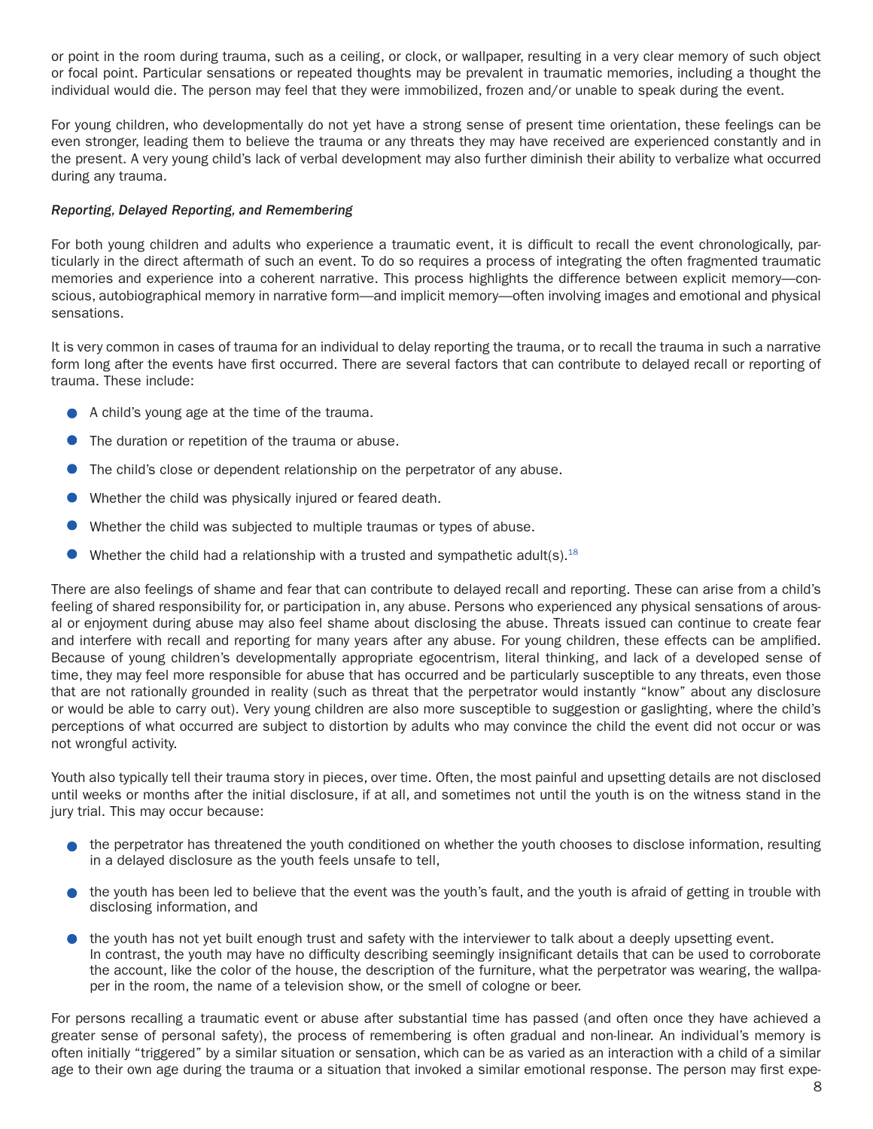or point in the room during trauma, such as a ceiling, or clock, or wallpaper, resulting in a very clear memory of such object or focal point. Particular sensations or repeated thoughts may be prevalent in traumatic memories, including a thought the individual would die. The person may feel that they were immobilized, frozen and/or unable to speak during the event.

For young children, who developmentally do not yet have a strong sense of present time orientation, these feelings can be even stronger, leading them to believe the trauma or any threats they may have received are experienced constantly and in the present. A very young child's lack of verbal development may also further diminish their ability to verbalize what occurred during any trauma.

#### *Reporting, Delayed Reporting, and Remembering*

For both young children and adults who experience a traumatic event, it is difficult to recall the event chronologically, particularly in the direct aftermath of such an event. To do so requires a process of integrating the often fragmented traumatic memories and experience into a coherent narrative. This process highlights the difference between explicit memory—conscious, autobiographical memory in narrative form—and implicit memory—often involving images and emotional and physical sensations.

It is very common in cases of trauma for an individual to delay reporting the trauma, or to recall the trauma in such a narrative form long after the events have first occurred. There are several factors that can contribute to delayed recall or reporting of trauma. These include:

- A child's young age at the time of the trauma.
- The duration or repetition of the trauma or abuse.
- The child's close or dependent relationship on the perpetrator of any abuse.
- Whether the child was physically injured or feared death.
- Whether the child was subjected to multiple traumas or types of abuse.
- Whether the child had a relationship with a trusted and sympathetic adult(s).<sup>18</sup>

There are also feelings of shame and fear that can contribute to delayed recall and reporting. These can arise from a child's feeling of shared responsibility for, or participation in, any abuse. Persons who experienced any physical sensations of arousal or enjoyment during abuse may also feel shame about disclosing the abuse. Threats issued can continue to create fear and interfere with recall and reporting for many years after any abuse. For young children, these effects can be amplified. Because of young children's developmentally appropriate egocentrism, literal thinking, and lack of a developed sense of time, they may feel more responsible for abuse that has occurred and be particularly susceptible to any threats, even those that are not rationally grounded in reality (such as threat that the perpetrator would instantly "know" about any disclosure or would be able to carry out). Very young children are also more susceptible to suggestion or gaslighting, where the child's perceptions of what occurred are subject to distortion by adults who may convince the child the event did not occur or was not wrongful activity.

Youth also typically tell their trauma story in pieces, over time. Often, the most painful and upsetting details are not disclosed until weeks or months after the initial disclosure, if at all, and sometimes not until the youth is on the witness stand in the jury trial. This may occur because:

- $\bullet$  the perpetrator has threatened the youth conditioned on whether the youth chooses to disclose information, resulting in a delayed disclosure as the youth feels unsafe to tell,
- $\bullet$  the youth has been led to believe that the event was the youth's fault, and the youth is afraid of getting in trouble with disclosing information, and
- $\bullet$  the youth has not yet built enough trust and safety with the interviewer to talk about a deeply upsetting event. In contrast, the youth may have no difficulty describing seemingly insignificant details that can be used to corroborate the account, like the color of the house, the description of the furniture, what the perpetrator was wearing, the wallpaper in the room, the name of a television show, or the smell of cologne or beer.

For persons recalling a traumatic event or abuse after substantial time has passed (and often once they have achieved a greater sense of personal safety), the process of remembering is often gradual and non-linear. An individual's memory is often initially "triggered" by a similar situation or sensation, which can be as varied as an interaction with a child of a similar age to their own age during the trauma or a situation that invoked a similar emotional response. The person may first expe-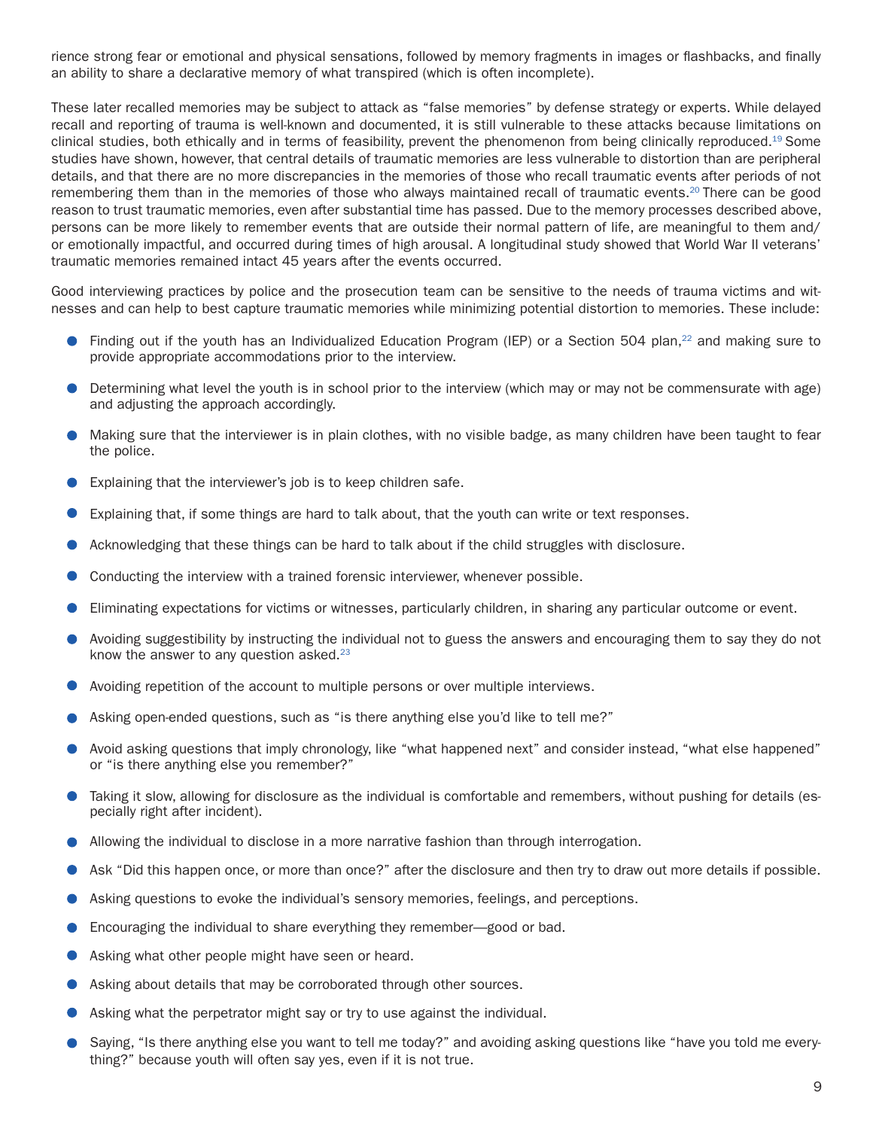rience strong fear or emotional and physical sensations, followed by memory fragments in images or flashbacks, and finally an ability to share a declarative memory of what transpired (which is often incomplete).

These later recalled memories may be subject to attack as "false memories" by defense strategy or experts. While delayed recall and reporting of trauma is well-known and documented, it is still vulnerable to these attacks because limitations on clinical studies, both ethically and in terms of feasibility, prevent the phenomenon from being clinically reproduced.<sup>19</sup> Some studies have shown, however, that central details of traumatic memories are less vulnerable to distortion than are peripheral details, and that there are no more discrepancies in the memories of those who recall traumatic events after periods of not remembering them than in the memories of those who always maintained recall of traumatic events.20 There can be good reason to trust traumatic memories, even after substantial time has passed. Due to the memory processes described above, persons can be more likely to remember events that are outside their normal pattern of life, are meaningful to them and/ or emotionally impactful, and occurred during times of high arousal. A longitudinal study showed that World War II veterans' traumatic memories remained intact 45 years after the events occurred.

Good interviewing practices by police and the prosecution team can be sensitive to the needs of trauma victims and witnesses and can help to best capture traumatic memories while minimizing potential distortion to memories. These include:

- Finding out if the youth has an Individualized Education Program (IEP) or a Section 504 plan,<sup>22</sup> and making sure to  $\bullet$ provide appropriate accommodations prior to the interview.
- Determining what level the youth is in school prior to the interview (which may or may not be commensurate with age)  $\bullet$ and adjusting the approach accordingly.
- Making sure that the interviewer is in plain clothes, with no visible badge, as many children have been taught to fear the police.
- Explaining that the interviewer's job is to keep children safe.
- Explaining that, if some things are hard to talk about, that the youth can write or text responses.
- Acknowledging that these things can be hard to talk about if the child struggles with disclosure.
- Conducting the interview with a trained forensic interviewer, whenever possible.
- Eliminating expectations for victims or witnesses, particularly children, in sharing any particular outcome or event.
- Avoiding suggestibility by instructing the individual not to guess the answers and encouraging them to say they do not know the answer to any question asked. $23$
- Avoiding repetition of the account to multiple persons or over multiple interviews.
- Asking open-ended questions, such as "is there anything else you'd like to tell me?"
- Avoid asking questions that imply chronology, like "what happened next" and consider instead, "what else happened" or "is there anything else you remember?"
- Taking it slow, allowing for disclosure as the individual is comfortable and remembers, without pushing for details (especially right after incident).
- Allowing the individual to disclose in a more narrative fashion than through interrogation.
- Ask "Did this happen once, or more than once?" after the disclosure and then try to draw out more details if possible.
- Asking questions to evoke the individual's sensory memories, feelings, and perceptions.
- Encouraging the individual to share everything they remember—good or bad.
- Asking what other people might have seen or heard.
- Asking about details that may be corroborated through other sources.
- Asking what the perpetrator might say or try to use against the individual.
- Saying, "Is there anything else you want to tell me today?" and avoiding asking questions like "have you told me everything?" because youth will often say yes, even if it is not true.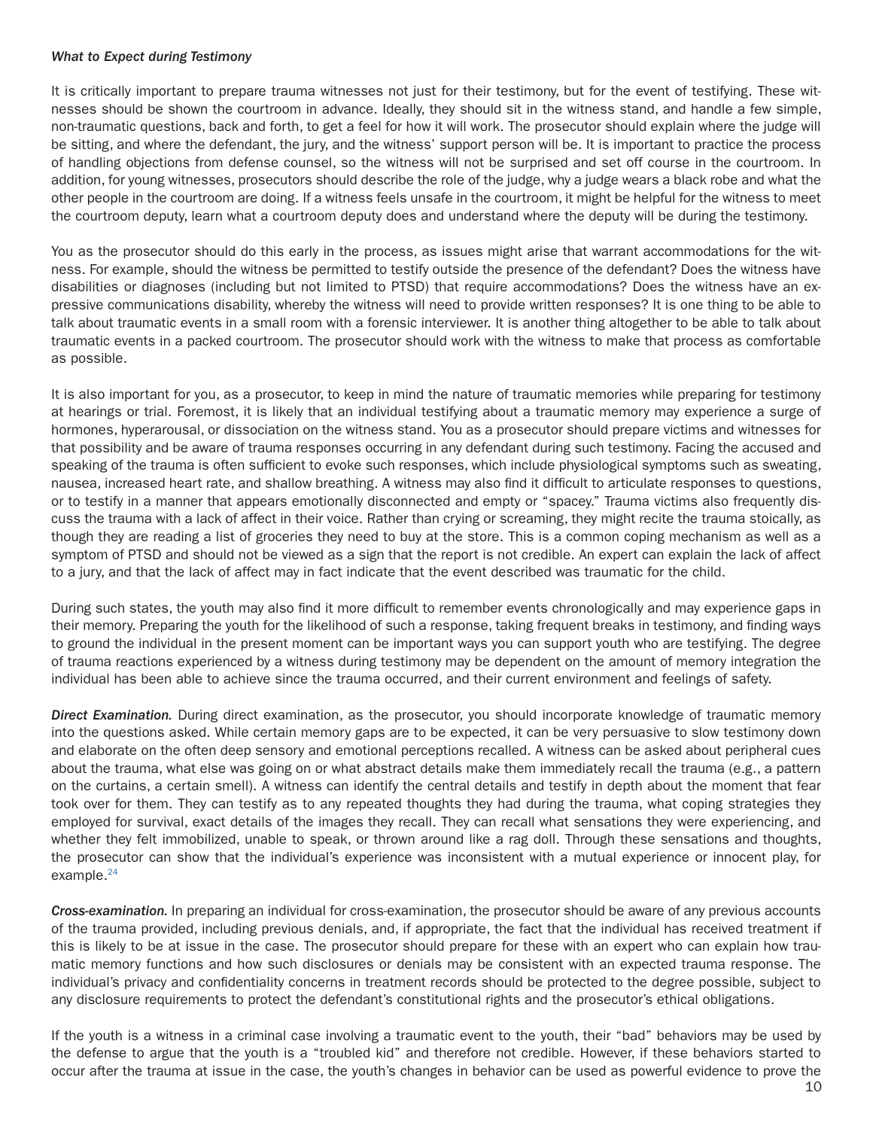#### *What to Expect during Testimony*

It is critically important to prepare trauma witnesses not just for their testimony, but for the event of testifying. These witnesses should be shown the courtroom in advance. Ideally, they should sit in the witness stand, and handle a few simple, non-traumatic questions, back and forth, to get a feel for how it will work. The prosecutor should explain where the judge will be sitting, and where the defendant, the jury, and the witness' support person will be. It is important to practice the process of handling objections from defense counsel, so the witness will not be surprised and set off course in the courtroom. In addition, for young witnesses, prosecutors should describe the role of the judge, why a judge wears a black robe and what the other people in the courtroom are doing. If a witness feels unsafe in the courtroom, it might be helpful for the witness to meet the courtroom deputy, learn what a courtroom deputy does and understand where the deputy will be during the testimony.

You as the prosecutor should do this early in the process, as issues might arise that warrant accommodations for the witness. For example, should the witness be permitted to testify outside the presence of the defendant? Does the witness have disabilities or diagnoses (including but not limited to PTSD) that require accommodations? Does the witness have an expressive communications disability, whereby the witness will need to provide written responses? It is one thing to be able to talk about traumatic events in a small room with a forensic interviewer. It is another thing altogether to be able to talk about traumatic events in a packed courtroom. The prosecutor should work with the witness to make that process as comfortable as possible.

It is also important for you, as a prosecutor, to keep in mind the nature of traumatic memories while preparing for testimony at hearings or trial. Foremost, it is likely that an individual testifying about a traumatic memory may experience a surge of hormones, hyperarousal, or dissociation on the witness stand. You as a prosecutor should prepare victims and witnesses for that possibility and be aware of trauma responses occurring in any defendant during such testimony. Facing the accused and speaking of the trauma is often sufficient to evoke such responses, which include physiological symptoms such as sweating, nausea, increased heart rate, and shallow breathing. A witness may also find it difficult to articulate responses to questions, or to testify in a manner that appears emotionally disconnected and empty or "spacey." Trauma victims also frequently discuss the trauma with a lack of affect in their voice. Rather than crying or screaming, they might recite the trauma stoically, as though they are reading a list of groceries they need to buy at the store. This is a common coping mechanism as well as a symptom of PTSD and should not be viewed as a sign that the report is not credible. An expert can explain the lack of affect to a jury, and that the lack of affect may in fact indicate that the event described was traumatic for the child.

During such states, the youth may also find it more difficult to remember events chronologically and may experience gaps in their memory. Preparing the youth for the likelihood of such a response, taking frequent breaks in testimony, and finding ways to ground the individual in the present moment can be important ways you can support youth who are testifying. The degree of trauma reactions experienced by a witness during testimony may be dependent on the amount of memory integration the individual has been able to achieve since the trauma occurred, and their current environment and feelings of safety.

*Direct Examination.* During direct examination, as the prosecutor, you should incorporate knowledge of traumatic memory into the questions asked. While certain memory gaps are to be expected, it can be very persuasive to slow testimony down and elaborate on the often deep sensory and emotional perceptions recalled. A witness can be asked about peripheral cues about the trauma, what else was going on or what abstract details make them immediately recall the trauma (e.g., a pattern on the curtains, a certain smell). A witness can identify the central details and testify in depth about the moment that fear took over for them. They can testify as to any repeated thoughts they had during the trauma, what coping strategies they employed for survival, exact details of the images they recall. They can recall what sensations they were experiencing, and whether they felt immobilized, unable to speak, or thrown around like a rag doll. Through these sensations and thoughts, the prosecutor can show that the individual's experience was inconsistent with a mutual experience or innocent play, for example.<sup>24</sup>

*Cross-examination.* In preparing an individual for cross-examination, the prosecutor should be aware of any previous accounts of the trauma provided, including previous denials, and, if appropriate, the fact that the individual has received treatment if this is likely to be at issue in the case. The prosecutor should prepare for these with an expert who can explain how traumatic memory functions and how such disclosures or denials may be consistent with an expected trauma response. The individual's privacy and confidentiality concerns in treatment records should be protected to the degree possible, subject to any disclosure requirements to protect the defendant's constitutional rights and the prosecutor's ethical obligations.

If the youth is a witness in a criminal case involving a traumatic event to the youth, their "bad" behaviors may be used by the defense to argue that the youth is a "troubled kid" and therefore not credible. However, if these behaviors started to occur after the trauma at issue in the case, the youth's changes in behavior can be used as powerful evidence to prove the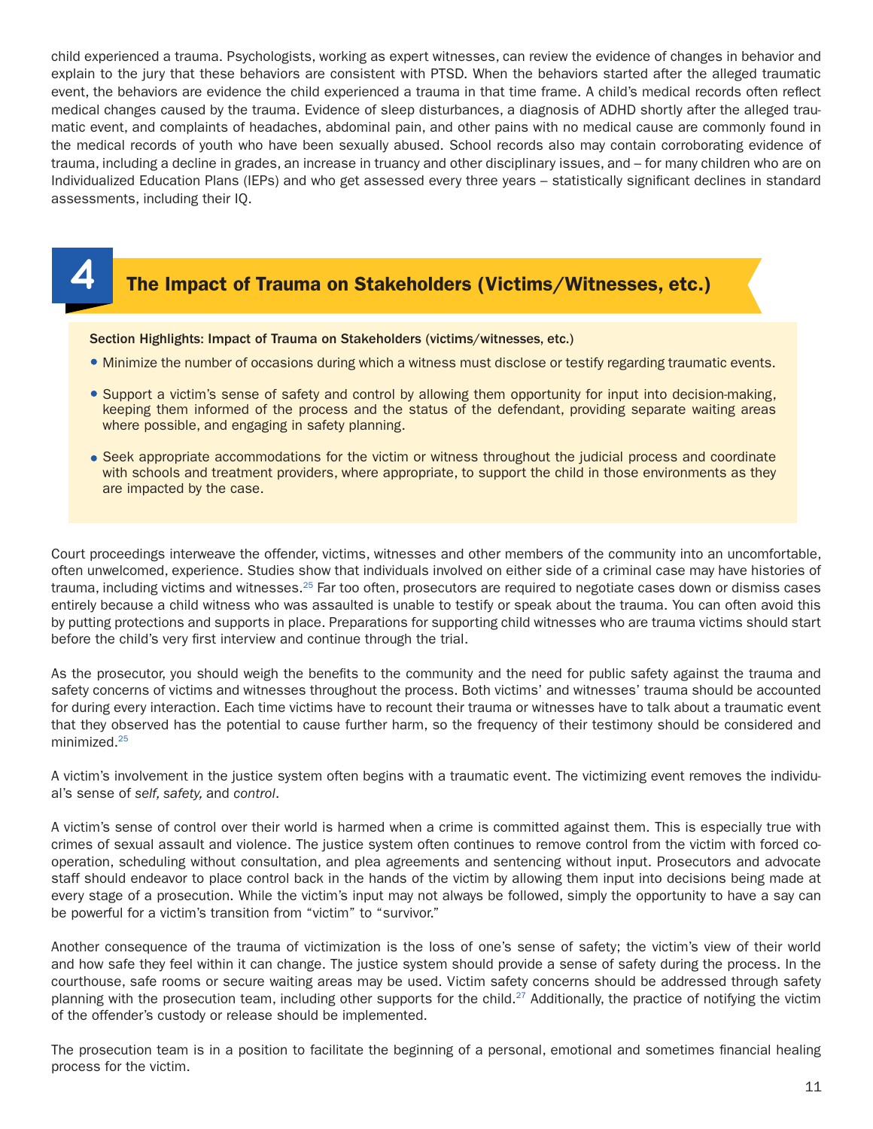child experienced a trauma. Psychologists, working as expert witnesses, can review the evidence of changes in behavior and explain to the jury that these behaviors are consistent with PTSD. When the behaviors started after the alleged traumatic event, the behaviors are evidence the child experienced a trauma in that time frame. A child's medical records often reflect medical changes caused by the trauma. Evidence of sleep disturbances, a diagnosis of ADHD shortly after the alleged traumatic event, and complaints of headaches, abdominal pain, and other pains with no medical cause are commonly found in the medical records of youth who have been sexually abused. School records also may contain corroborating evidence of trauma, including a decline in grades, an increase in truancy and other disciplinary issues, and – for many children who are on Individualized Education Plans (IEPs) and who get assessed every three years – statistically significant declines in standard assessments, including their IQ.



## **4** The Impact of Trauma on Stakeholders (Victims/Witnesses, etc.)

#### Section Highlights: Impact of Trauma on Stakeholders (victims/witnesses, etc.)

- Minimize the number of occasions during which a witness must disclose or testify regarding traumatic events.
- Support a victim's sense of safety and control by allowing them opportunity for input into decision-making, keeping them informed of the process and the status of the defendant, providing separate waiting areas where possible, and engaging in safety planning.
- Seek appropriate accommodations for the victim or witness throughout the judicial process and coordinate with schools and treatment providers, where appropriate, to support the child in those environments as they are impacted by the case.

Court proceedings interweave the offender, victims, witnesses and other members of the community into an uncomfortable, often unwelcomed, experience. Studies show that individuals involved on either side of a criminal case may have histories of trauma, including victims and witnesses.<sup>25</sup> Far too often, prosecutors are required to negotiate cases down or dismiss cases entirely because a child witness who was assaulted is unable to testify or speak about the trauma. You can often avoid this by putting protections and supports in place. Preparations for supporting child witnesses who are trauma victims should start before the child's very first interview and continue through the trial.

As the prosecutor, you should weigh the benefits to the community and the need for public safety against the trauma and safety concerns of victims and witnesses throughout the process. Both victims' and witnesses' trauma should be accounted for during every interaction. Each time victims have to recount their trauma or witnesses have to talk about a traumatic event that they observed has the potential to cause further harm, so the frequency of their testimony should be considered and minimized.25

A victim's involvement in the justice system often begins with a traumatic event. The victimizing event removes the individual's sense of *self, safety,* and *control*.

A victim's sense of control over their world is harmed when a crime is committed against them. This is especially true with crimes of sexual assault and violence. The justice system often continues to remove control from the victim with forced cooperation, scheduling without consultation, and plea agreements and sentencing without input. Prosecutors and advocate staff should endeavor to place control back in the hands of the victim by allowing them input into decisions being made at every stage of a prosecution. While the victim's input may not always be followed, simply the opportunity to have a say can be powerful for a victim's transition from "victim" to "survivor."

Another consequence of the trauma of victimization is the loss of one's sense of safety; the victim's view of their world and how safe they feel within it can change. The justice system should provide a sense of safety during the process. In the courthouse, safe rooms or secure waiting areas may be used. Victim safety concerns should be addressed through safety planning with the prosecution team, including other supports for the child.<sup>27</sup> Additionally, the practice of notifying the victim of the offender's custody or release should be implemented.

The prosecution team is in a position to facilitate the beginning of a personal, emotional and sometimes financial healing process for the victim.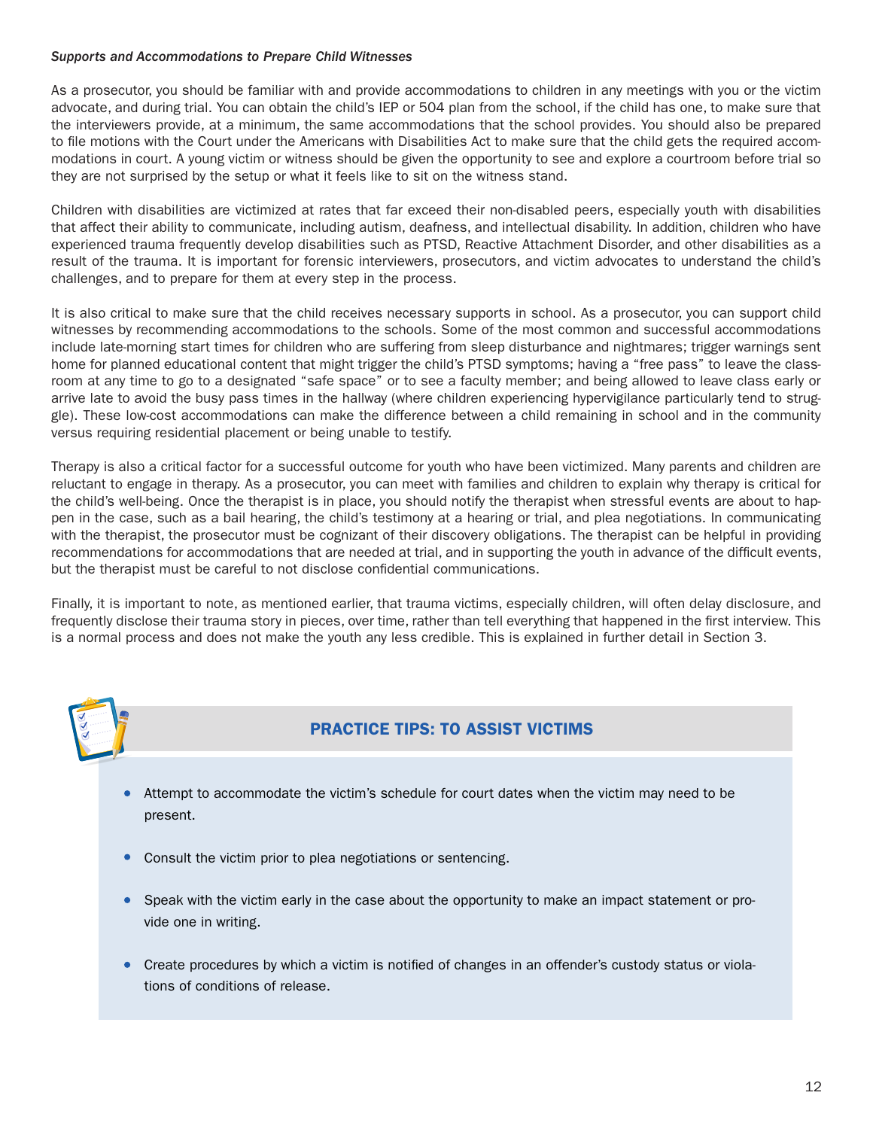#### *Supports and Accommodations to Prepare Child Witnesses*

As a prosecutor, you should be familiar with and provide accommodations to children in any meetings with you or the victim advocate, and during trial. You can obtain the child's IEP or 504 plan from the school, if the child has one, to make sure that the interviewers provide, at a minimum, the same accommodations that the school provides. You should also be prepared to file motions with the Court under the Americans with Disabilities Act to make sure that the child gets the required accommodations in court. A young victim or witness should be given the opportunity to see and explore a courtroom before trial so they are not surprised by the setup or what it feels like to sit on the witness stand.

Children with disabilities are victimized at rates that far exceed their non-disabled peers, especially youth with disabilities that affect their ability to communicate, including autism, deafness, and intellectual disability. In addition, children who have experienced trauma frequently develop disabilities such as PTSD, Reactive Attachment Disorder, and other disabilities as a result of the trauma. It is important for forensic interviewers, prosecutors, and victim advocates to understand the child's challenges, and to prepare for them at every step in the process.

It is also critical to make sure that the child receives necessary supports in school. As a prosecutor, you can support child witnesses by recommending accommodations to the schools. Some of the most common and successful accommodations include late-morning start times for children who are suffering from sleep disturbance and nightmares; trigger warnings sent home for planned educational content that might trigger the child's PTSD symptoms; having a "free pass" to leave the classroom at any time to go to a designated "safe space" or to see a faculty member; and being allowed to leave class early or arrive late to avoid the busy pass times in the hallway (where children experiencing hypervigilance particularly tend to struggle). These low-cost accommodations can make the difference between a child remaining in school and in the community versus requiring residential placement or being unable to testify.

Therapy is also a critical factor for a successful outcome for youth who have been victimized. Many parents and children are reluctant to engage in therapy. As a prosecutor, you can meet with families and children to explain why therapy is critical for the child's well-being. Once the therapist is in place, you should notify the therapist when stressful events are about to happen in the case, such as a bail hearing, the child's testimony at a hearing or trial, and plea negotiations. In communicating with the therapist, the prosecutor must be cognizant of their discovery obligations. The therapist can be helpful in providing recommendations for accommodations that are needed at trial, and in supporting the youth in advance of the difficult events, but the therapist must be careful to not disclose confidential communications.

Finally, it is important to note, as mentioned earlier, that trauma victims, especially children, will often delay disclosure, and frequently disclose their trauma story in pieces, over time, rather than tell everything that happened in the first interview. This is a normal process and does not make the youth any less credible. This is explained in further detail in Section 3.



## PRACTICE TIPS: TO ASSIST VICTIMS

- Attempt to accommodate the victim's schedule for court dates when the victim may need to be present.
- Consult the victim prior to plea negotiations or sentencing.
- Speak with the victim early in the case about the opportunity to make an impact statement or provide one in writing.
- Create procedures by which a victim is notified of changes in an offender's custody status or violations of conditions of release.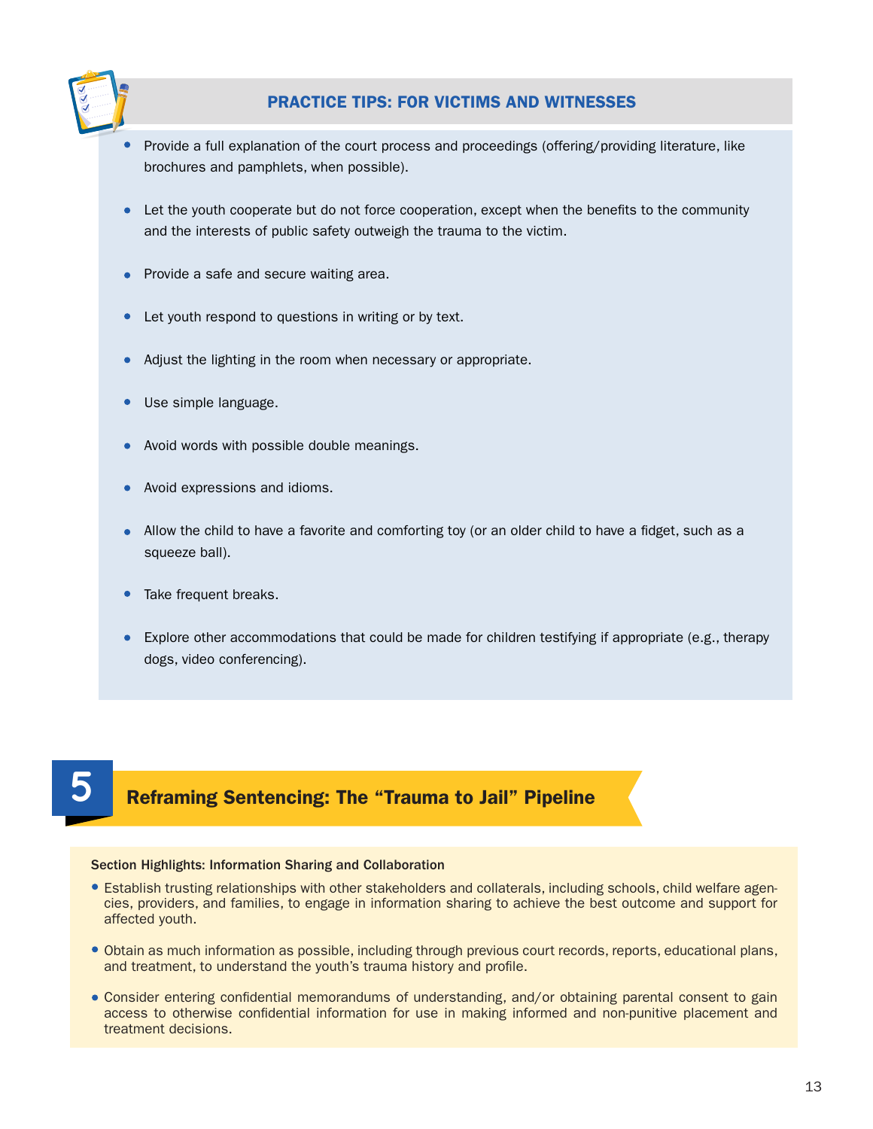

## PRACTICE TIPS: FOR VICTIMS AND WITNESSES

- Provide a full explanation of the court process and proceedings (offering/providing literature, like brochures and pamphlets, when possible).
- Let the youth cooperate but do not force cooperation, except when the benefits to the community and the interests of public safety outweigh the trauma to the victim.
- Provide a safe and secure waiting area.
- Let youth respond to questions in writing or by text.  $\bullet$
- Adjust the lighting in the room when necessary or appropriate.
- Use simple language.
- Avoid words with possible double meanings.
- Avoid expressions and idioms.
- Allow the child to have a favorite and comforting toy (or an older child to have a fidget, such as a squeeze ball).
- Take frequent breaks.
- Explore other accommodations that could be made for children testifying if appropriate (e.g., therapy dogs, video conferencing).

## **5** Reframing Sentencing: The "Trauma to Jail" Pipeline

#### Section Highlights: Information Sharing and Collaboration

- Establish trusting relationships with other stakeholders and collaterals, including schools, child welfare agencies, providers, and families, to engage in information sharing to achieve the best outcome and support for affected youth.
- Obtain as much information as possible, including through previous court records, reports, educational plans, and treatment, to understand the youth's trauma history and profile.
- Consider entering confidential memorandums of understanding, and/or obtaining parental consent to gain access to otherwise confidential information for use in making informed and non-punitive placement and treatment decisions.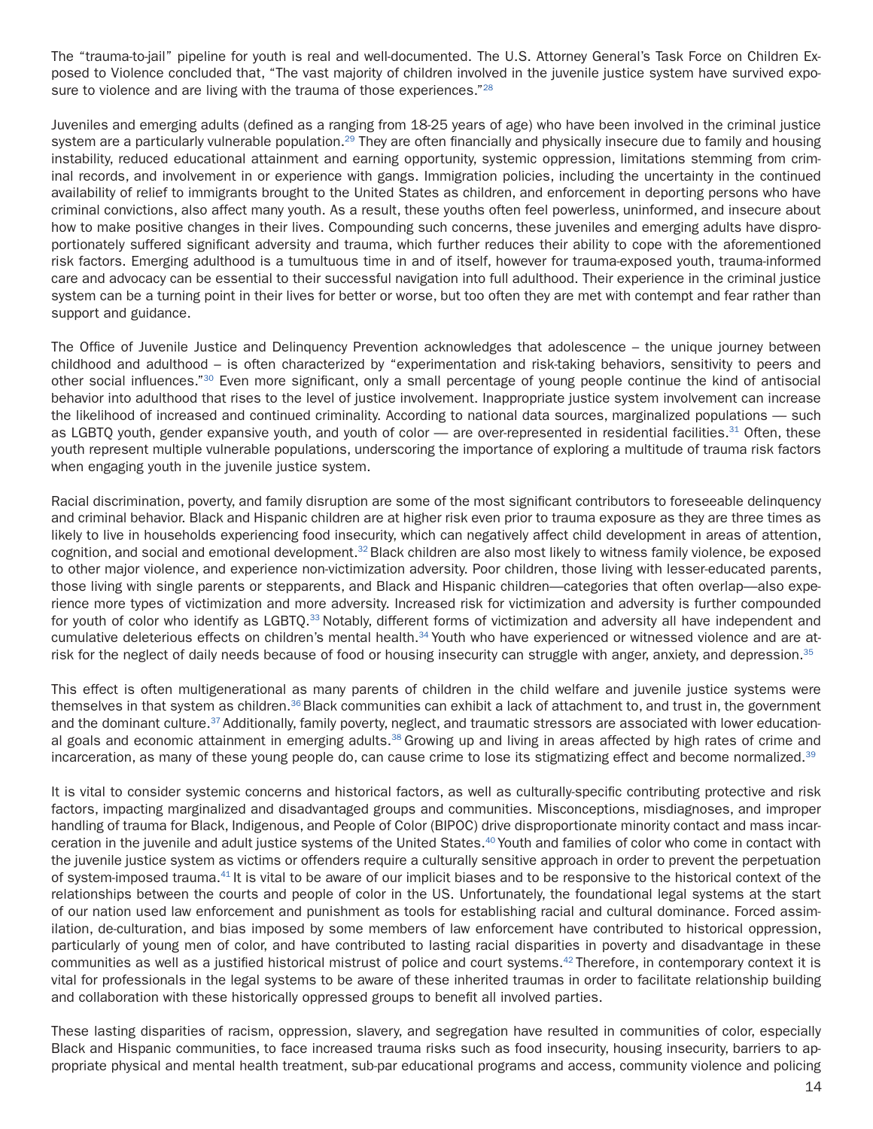The "trauma-to-jail" pipeline for youth is real and well-documented. The U.S. Attorney General's Task Force on Children Exposed to Violence concluded that, "The vast majority of children involved in the juvenile justice system have survived exposure to violence and are living with the trauma of those experiences."<sup>28</sup>

Juveniles and emerging adults (defined as a ranging from 18-25 years of age) who have been involved in the criminal justice system are a particularly vulnerable population.<sup>29</sup> They are often financially and physically insecure due to family and housing instability, reduced educational attainment and earning opportunity, systemic oppression, limitations stemming from criminal records, and involvement in or experience with gangs. Immigration policies, including the uncertainty in the continued availability of relief to immigrants brought to the United States as children, and enforcement in deporting persons who have criminal convictions, also affect many youth. As a result, these youths often feel powerless, uninformed, and insecure about how to make positive changes in their lives. Compounding such concerns, these juveniles and emerging adults have disproportionately suffered significant adversity and trauma, which further reduces their ability to cope with the aforementioned risk factors. Emerging adulthood is a tumultuous time in and of itself, however for trauma-exposed youth, trauma-informed care and advocacy can be essential to their successful navigation into full adulthood. Their experience in the criminal justice system can be a turning point in their lives for better or worse, but too often they are met with contempt and fear rather than support and guidance.

The Office of Juvenile Justice and Delinquency Prevention acknowledges that adolescence – the unique journey between childhood and adulthood – is often characterized by "experimentation and risk-taking behaviors, sensitivity to peers and other social influences."30 Even more significant, only a small percentage of young people continue the kind of antisocial behavior into adulthood that rises to the level of justice involvement. Inappropriate justice system involvement can increase the likelihood of increased and continued criminality. According to national data sources, marginalized populations — such as LGBTQ youth, gender expansive youth, and youth of color — are over-represented in residential facilities.<sup>31</sup> Often, these youth represent multiple vulnerable populations, underscoring the importance of exploring a multitude of trauma risk factors when engaging youth in the juvenile justice system.

Racial discrimination, poverty, and family disruption are some of the most significant contributors to foreseeable delinquency and criminal behavior. Black and Hispanic children are at higher risk even prior to trauma exposure as they are three times as likely to live in households experiencing food insecurity, which can negatively affect child development in areas of attention, cognition, and social and emotional development.<sup>32</sup> Black children are also most likely to witness family violence, be exposed to other major violence, and experience non-victimization adversity. Poor children, those living with lesser-educated parents, those living with single parents or stepparents, and Black and Hispanic children—categories that often overlap—also experience more types of victimization and more adversity. Increased risk for victimization and adversity is further compounded for youth of color who identify as LGBTQ.<sup>33</sup> Notably, different forms of victimization and adversity all have independent and cumulative deleterious effects on children's mental health.34 Youth who have experienced or witnessed violence and are atrisk for the neglect of daily needs because of food or housing insecurity can struggle with anger, anxiety, and depression.<sup>35</sup>

This effect is often multigenerational as many parents of children in the child welfare and juvenile justice systems were themselves in that system as children.<sup>36</sup> Black communities can exhibit a lack of attachment to, and trust in, the government and the dominant culture.<sup>37</sup> Additionally, family poverty, neglect, and traumatic stressors are associated with lower educational goals and economic attainment in emerging adults.<sup>38</sup> Growing up and living in areas affected by high rates of crime and incarceration, as many of these young people do, can cause crime to lose its stigmatizing effect and become normalized.<sup>39</sup>

It is vital to consider systemic concerns and historical factors, as well as culturally-specific contributing protective and risk factors, impacting marginalized and disadvantaged groups and communities. Misconceptions, misdiagnoses, and improper handling of trauma for Black, Indigenous, and People of Color (BIPOC) drive disproportionate minority contact and mass incarceration in the juvenile and adult justice systems of the United States.40 Youth and families of color who come in contact with the juvenile justice system as victims or offenders require a culturally sensitive approach in order to prevent the perpetuation of system-imposed trauma.41 It is vital to be aware of our implicit biases and to be responsive to the historical context of the relationships between the courts and people of color in the US. Unfortunately, the foundational legal systems at the start of our nation used law enforcement and punishment as tools for establishing racial and cultural dominance. Forced assimilation, de-culturation, and bias imposed by some members of law enforcement have contributed to historical oppression, particularly of young men of color, and have contributed to lasting racial disparities in poverty and disadvantage in these communities as well as a justified historical mistrust of police and court systems.42 Therefore, in contemporary context it is vital for professionals in the legal systems to be aware of these inherited traumas in order to facilitate relationship building and collaboration with these historically oppressed groups to benefit all involved parties.

These lasting disparities of racism, oppression, slavery, and segregation have resulted in communities of color, especially Black and Hispanic communities, to face increased trauma risks such as food insecurity, housing insecurity, barriers to appropriate physical and mental health treatment, sub-par educational programs and access, community violence and policing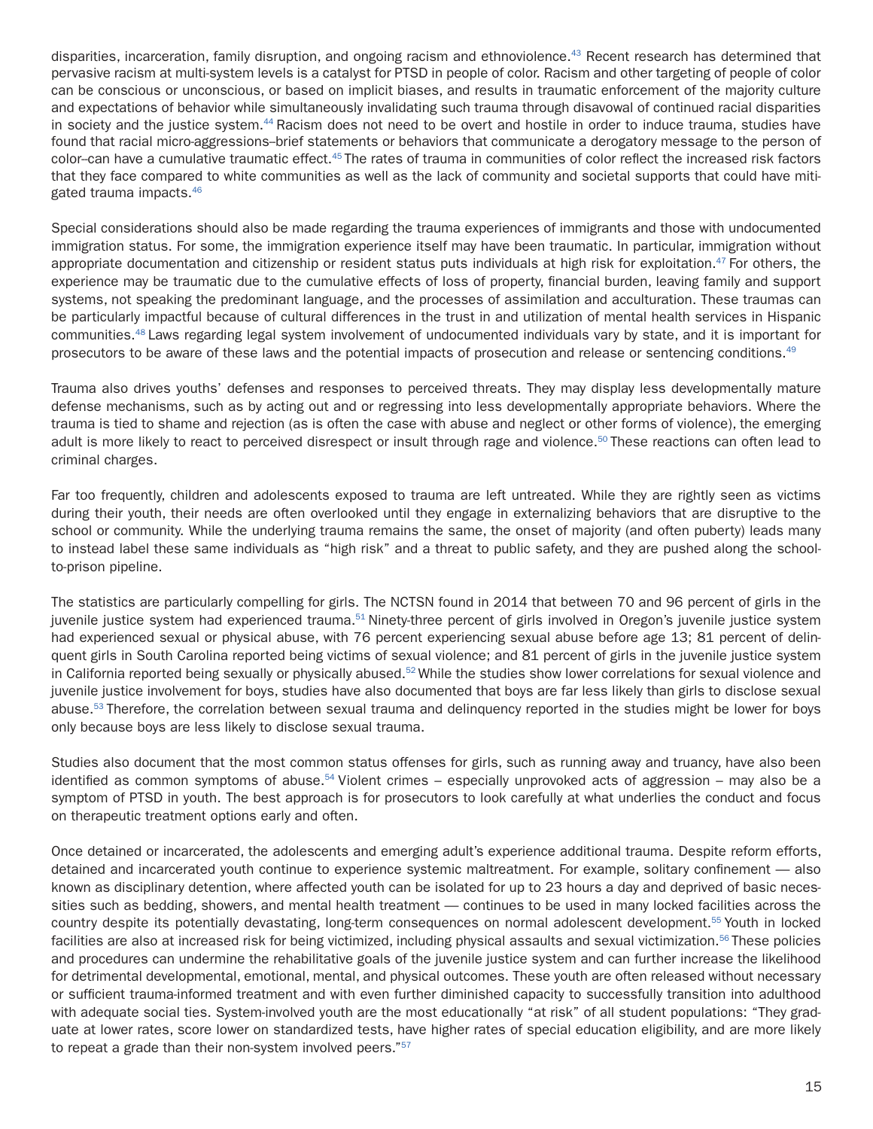disparities, incarceration, family disruption, and ongoing racism and ethnoviolence.<sup>43</sup> Recent research has determined that pervasive racism at multi-system levels is a catalyst for PTSD in people of color. Racism and other targeting of people of color can be conscious or unconscious, or based on implicit biases, and results in traumatic enforcement of the majority culture and expectations of behavior while simultaneously invalidating such trauma through disavowal of continued racial disparities in society and the justice system.<sup>44</sup> Racism does not need to be overt and hostile in order to induce trauma, studies have found that racial micro-aggressions--brief statements or behaviors that communicate a derogatory message to the person of color--can have a cumulative traumatic effect.45 The rates of trauma in communities of color reflect the increased risk factors that they face compared to white communities as well as the lack of community and societal supports that could have mitigated trauma impacts.46

Special considerations should also be made regarding the trauma experiences of immigrants and those with undocumented immigration status. For some, the immigration experience itself may have been traumatic. In particular, immigration without appropriate documentation and citizenship or resident status puts individuals at high risk for exploitation. $47$  For others, the experience may be traumatic due to the cumulative effects of loss of property, financial burden, leaving family and support systems, not speaking the predominant language, and the processes of assimilation and acculturation. These traumas can be particularly impactful because of cultural differences in the trust in and utilization of mental health services in Hispanic communities.48 Laws regarding legal system involvement of undocumented individuals vary by state, and it is important for prosecutors to be aware of these laws and the potential impacts of prosecution and release or sentencing conditions.<sup>49</sup>

Trauma also drives youths' defenses and responses to perceived threats. They may display less developmentally mature defense mechanisms, such as by acting out and or regressing into less developmentally appropriate behaviors. Where the trauma is tied to shame and rejection (as is often the case with abuse and neglect or other forms of violence), the emerging adult is more likely to react to perceived disrespect or insult through rage and violence.<sup>50</sup> These reactions can often lead to criminal charges.

Far too frequently, children and adolescents exposed to trauma are left untreated. While they are rightly seen as victims during their youth, their needs are often overlooked until they engage in externalizing behaviors that are disruptive to the school or community. While the underlying trauma remains the same, the onset of majority (and often puberty) leads many to instead label these same individuals as "high risk" and a threat to public safety, and they are pushed along the schoolto-prison pipeline.

The statistics are particularly compelling for girls. The NCTSN found in 2014 that between 70 and 96 percent of girls in the juvenile justice system had experienced trauma.<sup>51</sup> Ninety-three percent of girls involved in Oregon's juvenile justice system had experienced sexual or physical abuse, with 76 percent experiencing sexual abuse before age 13; 81 percent of delinquent girls in South Carolina reported being victims of sexual violence; and 81 percent of girls in the juvenile justice system in California reported being sexually or physically abused.<sup>52</sup> While the studies show lower correlations for sexual violence and juvenile justice involvement for boys, studies have also documented that boys are far less likely than girls to disclose sexual abuse.<sup>53</sup> Therefore, the correlation between sexual trauma and delinquency reported in the studies might be lower for boys only because boys are less likely to disclose sexual trauma.

Studies also document that the most common status offenses for girls, such as running away and truancy, have also been identified as common symptoms of abuse.<sup>54</sup> Violent crimes – especially unprovoked acts of aggression – may also be a symptom of PTSD in youth. The best approach is for prosecutors to look carefully at what underlies the conduct and focus on therapeutic treatment options early and often.

Once detained or incarcerated, the adolescents and emerging adult's experience additional trauma. Despite reform efforts, detained and incarcerated youth continue to experience systemic maltreatment. For example, solitary confinement — also known as disciplinary detention, where affected youth can be isolated for up to 23 hours a day and deprived of basic necessities such as bedding, showers, and mental health treatment — continues to be used in many locked facilities across the country despite its potentially devastating, long-term consequences on normal adolescent development.55 Youth in locked facilities are also at increased risk for being victimized, including physical assaults and sexual victimization.<sup>56</sup> These policies and procedures can undermine the rehabilitative goals of the juvenile justice system and can further increase the likelihood for detrimental developmental, emotional, mental, and physical outcomes. These youth are often released without necessary or sufficient trauma-informed treatment and with even further diminished capacity to successfully transition into adulthood with adequate social ties. System-involved youth are the most educationally "at risk" of all student populations: "They graduate at lower rates, score lower on standardized tests, have higher rates of special education eligibility, and are more likely to repeat a grade than their non-system involved peers."57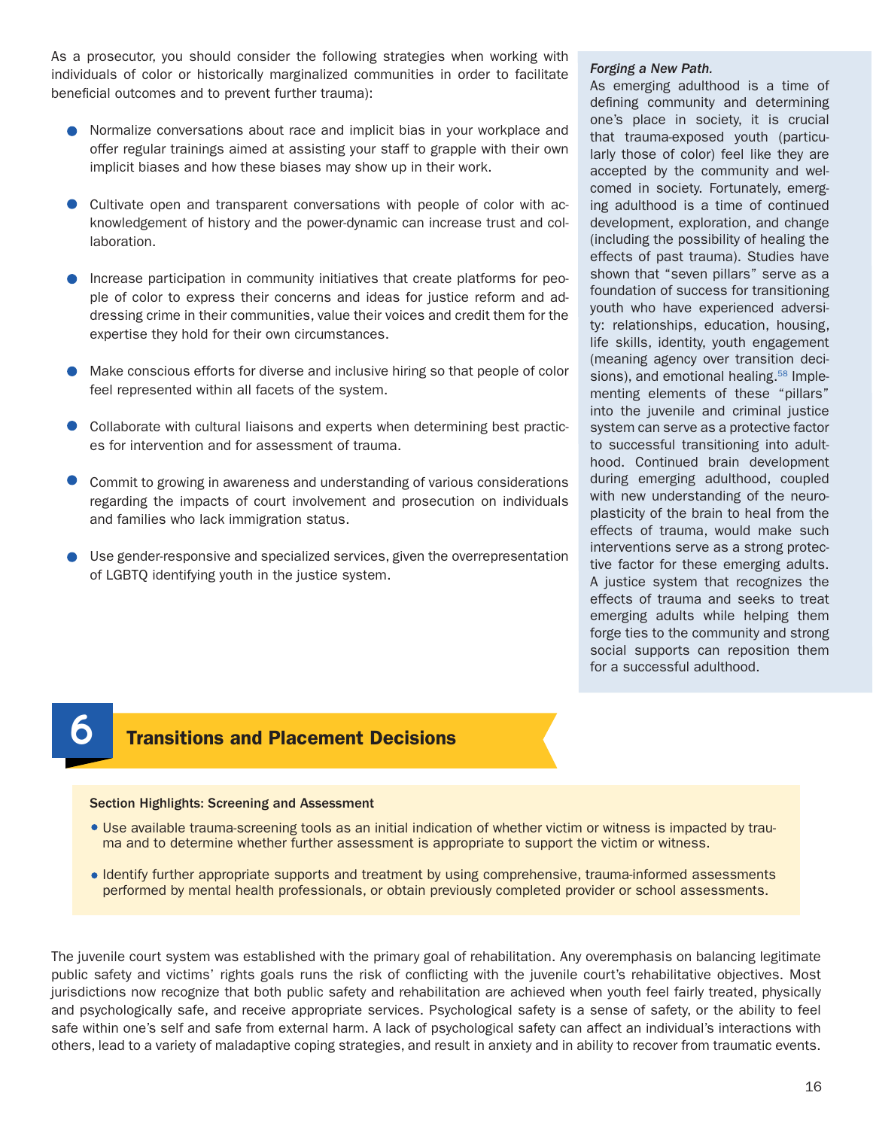As a prosecutor, you should consider the following strategies when working with individuals of color or historically marginalized communities in order to facilitate beneficial outcomes and to prevent further trauma):

- Normalize conversations about race and implicit bias in your workplace and offer regular trainings aimed at assisting your staff to grapple with their own implicit biases and how these biases may show up in their work.
- Cultivate open and transparent conversations with people of color with acknowledgement of history and the power-dynamic can increase trust and collaboration.
- Increase participation in community initiatives that create platforms for people of color to express their concerns and ideas for justice reform and addressing crime in their communities, value their voices and credit them for the expertise they hold for their own circumstances.
- Make conscious efforts for diverse and inclusive hiring so that people of color feel represented within all facets of the system.
- Collaborate with cultural liaisons and experts when determining best practices for intervention and for assessment of trauma.
- Commit to growing in awareness and understanding of various considerations regarding the impacts of court involvement and prosecution on individuals and families who lack immigration status.
- Use gender-responsive and specialized services, given the overrepresentation of LGBTQ identifying youth in the justice system.

### *Forging a New Path.*

As emerging adulthood is a time of defining community and determining one's place in society, it is crucial that trauma-exposed youth (particularly those of color) feel like they are accepted by the community and welcomed in society. Fortunately, emerging adulthood is a time of continued development, exploration, and change (including the possibility of healing the effects of past trauma). Studies have shown that "seven pillars" serve as a foundation of success for transitioning youth who have experienced adversity: relationships, education, housing, life skills, identity, youth engagement (meaning agency over transition decisions), and emotional healing.<sup>58</sup> Implementing elements of these "pillars" into the juvenile and criminal justice system can serve as a protective factor to successful transitioning into adulthood. Continued brain development during emerging adulthood, coupled with new understanding of the neuroplasticity of the brain to heal from the effects of trauma, would make such interventions serve as a strong protective factor for these emerging adults. A justice system that recognizes the effects of trauma and seeks to treat emerging adults while helping them forge ties to the community and strong social supports can reposition them for a successful adulthood.

## **Transitions and Placement Decisions**

#### Section Highlights: Screening and Assessment

- Use available trauma-screening tools as an initial indication of whether victim or witness is impacted by trauma and to determine whether further assessment is appropriate to support the victim or witness.
- Identify further appropriate supports and treatment by using comprehensive, trauma-informed assessments performed by mental health professionals, or obtain previously completed provider or school assessments.

The juvenile court system was established with the primary goal of rehabilitation. Any overemphasis on balancing legitimate public safety and victims' rights goals runs the risk of conflicting with the juvenile court's rehabilitative objectives. Most jurisdictions now recognize that both public safety and rehabilitation are achieved when youth feel fairly treated, physically and psychologically safe, and receive appropriate services. Psychological safety is a sense of safety, or the ability to feel safe within one's self and safe from external harm. A lack of psychological safety can affect an individual's interactions with others, lead to a variety of maladaptive coping strategies, and result in anxiety and in ability to recover from traumatic events.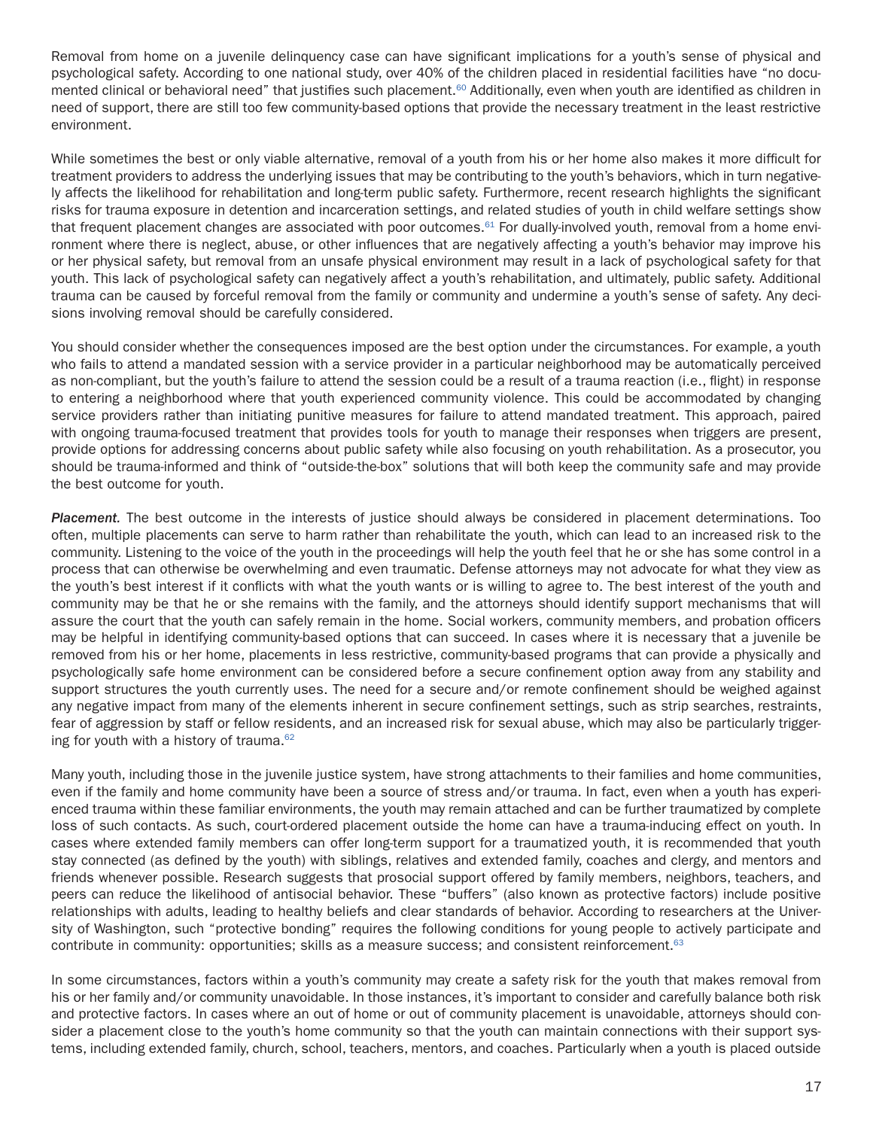Removal from home on a juvenile delinquency case can have significant implications for a youth's sense of physical and psychological safety. According to one national study, over 40% of the children placed in residential facilities have "no documented clinical or behavioral need" that justifies such placement.<sup>60</sup> Additionally, even when youth are identified as children in need of support, there are still too few community-based options that provide the necessary treatment in the least restrictive environment.

While sometimes the best or only viable alternative, removal of a youth from his or her home also makes it more difficult for treatment providers to address the underlying issues that may be contributing to the youth's behaviors, which in turn negatively affects the likelihood for rehabilitation and long-term public safety. Furthermore, recent research highlights the significant risks for trauma exposure in detention and incarceration settings, and related studies of youth in child welfare settings show that frequent placement changes are associated with poor outcomes.<sup>61</sup> For dually-involved youth, removal from a home environment where there is neglect, abuse, or other influences that are negatively affecting a youth's behavior may improve his or her physical safety, but removal from an unsafe physical environment may result in a lack of psychological safety for that youth. This lack of psychological safety can negatively affect a youth's rehabilitation, and ultimately, public safety. Additional trauma can be caused by forceful removal from the family or community and undermine a youth's sense of safety. Any decisions involving removal should be carefully considered.

You should consider whether the consequences imposed are the best option under the circumstances. For example, a youth who fails to attend a mandated session with a service provider in a particular neighborhood may be automatically perceived as non-compliant, but the youth's failure to attend the session could be a result of a trauma reaction (i.e., flight) in response to entering a neighborhood where that youth experienced community violence. This could be accommodated by changing service providers rather than initiating punitive measures for failure to attend mandated treatment. This approach, paired with ongoing trauma-focused treatment that provides tools for youth to manage their responses when triggers are present, provide options for addressing concerns about public safety while also focusing on youth rehabilitation. As a prosecutor, you should be trauma-informed and think of "outside-the-box" solutions that will both keep the community safe and may provide the best outcome for youth.

*Placement.* The best outcome in the interests of justice should always be considered in placement determinations. Too often, multiple placements can serve to harm rather than rehabilitate the youth, which can lead to an increased risk to the community. Listening to the voice of the youth in the proceedings will help the youth feel that he or she has some control in a process that can otherwise be overwhelming and even traumatic. Defense attorneys may not advocate for what they view as the youth's best interest if it conflicts with what the youth wants or is willing to agree to. The best interest of the youth and community may be that he or she remains with the family, and the attorneys should identify support mechanisms that will assure the court that the youth can safely remain in the home. Social workers, community members, and probation officers may be helpful in identifying community-based options that can succeed. In cases where it is necessary that a juvenile be removed from his or her home, placements in less restrictive, community-based programs that can provide a physically and psychologically safe home environment can be considered before a secure confinement option away from any stability and support structures the youth currently uses. The need for a secure and/or remote confinement should be weighed against any negative impact from many of the elements inherent in secure confinement settings, such as strip searches, restraints, fear of aggression by staff or fellow residents, and an increased risk for sexual abuse, which may also be particularly triggering for youth with a history of trauma. $62$ 

Many youth, including those in the juvenile justice system, have strong attachments to their families and home communities, even if the family and home community have been a source of stress and/or trauma. In fact, even when a youth has experienced trauma within these familiar environments, the youth may remain attached and can be further traumatized by complete loss of such contacts. As such, court-ordered placement outside the home can have a trauma-inducing effect on youth. In cases where extended family members can offer long-term support for a traumatized youth, it is recommended that youth stay connected (as defined by the youth) with siblings, relatives and extended family, coaches and clergy, and mentors and friends whenever possible. Research suggests that prosocial support offered by family members, neighbors, teachers, and peers can reduce the likelihood of antisocial behavior. These "buffers" (also known as protective factors) include positive relationships with adults, leading to healthy beliefs and clear standards of behavior. According to researchers at the University of Washington, such "protective bonding" requires the following conditions for young people to actively participate and contribute in community: opportunities; skills as a measure success; and consistent reinforcement.<sup>63</sup>

In some circumstances, factors within a youth's community may create a safety risk for the youth that makes removal from his or her family and/or community unavoidable. In those instances, it's important to consider and carefully balance both risk and protective factors. In cases where an out of home or out of community placement is unavoidable, attorneys should consider a placement close to the youth's home community so that the youth can maintain connections with their support systems, including extended family, church, school, teachers, mentors, and coaches. Particularly when a youth is placed outside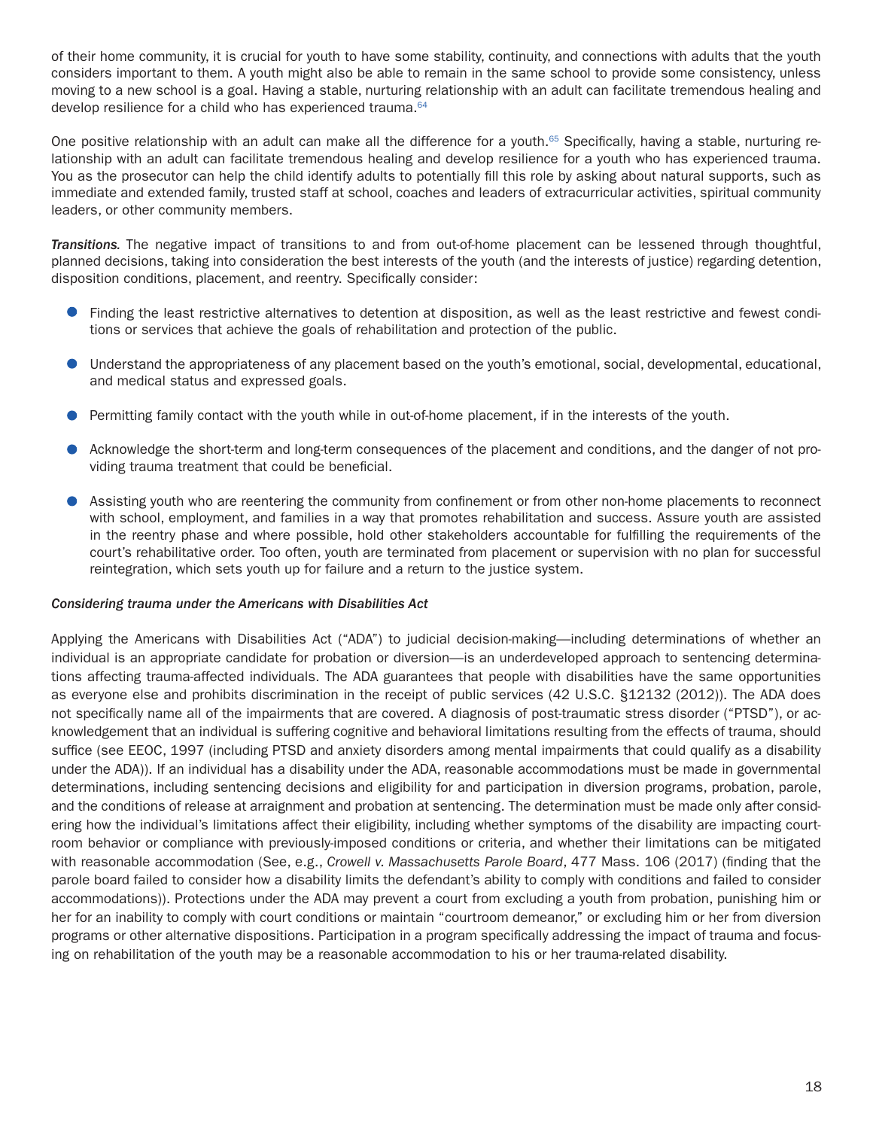of their home community, it is crucial for youth to have some stability, continuity, and connections with adults that the youth considers important to them. A youth might also be able to remain in the same school to provide some consistency, unless moving to a new school is a goal. Having a stable, nurturing relationship with an adult can facilitate tremendous healing and develop resilience for a child who has experienced trauma.<sup>64</sup>

One positive relationship with an adult can make all the difference for a youth.<sup>65</sup> Specifically, having a stable, nurturing relationship with an adult can facilitate tremendous healing and develop resilience for a youth who has experienced trauma. You as the prosecutor can help the child identify adults to potentially fill this role by asking about natural supports, such as immediate and extended family, trusted staff at school, coaches and leaders of extracurricular activities, spiritual community leaders, or other community members.

*Transitions.* The negative impact of transitions to and from out-of-home placement can be lessened through thoughtful, planned decisions, taking into consideration the best interests of the youth (and the interests of justice) regarding detention, disposition conditions, placement, and reentry. Specifically consider:

- Finding the least restrictive alternatives to detention at disposition, as well as the least restrictive and fewest conditions or services that achieve the goals of rehabilitation and protection of the public.
- Understand the appropriateness of any placement based on the youth's emotional, social, developmental, educational,  $\bullet$ and medical status and expressed goals.
- **Permitting family contact with the youth while in out-of-home placement, if in the interests of the youth.**
- Acknowledge the short-term and long-term consequences of the placement and conditions, and the danger of not providing trauma treatment that could be beneficial.
- Assisting youth who are reentering the community from confinement or from other non-home placements to reconnect with school, employment, and families in a way that promotes rehabilitation and success. Assure youth are assisted in the reentry phase and where possible, hold other stakeholders accountable for fulfilling the requirements of the court's rehabilitative order. Too often, youth are terminated from placement or supervision with no plan for successful reintegration, which sets youth up for failure and a return to the justice system.

#### *Considering trauma under the Americans with Disabilities Act*

Applying the Americans with Disabilities Act ("ADA") to judicial decision-making—including determinations of whether an individual is an appropriate candidate for probation or diversion—is an underdeveloped approach to sentencing determinations affecting trauma-affected individuals. The ADA guarantees that people with disabilities have the same opportunities as everyone else and prohibits discrimination in the receipt of public services (42 U.S.C. §12132 (2012)). The ADA does not specifically name all of the impairments that are covered. A diagnosis of post-traumatic stress disorder ("PTSD"), or acknowledgement that an individual is suffering cognitive and behavioral limitations resulting from the effects of trauma, should suffice (see EEOC, 1997 (including PTSD and anxiety disorders among mental impairments that could qualify as a disability under the ADA)). If an individual has a disability under the ADA, reasonable accommodations must be made in governmental determinations, including sentencing decisions and eligibility for and participation in diversion programs, probation, parole, and the conditions of release at arraignment and probation at sentencing. The determination must be made only after considering how the individual's limitations affect their eligibility, including whether symptoms of the disability are impacting courtroom behavior or compliance with previously-imposed conditions or criteria, and whether their limitations can be mitigated with reasonable accommodation (See, e.g., *Crowell v. Massachusetts Parole Board*, 477 Mass. 106 (2017) (finding that the parole board failed to consider how a disability limits the defendant's ability to comply with conditions and failed to consider accommodations)). Protections under the ADA may prevent a court from excluding a youth from probation, punishing him or her for an inability to comply with court conditions or maintain "courtroom demeanor," or excluding him or her from diversion programs or other alternative dispositions. Participation in a program specifically addressing the impact of trauma and focusing on rehabilitation of the youth may be a reasonable accommodation to his or her trauma-related disability.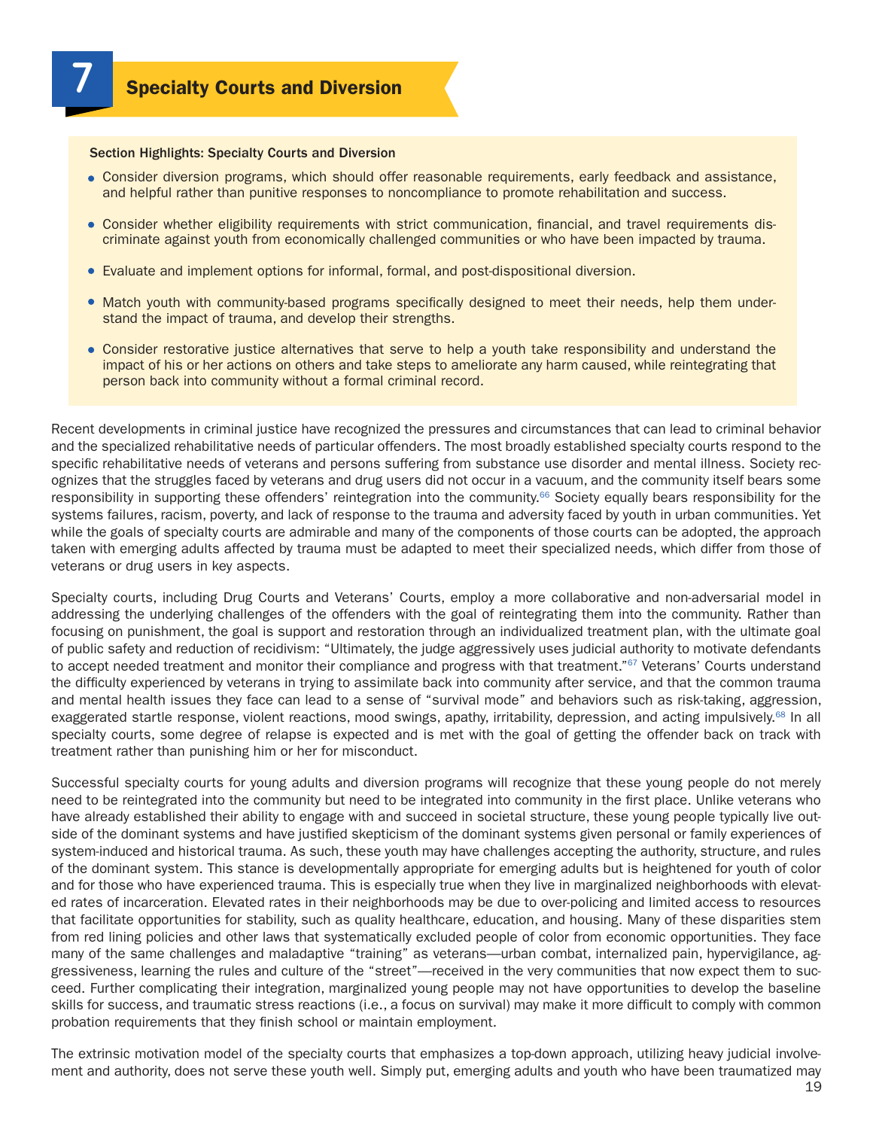#### Section Highlights: Specialty Courts and Diversion

- Consider diversion programs, which should offer reasonable requirements, early feedback and assistance, and helpful rather than punitive responses to noncompliance to promote rehabilitation and success.
- Consider whether eligibility requirements with strict communication, financial, and travel requirements discriminate against youth from economically challenged communities or who have been impacted by trauma.
- Evaluate and implement options for informal, formal, and post-dispositional diversion.
- Match youth with community-based programs specifically designed to meet their needs, help them understand the impact of trauma, and develop their strengths.
- Consider restorative justice alternatives that serve to help a youth take responsibility and understand the impact of his or her actions on others and take steps to ameliorate any harm caused, while reintegrating that person back into community without a formal criminal record.

Recent developments in criminal justice have recognized the pressures and circumstances that can lead to criminal behavior and the specialized rehabilitative needs of particular offenders. The most broadly established specialty courts respond to the specific rehabilitative needs of veterans and persons suffering from substance use disorder and mental illness. Society recognizes that the struggles faced by veterans and drug users did not occur in a vacuum, and the community itself bears some responsibility in supporting these offenders' reintegration into the community.<sup>66</sup> Society equally bears responsibility for the systems failures, racism, poverty, and lack of response to the trauma and adversity faced by youth in urban communities. Yet while the goals of specialty courts are admirable and many of the components of those courts can be adopted, the approach taken with emerging adults affected by trauma must be adapted to meet their specialized needs, which differ from those of veterans or drug users in key aspects.

Specialty courts, including Drug Courts and Veterans' Courts, employ a more collaborative and non-adversarial model in addressing the underlying challenges of the offenders with the goal of reintegrating them into the community. Rather than focusing on punishment, the goal is support and restoration through an individualized treatment plan, with the ultimate goal of public safety and reduction of recidivism: "Ultimately, the judge aggressively uses judicial authority to motivate defendants to accept needed treatment and monitor their compliance and progress with that treatment."<sup>67</sup> Veterans' Courts understand the difficulty experienced by veterans in trying to assimilate back into community after service, and that the common trauma and mental health issues they face can lead to a sense of "survival mode" and behaviors such as risk-taking, aggression, exaggerated startle response, violent reactions, mood swings, apathy, irritability, depression, and acting impulsively.68 In all specialty courts, some degree of relapse is expected and is met with the goal of getting the offender back on track with treatment rather than punishing him or her for misconduct.

Successful specialty courts for young adults and diversion programs will recognize that these young people do not merely need to be reintegrated into the community but need to be integrated into community in the first place. Unlike veterans who have already established their ability to engage with and succeed in societal structure, these young people typically live outside of the dominant systems and have justified skepticism of the dominant systems given personal or family experiences of system-induced and historical trauma. As such, these youth may have challenges accepting the authority, structure, and rules of the dominant system. This stance is developmentally appropriate for emerging adults but is heightened for youth of color and for those who have experienced trauma. This is especially true when they live in marginalized neighborhoods with elevated rates of incarceration. Elevated rates in their neighborhoods may be due to over-policing and limited access to resources that facilitate opportunities for stability, such as quality healthcare, education, and housing. Many of these disparities stem from red lining policies and other laws that systematically excluded people of color from economic opportunities. They face many of the same challenges and maladaptive "training" as veterans—urban combat, internalized pain, hypervigilance, aggressiveness, learning the rules and culture of the "street"—received in the very communities that now expect them to succeed. Further complicating their integration, marginalized young people may not have opportunities to develop the baseline skills for success, and traumatic stress reactions (i.e., a focus on survival) may make it more difficult to comply with common probation requirements that they finish school or maintain employment.

The extrinsic motivation model of the specialty courts that emphasizes a top-down approach, utilizing heavy judicial involvement and authority, does not serve these youth well. Simply put, emerging adults and youth who have been traumatized may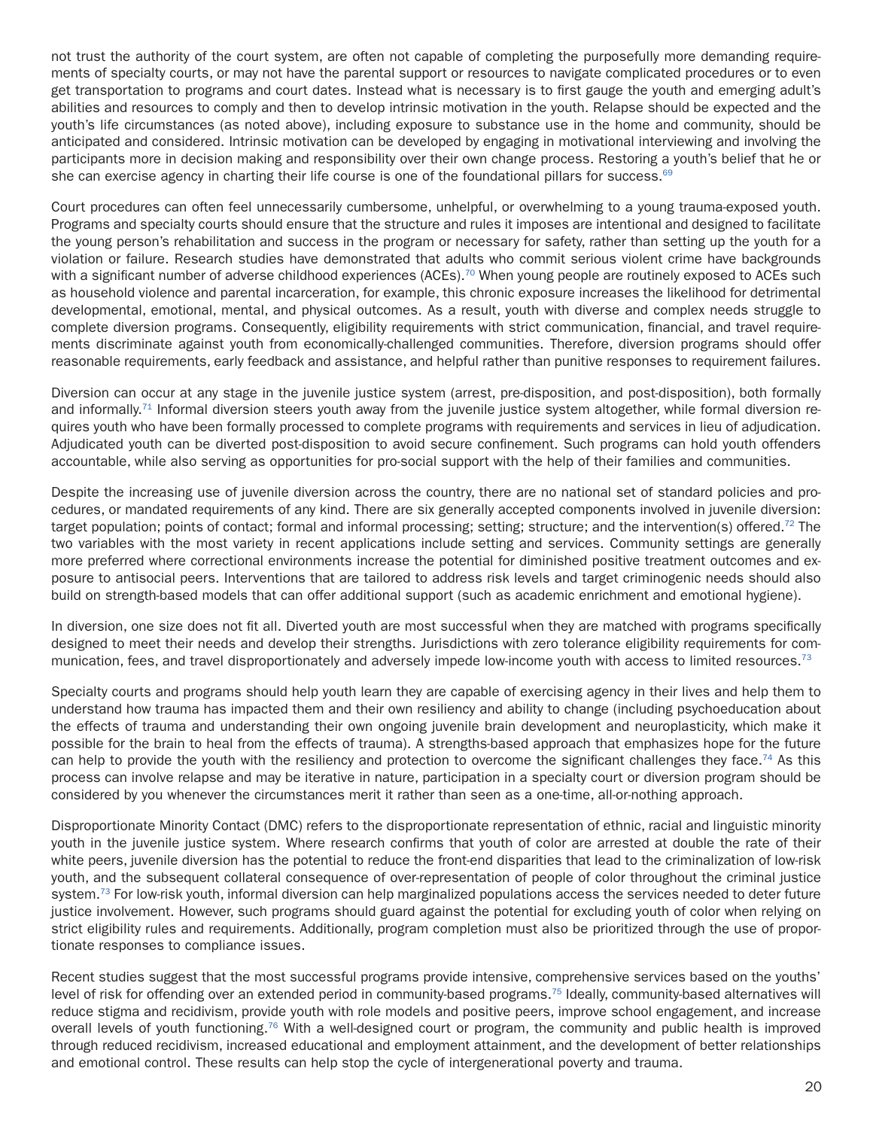not trust the authority of the court system, are often not capable of completing the purposefully more demanding requirements of specialty courts, or may not have the parental support or resources to navigate complicated procedures or to even get transportation to programs and court dates. Instead what is necessary is to first gauge the youth and emerging adult's abilities and resources to comply and then to develop intrinsic motivation in the youth. Relapse should be expected and the youth's life circumstances (as noted above), including exposure to substance use in the home and community, should be anticipated and considered. Intrinsic motivation can be developed by engaging in motivational interviewing and involving the participants more in decision making and responsibility over their own change process. Restoring a youth's belief that he or she can exercise agency in charting their life course is one of the foundational pillars for success.<sup>69</sup>

Court procedures can often feel unnecessarily cumbersome, unhelpful, or overwhelming to a young trauma-exposed youth. Programs and specialty courts should ensure that the structure and rules it imposes are intentional and designed to facilitate the young person's rehabilitation and success in the program or necessary for safety, rather than setting up the youth for a violation or failure. Research studies have demonstrated that adults who commit serious violent crime have backgrounds with a significant number of adverse childhood experiences (ACEs).<sup>70</sup> When young people are routinely exposed to ACEs such as household violence and parental incarceration, for example, this chronic exposure increases the likelihood for detrimental developmental, emotional, mental, and physical outcomes. As a result, youth with diverse and complex needs struggle to complete diversion programs. Consequently, eligibility requirements with strict communication, financial, and travel requirements discriminate against youth from economically-challenged communities. Therefore, diversion programs should offer reasonable requirements, early feedback and assistance, and helpful rather than punitive responses to requirement failures.

Diversion can occur at any stage in the juvenile justice system (arrest, pre-disposition, and post-disposition), both formally and informally.<sup>71</sup> Informal diversion steers youth away from the juvenile justice system altogether, while formal diversion requires youth who have been formally processed to complete programs with requirements and services in lieu of adjudication. Adjudicated youth can be diverted post-disposition to avoid secure confinement. Such programs can hold youth offenders accountable, while also serving as opportunities for pro-social support with the help of their families and communities.

Despite the increasing use of juvenile diversion across the country, there are no national set of standard policies and procedures, or mandated requirements of any kind. There are six generally accepted components involved in juvenile diversion: target population; points of contact; formal and informal processing; setting; structure; and the intervention(s) offered.<sup>72</sup> The two variables with the most variety in recent applications include setting and services. Community settings are generally more preferred where correctional environments increase the potential for diminished positive treatment outcomes and exposure to antisocial peers. Interventions that are tailored to address risk levels and target criminogenic needs should also build on strength-based models that can offer additional support (such as academic enrichment and emotional hygiene).

In diversion, one size does not fit all. Diverted youth are most successful when they are matched with programs specifically designed to meet their needs and develop their strengths. Jurisdictions with zero tolerance eligibility requirements for communication, fees, and travel disproportionately and adversely impede low-income youth with access to limited resources.<sup>73</sup>

Specialty courts and programs should help youth learn they are capable of exercising agency in their lives and help them to understand how trauma has impacted them and their own resiliency and ability to change (including psychoeducation about the effects of trauma and understanding their own ongoing juvenile brain development and neuroplasticity, which make it possible for the brain to heal from the effects of trauma). A strengths-based approach that emphasizes hope for the future can help to provide the youth with the resiliency and protection to overcome the significant challenges they face.<sup>74</sup> As this process can involve relapse and may be iterative in nature, participation in a specialty court or diversion program should be considered by you whenever the circumstances merit it rather than seen as a one-time, all-or-nothing approach.

Disproportionate Minority Contact (DMC) refers to the disproportionate representation of ethnic, racial and linguistic minority youth in the juvenile justice system. Where research confirms that youth of color are arrested at double the rate of their white peers, juvenile diversion has the potential to reduce the front-end disparities that lead to the criminalization of low-risk youth, and the subsequent collateral consequence of over-representation of people of color throughout the criminal justice system.<sup>73</sup> For low-risk youth, informal diversion can help marginalized populations access the services needed to deter future justice involvement. However, such programs should guard against the potential for excluding youth of color when relying on strict eligibility rules and requirements. Additionally, program completion must also be prioritized through the use of proportionate responses to compliance issues.

Recent studies suggest that the most successful programs provide intensive, comprehensive services based on the youths' level of risk for offending over an extended period in community-based programs.75 Ideally, community-based alternatives will reduce stigma and recidivism, provide youth with role models and positive peers, improve school engagement, and increase overall levels of youth functioning.76 With a well-designed court or program, the community and public health is improved through reduced recidivism, increased educational and employment attainment, and the development of better relationships and emotional control. These results can help stop the cycle of intergenerational poverty and trauma.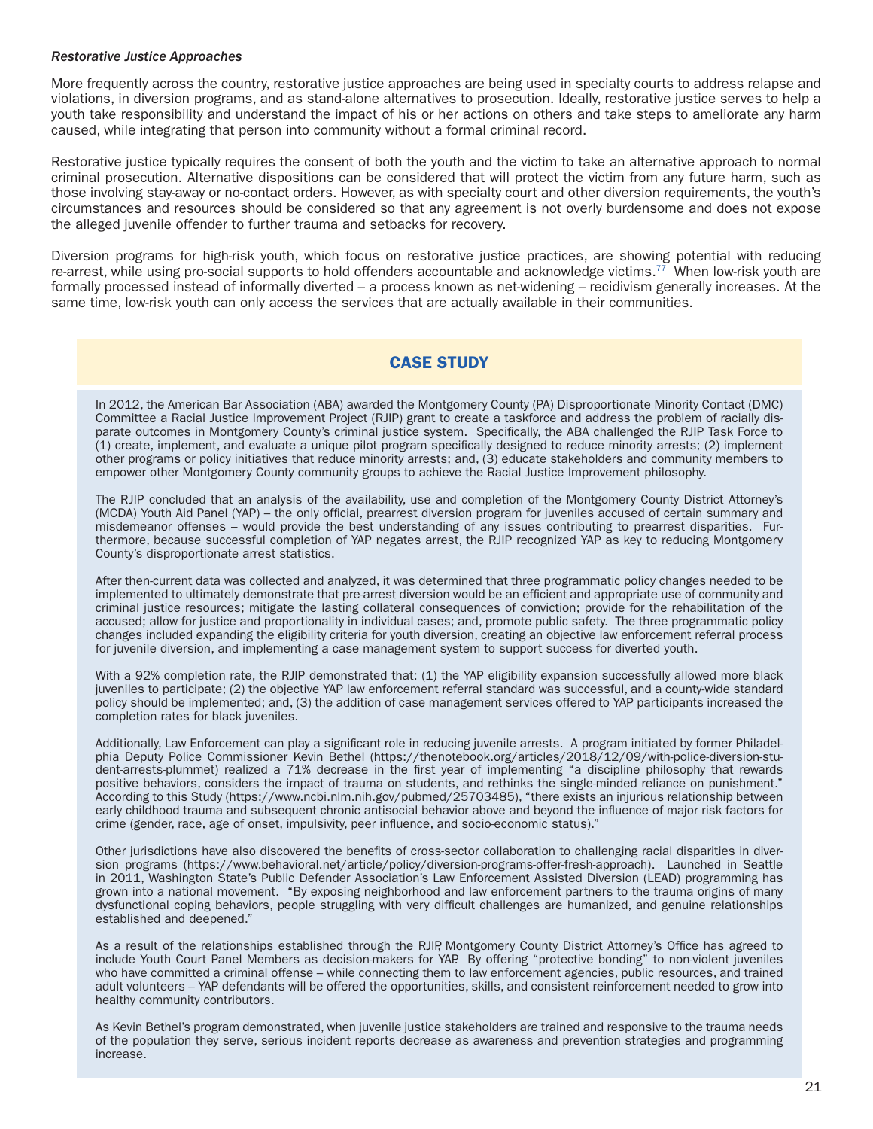#### *Restorative Justice Approaches*

More frequently across the country, restorative justice approaches are being used in specialty courts to address relapse and violations, in diversion programs, and as stand-alone alternatives to prosecution. Ideally, restorative justice serves to help a youth take responsibility and understand the impact of his or her actions on others and take steps to ameliorate any harm caused, while integrating that person into community without a formal criminal record.

Restorative justice typically requires the consent of both the youth and the victim to take an alternative approach to normal criminal prosecution. Alternative dispositions can be considered that will protect the victim from any future harm, such as those involving stay-away or no-contact orders. However, as with specialty court and other diversion requirements, the youth's circumstances and resources should be considered so that any agreement is not overly burdensome and does not expose the alleged juvenile offender to further trauma and setbacks for recovery.

Diversion programs for high-risk youth, which focus on restorative justice practices, are showing potential with reducing re-arrest, while using pro-social supports to hold offenders accountable and acknowledge victims.<sup>77</sup> When low-risk youth are formally processed instead of informally diverted – a process known as net-widening – recidivism generally increases. At the same time, low-risk youth can only access the services that are actually available in their communities.

## CASE STUDY

In 2012, the American Bar Association (ABA) awarded the Montgomery County (PA) Disproportionate Minority Contact (DMC) Committee a Racial Justice Improvement Project (RJIP) grant to create a taskforce and address the problem of racially disparate outcomes in Montgomery County's criminal justice system. Specifically, the ABA challenged the RJIP Task Force to (1) create, implement, and evaluate a unique pilot program specifically designed to reduce minority arrests; (2) implement other programs or policy initiatives that reduce minority arrests; and, (3) educate stakeholders and community members to empower other Montgomery County community groups to achieve the Racial Justice Improvement philosophy.

The RJIP concluded that an analysis of the availability, use and completion of the Montgomery County District Attorney's (MCDA) Youth Aid Panel (YAP) – the only official, prearrest diversion program for juveniles accused of certain summary and misdemeanor offenses – would provide the best understanding of any issues contributing to prearrest disparities. Furthermore, because successful completion of YAP negates arrest, the RJIP recognized YAP as key to reducing Montgomery County's disproportionate arrest statistics.

After then-current data was collected and analyzed, it was determined that three programmatic policy changes needed to be implemented to ultimately demonstrate that pre-arrest diversion would be an efficient and appropriate use of community and criminal justice resources; mitigate the lasting collateral consequences of conviction; provide for the rehabilitation of the accused; allow for justice and proportionality in individual cases; and, promote public safety. The three programmatic policy changes included expanding the eligibility criteria for youth diversion, creating an objective law enforcement referral process for juvenile diversion, and implementing a case management system to support success for diverted youth.

With a 92% completion rate, the RJIP demonstrated that: (1) the YAP eligibility expansion successfully allowed more black juveniles to participate; (2) the objective YAP law enforcement referral standard was successful, and a county-wide standard policy should be implemented; and, (3) the addition of case management services offered to YAP participants increased the completion rates for black juveniles.

Additionally, Law Enforcement can play a significant role in reducing juvenile arrests. A program initiated by former Philadelphia Deputy Police Commissioner Kevin Bethel [\(https://thenotebook.org/articles/2018/12/09/with-police-diversion-stu](https://thenotebook.org/articles/2018/12/09/with-police-diversion-student-arrests-plummet)[dent-arrests-plummet\)](https://thenotebook.org/articles/2018/12/09/with-police-diversion-student-arrests-plummet) realized a 71% decrease in the first year of implementing "a discipline philosophy that rewards positive behaviors, considers the impact of trauma on students, and rethinks the single-minded reliance on punishment." According to this Study (<https://www.ncbi.nlm.nih.gov/pubmed/25703485>), "there exists an injurious relationship between early childhood trauma and subsequent chronic antisocial behavior above and beyond the influence of major risk factors for crime (gender, race, age of onset, impulsivity, peer influence, and socio-economic status)."

Other jurisdictions have also discovered the benefits of cross-sector collaboration to challenging racial disparities in diversion programs [\(https://www.behavioral.net/article/policy/diversion-programs-offer-fresh-approach](https://www.behavioral.net/article/policy/diversion-programs-offer-fresh-approach)). Launched in Seattle in 2011, Washington State's Public Defender Association's Law Enforcement Assisted Diversion (LEAD) programming has grown into a national movement. "By exposing neighborhood and law enforcement partners to the trauma origins of many dysfunctional coping behaviors, people struggling with very difficult challenges are humanized, and genuine relationships established and deepened."

As a result of the relationships established through the RJIP, Montgomery County District Attorney's Office has agreed to include Youth Court Panel Members as decision-makers for YAP. By offering "protective bonding" to non-violent juveniles who have committed a criminal offense – while connecting them to law enforcement agencies, public resources, and trained adult volunteers – YAP defendants will be offered the opportunities, skills, and consistent reinforcement needed to grow into healthy community contributors.

As Kevin Bethel's program demonstrated, when juvenile justice stakeholders are trained and responsive to the trauma needs of the population they serve, serious incident reports decrease as awareness and prevention strategies and programming increase.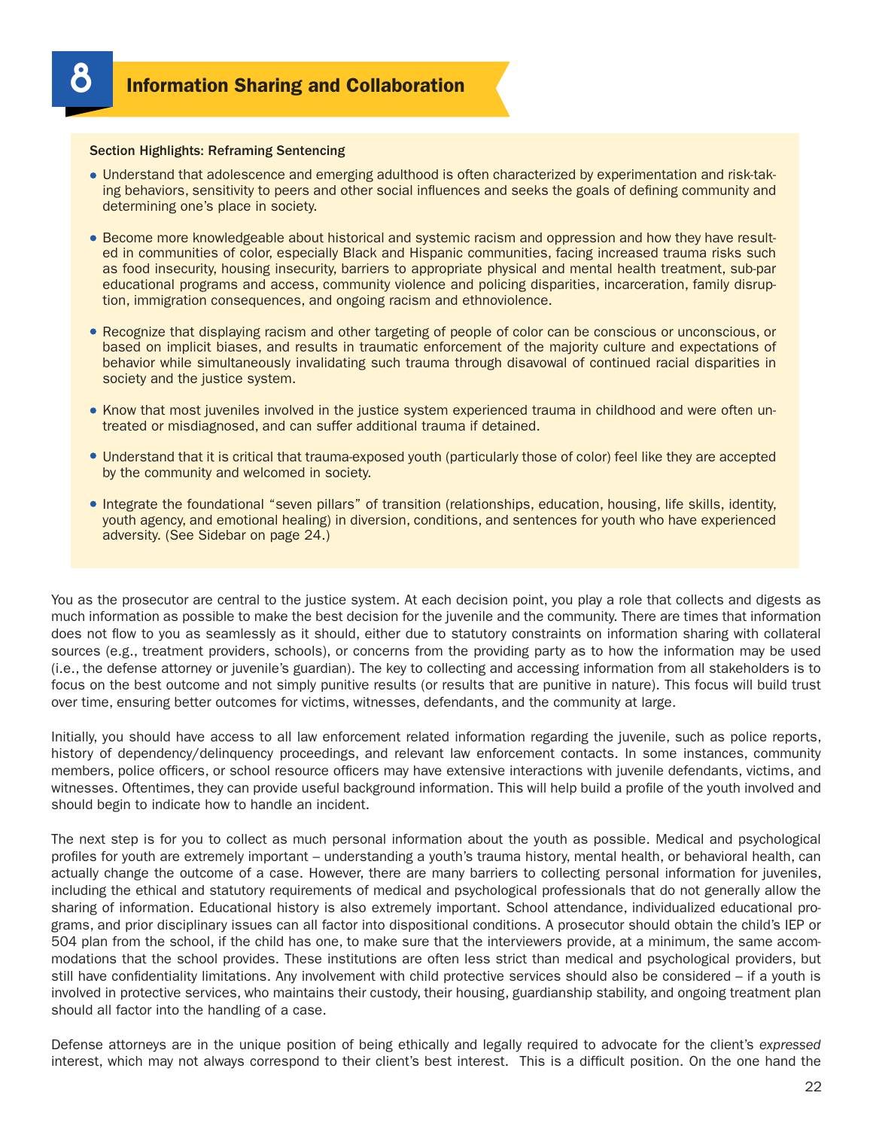#### Section Highlights: Reframing Sentencing

- Understand that adolescence and emerging adulthood is often characterized by experimentation and risk-taking behaviors, sensitivity to peers and other social influences and seeks the goals of defining community and determining one's place in society.
- Become more knowledgeable about historical and systemic racism and oppression and how they have resulted in communities of color, especially Black and Hispanic communities, facing increased trauma risks such as food insecurity, housing insecurity, barriers to appropriate physical and mental health treatment, sub-par educational programs and access, community violence and policing disparities, incarceration, family disruption, immigration consequences, and ongoing racism and ethnoviolence.
- Recognize that displaying racism and other targeting of people of color can be conscious or unconscious, or based on implicit biases, and results in traumatic enforcement of the majority culture and expectations of behavior while simultaneously invalidating such trauma through disavowal of continued racial disparities in society and the justice system.
- Know that most juveniles involved in the justice system experienced trauma in childhood and were often untreated or misdiagnosed, and can suffer additional trauma if detained.
- Understand that it is critical that trauma-exposed youth (particularly those of color) feel like they are accepted by the community and welcomed in society.
- Integrate the foundational "seven pillars" of transition (relationships, education, housing, life skills, identity, youth agency, and emotional healing) in diversion, conditions, and sentences for youth who have experienced adversity. (See Sidebar on page 24.)

You as the prosecutor are central to the justice system. At each decision point, you play a role that collects and digests as much information as possible to make the best decision for the juvenile and the community. There are times that information does not flow to you as seamlessly as it should, either due to statutory constraints on information sharing with collateral sources (e.g., treatment providers, schools), or concerns from the providing party as to how the information may be used (i.e., the defense attorney or juvenile's guardian). The key to collecting and accessing information from all stakeholders is to focus on the best outcome and not simply punitive results (or results that are punitive in nature). This focus will build trust over time, ensuring better outcomes for victims, witnesses, defendants, and the community at large.

Initially, you should have access to all law enforcement related information regarding the juvenile, such as police reports, history of dependency/delinquency proceedings, and relevant law enforcement contacts. In some instances, community members, police officers, or school resource officers may have extensive interactions with juvenile defendants, victims, and witnesses. Oftentimes, they can provide useful background information. This will help build a profile of the youth involved and should begin to indicate how to handle an incident.

The next step is for you to collect as much personal information about the youth as possible. Medical and psychological profiles for youth are extremely important – understanding a youth's trauma history, mental health, or behavioral health, can actually change the outcome of a case. However, there are many barriers to collecting personal information for juveniles, including the ethical and statutory requirements of medical and psychological professionals that do not generally allow the sharing of information. Educational history is also extremely important. School attendance, individualized educational programs, and prior disciplinary issues can all factor into dispositional conditions. A prosecutor should obtain the child's IEP or 504 plan from the school, if the child has one, to make sure that the interviewers provide, at a minimum, the same accommodations that the school provides. These institutions are often less strict than medical and psychological providers, but still have confidentiality limitations. Any involvement with child protective services should also be considered – if a youth is involved in protective services, who maintains their custody, their housing, guardianship stability, and ongoing treatment plan should all factor into the handling of a case.

Defense attorneys are in the unique position of being ethically and legally required to advocate for the client's *expressed* interest, which may not always correspond to their client's best interest. This is a difficult position. On the one hand the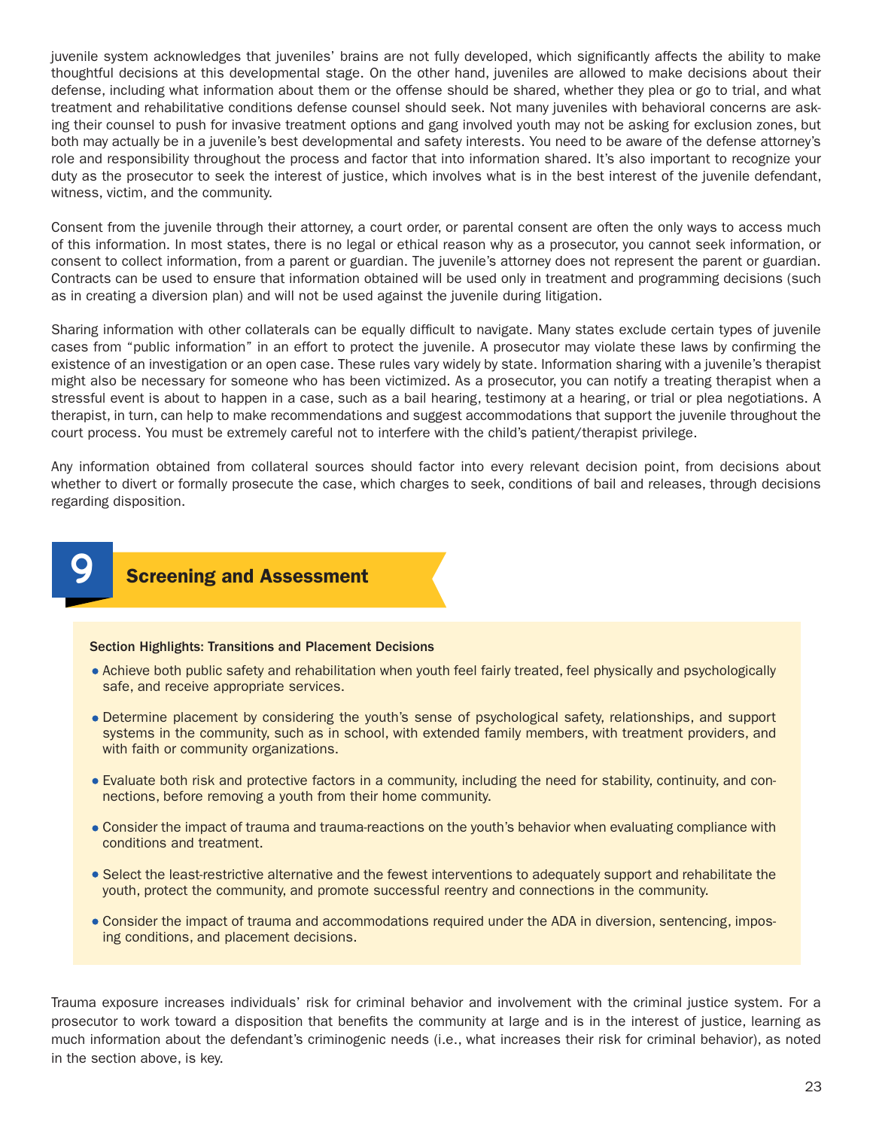juvenile system acknowledges that juveniles' brains are not fully developed, which significantly affects the ability to make thoughtful decisions at this developmental stage. On the other hand, juveniles are allowed to make decisions about their defense, including what information about them or the offense should be shared, whether they plea or go to trial, and what treatment and rehabilitative conditions defense counsel should seek. Not many juveniles with behavioral concerns are asking their counsel to push for invasive treatment options and gang involved youth may not be asking for exclusion zones, but both may actually be in a juvenile's best developmental and safety interests. You need to be aware of the defense attorney's role and responsibility throughout the process and factor that into information shared. It's also important to recognize your duty as the prosecutor to seek the interest of justice, which involves what is in the best interest of the juvenile defendant, witness, victim, and the community.

Consent from the juvenile through their attorney, a court order, or parental consent are often the only ways to access much of this information. In most states, there is no legal or ethical reason why as a prosecutor, you cannot seek information, or consent to collect information, from a parent or guardian. The juvenile's attorney does not represent the parent or guardian. Contracts can be used to ensure that information obtained will be used only in treatment and programming decisions (such as in creating a diversion plan) and will not be used against the juvenile during litigation.

Sharing information with other collaterals can be equally difficult to navigate. Many states exclude certain types of juvenile cases from "public information" in an effort to protect the juvenile. A prosecutor may violate these laws by confirming the existence of an investigation or an open case. These rules vary widely by state. Information sharing with a juvenile's therapist might also be necessary for someone who has been victimized. As a prosecutor, you can notify a treating therapist when a stressful event is about to happen in a case, such as a bail hearing, testimony at a hearing, or trial or plea negotiations. A therapist, in turn, can help to make recommendations and suggest accommodations that support the juvenile throughout the court process. You must be extremely careful not to interfere with the child's patient/therapist privilege.

Any information obtained from collateral sources should factor into every relevant decision point, from decisions about whether to divert or formally prosecute the case, which charges to seek, conditions of bail and releases, through decisions regarding disposition.



#### Section Highlights: Transitions and Placement Decisions

- Achieve both public safety and rehabilitation when youth feel fairly treated, feel physically and psychologically safe, and receive appropriate services.
- Determine placement by considering the youth's sense of psychological safety, relationships, and support systems in the community, such as in school, with extended family members, with treatment providers, and with faith or community organizations.
- Evaluate both risk and protective factors in a community, including the need for stability, continuity, and connections, before removing a youth from their home community.
- Consider the impact of trauma and trauma-reactions on the youth's behavior when evaluating compliance with conditions and treatment.
- Select the least-restrictive alternative and the fewest interventions to adequately support and rehabilitate the youth, protect the community, and promote successful reentry and connections in the community.
- Consider the impact of trauma and accommodations required under the ADA in diversion, sentencing, imposing conditions, and placement decisions.

Trauma exposure increases individuals' risk for criminal behavior and involvement with the criminal justice system. For a prosecutor to work toward a disposition that benefits the community at large and is in the interest of justice, learning as much information about the defendant's criminogenic needs (i.e., what increases their risk for criminal behavior), as noted in the section above, is key.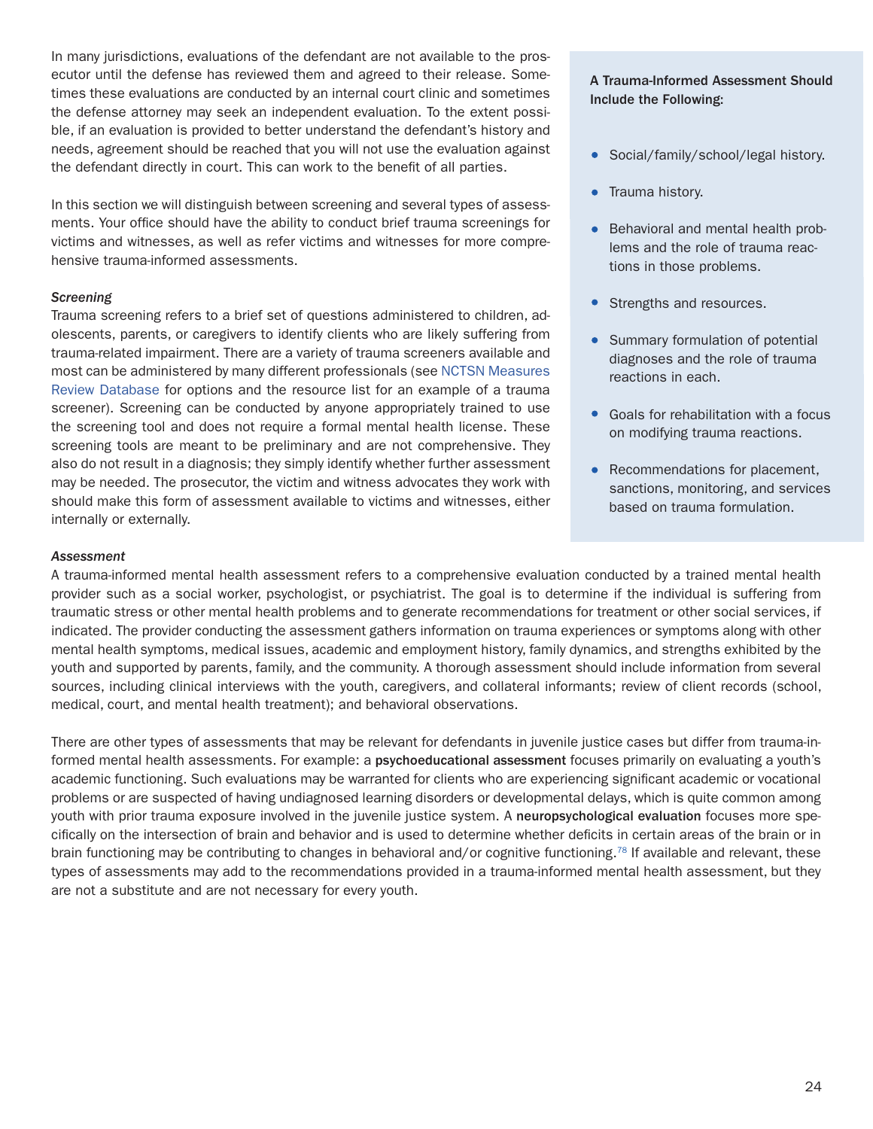In many jurisdictions, evaluations of the defendant are not available to the prosecutor until the defense has reviewed them and agreed to their release. Sometimes these evaluations are conducted by an internal court clinic and sometimes the defense attorney may seek an independent evaluation. To the extent possible, if an evaluation is provided to better understand the defendant's history and needs, agreement should be reached that you will not use the evaluation against the defendant directly in court. This can work to the benefit of all parties.

In this section we will distinguish between screening and several types of assessments. Your office should have the ability to conduct brief trauma screenings for victims and witnesses, as well as refer victims and witnesses for more comprehensive trauma-informed assessments.

#### *Screening*

Trauma screening refers to a brief set of questions administered to children, adolescents, parents, or caregivers to identify clients who are likely suffering from trauma-related impairment. There are a variety of trauma screeners available and most can be administered by many different professionals (see [NCTSN Measures](https://www.nctsn.org/treatments-and-practices/screening-and-assessments/measure-reviews/all-measure-reviews) [Review Database](https://www.nctsn.org/treatments-and-practices/screening-and-assessments/measure-reviews/all-measure-reviews) for options and the resource list for an example of a trauma screener). Screening can be conducted by anyone appropriately trained to use the screening tool and does not require a formal mental health license. These screening tools are meant to be preliminary and are not comprehensive. They also do not result in a diagnosis; they simply identify whether further assessment may be needed. The prosecutor, the victim and witness advocates they work with should make this form of assessment available to victims and witnesses, either internally or externally.

#### A Trauma-Informed Assessment Should Include the Following:

- Social/family/school/legal history.
- Trauma history.
- Behavioral and mental health problems and the role of trauma reactions in those problems.
- Strengths and resources.
- Summary formulation of potential diagnoses and the role of trauma reactions in each.
- Goals for rehabilitation with a focus on modifying trauma reactions.
- Recommendations for placement, sanctions, monitoring, and services based on trauma formulation.

#### *Assessment*

A trauma-informed mental health assessment refers to a comprehensive evaluation conducted by a trained mental health provider such as a social worker, psychologist, or psychiatrist. The goal is to determine if the individual is suffering from traumatic stress or other mental health problems and to generate recommendations for treatment or other social services, if indicated. The provider conducting the assessment gathers information on trauma experiences or symptoms along with other mental health symptoms, medical issues, academic and employment history, family dynamics, and strengths exhibited by the youth and supported by parents, family, and the community. A thorough assessment should include information from several sources, including clinical interviews with the youth, caregivers, and collateral informants; review of client records (school, medical, court, and mental health treatment); and behavioral observations.

There are other types of assessments that may be relevant for defendants in juvenile justice cases but differ from trauma-informed mental health assessments. For example: a psychoeducational assessment focuses primarily on evaluating a youth's academic functioning. Such evaluations may be warranted for clients who are experiencing significant academic or vocational problems or are suspected of having undiagnosed learning disorders or developmental delays, which is quite common among youth with prior trauma exposure involved in the juvenile justice system. A neuropsychological evaluation focuses more specifically on the intersection of brain and behavior and is used to determine whether deficits in certain areas of the brain or in brain functioning may be contributing to changes in behavioral and/or cognitive functioning.<sup>78</sup> If available and relevant, these types of assessments may add to the recommendations provided in a trauma-informed mental health assessment, but they are not a substitute and are not necessary for every youth.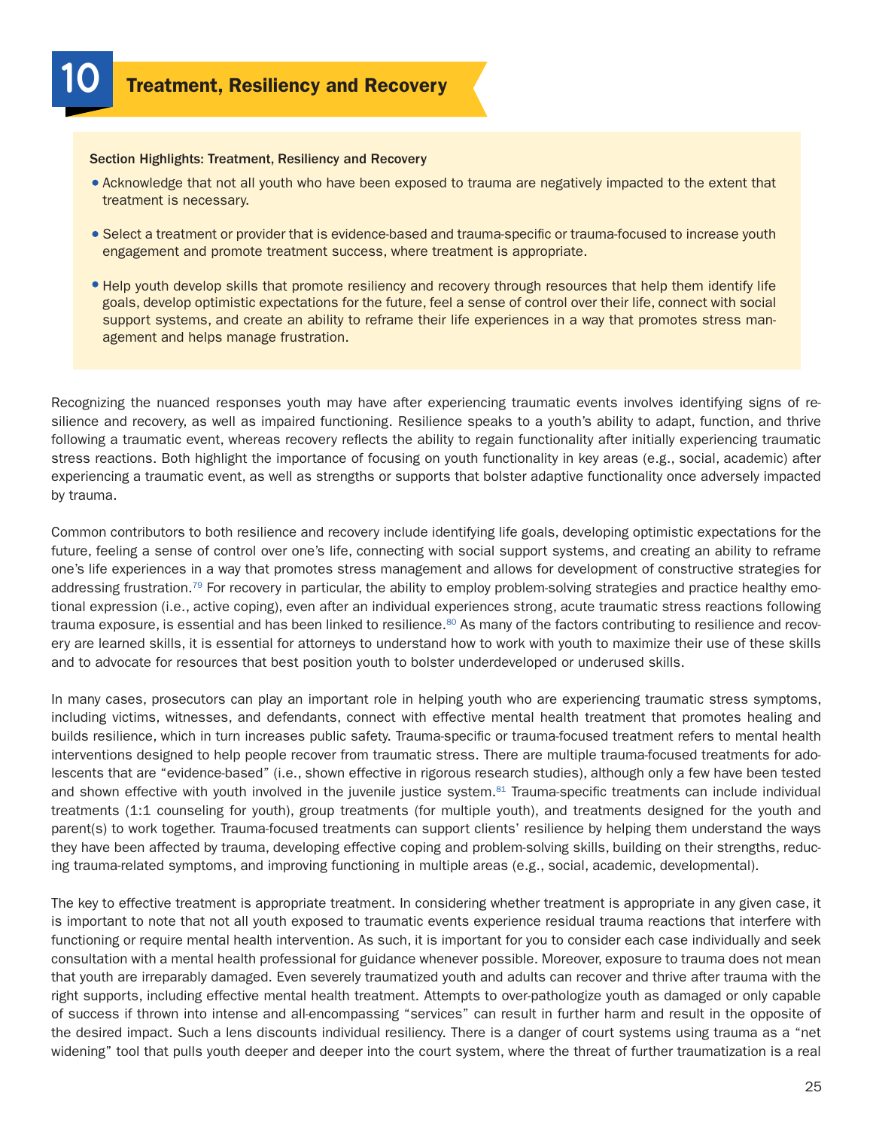**Treatment, Resiliency and Recovery** 

#### Section Highlights: Treatment, Resiliency and Recovery

- Acknowledge that not all youth who have been exposed to trauma are negatively impacted to the extent that treatment is necessary.
- Select a treatment or provider that is evidence-based and trauma-specific or trauma-focused to increase youth engagement and promote treatment success, where treatment is appropriate.
- Help youth develop skills that promote resiliency and recovery through resources that help them identify life goals, develop optimistic expectations for the future, feel a sense of control over their life, connect with social support systems, and create an ability to reframe their life experiences in a way that promotes stress management and helps manage frustration.

Recognizing the nuanced responses youth may have after experiencing traumatic events involves identifying signs of resilience and recovery, as well as impaired functioning. Resilience speaks to a youth's ability to adapt, function, and thrive following a traumatic event, whereas recovery reflects the ability to regain functionality after initially experiencing traumatic stress reactions. Both highlight the importance of focusing on youth functionality in key areas (e.g., social, academic) after experiencing a traumatic event, as well as strengths or supports that bolster adaptive functionality once adversely impacted by trauma.

Common contributors to both resilience and recovery include identifying life goals, developing optimistic expectations for the future, feeling a sense of control over one's life, connecting with social support systems, and creating an ability to reframe one's life experiences in a way that promotes stress management and allows for development of constructive strategies for addressing frustration.<sup>79</sup> For recovery in particular, the ability to employ problem-solving strategies and practice healthy emotional expression (i.e., active coping), even after an individual experiences strong, acute traumatic stress reactions following trauma exposure, is essential and has been linked to resilience.<sup>80</sup> As many of the factors contributing to resilience and recovery are learned skills, it is essential for attorneys to understand how to work with youth to maximize their use of these skills and to advocate for resources that best position youth to bolster underdeveloped or underused skills.

In many cases, prosecutors can play an important role in helping youth who are experiencing traumatic stress symptoms, including victims, witnesses, and defendants, connect with effective mental health treatment that promotes healing and builds resilience, which in turn increases public safety. Trauma-specific or trauma-focused treatment refers to mental health interventions designed to help people recover from traumatic stress. There are multiple trauma-focused treatments for adolescents that are "evidence-based" (i.e., shown effective in rigorous research studies), although only a few have been tested and shown effective with youth involved in the juvenile justice system.<sup>81</sup> Trauma-specific treatments can include individual treatments (1:1 counseling for youth), group treatments (for multiple youth), and treatments designed for the youth and parent(s) to work together. Trauma-focused treatments can support clients' resilience by helping them understand the ways they have been affected by trauma, developing effective coping and problem-solving skills, building on their strengths, reducing trauma-related symptoms, and improving functioning in multiple areas (e.g., social, academic, developmental).

The key to effective treatment is appropriate treatment. In considering whether treatment is appropriate in any given case, it is important to note that not all youth exposed to traumatic events experience residual trauma reactions that interfere with functioning or require mental health intervention. As such, it is important for you to consider each case individually and seek consultation with a mental health professional for guidance whenever possible. Moreover, exposure to trauma does not mean that youth are irreparably damaged. Even severely traumatized youth and adults can recover and thrive after trauma with the right supports, including effective mental health treatment. Attempts to over-pathologize youth as damaged or only capable of success if thrown into intense and all-encompassing "services" can result in further harm and result in the opposite of the desired impact. Such a lens discounts individual resiliency. There is a danger of court systems using trauma as a "net widening" tool that pulls youth deeper and deeper into the court system, where the threat of further traumatization is a real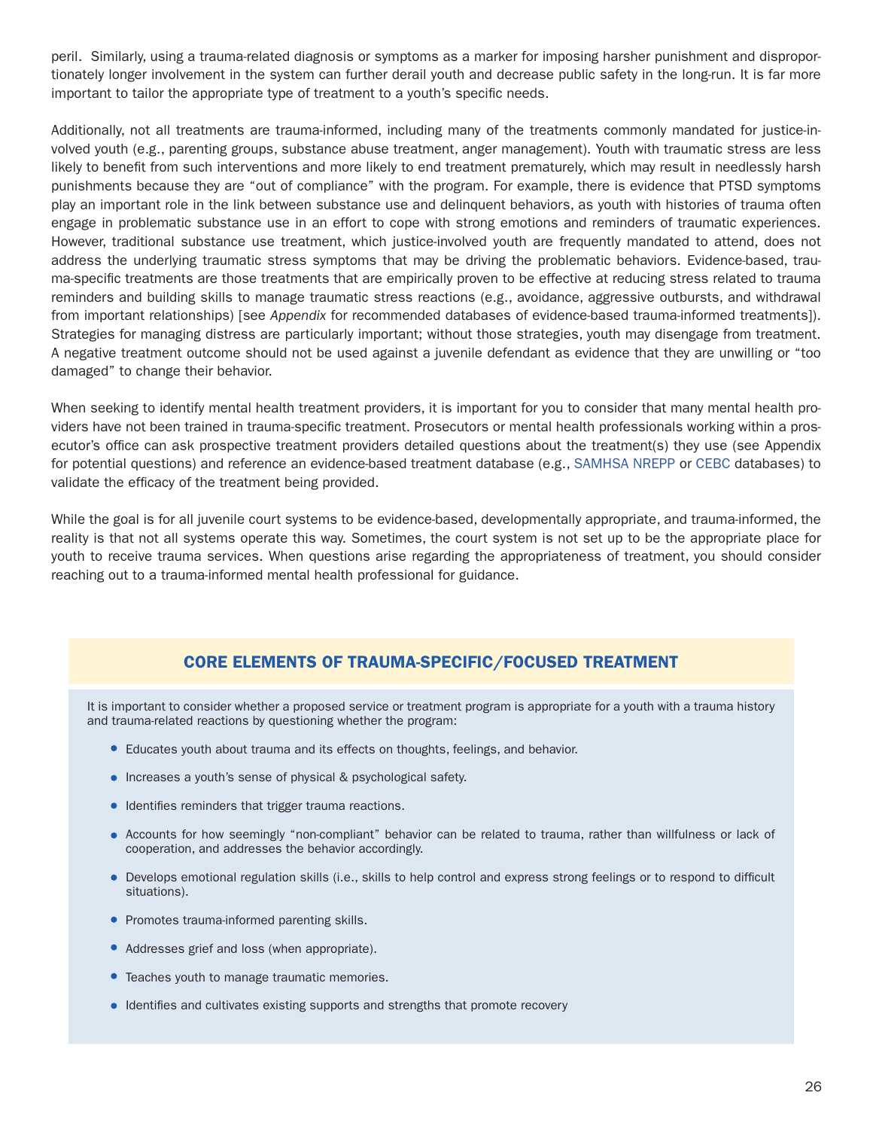peril. Similarly, using a trauma-related diagnosis or symptoms as a marker for imposing harsher punishment and disproportionately longer involvement in the system can further derail youth and decrease public safety in the long-run. It is far more important to tailor the appropriate type of treatment to a youth's specific needs.

Additionally, not all treatments are trauma-informed, including many of the treatments commonly mandated for justice-involved youth (e.g., parenting groups, substance abuse treatment, anger management). Youth with traumatic stress are less likely to benefit from such interventions and more likely to end treatment prematurely, which may result in needlessly harsh punishments because they are "out of compliance" with the program. For example, there is evidence that PTSD symptoms play an important role in the link between substance use and delinquent behaviors, as youth with histories of trauma often engage in problematic substance use in an effort to cope with strong emotions and reminders of traumatic experiences. However, traditional substance use treatment, which justice-involved youth are frequently mandated to attend, does not address the underlying traumatic stress symptoms that may be driving the problematic behaviors. Evidence-based, trauma-specific treatments are those treatments that are empirically proven to be effective at reducing stress related to trauma reminders and building skills to manage traumatic stress reactions (e.g., avoidance, aggressive outbursts, and withdrawal from important relationships) [see *Appendix* for recommended databases of evidence-based trauma-informed treatments]). Strategies for managing distress are particularly important; without those strategies, youth may disengage from treatment. A negative treatment outcome should not be used against a juvenile defendant as evidence that they are unwilling or "too damaged" to change their behavior.

When seeking to identify mental health treatment providers, it is important for you to consider that many mental health providers have not been trained in trauma-specific treatment. Prosecutors or mental health professionals working within a prosecutor's office can ask prospective treatment providers detailed questions about the treatment(s) they use (see Appendix for potential questions) and reference an evidence-based treatment database (e.g., [SAMHSA](https://www.samhsa.gov/nrepp) [NREPP](https://www.samhsa.gov/nrepp) or [CEBC](http://www.cebc4cw.org/) databases) to validate the efficacy of the treatment being provided.

While the goal is for all juvenile court systems to be evidence-based, developmentally appropriate, and trauma-informed, the reality is that not all systems operate this way. Sometimes, the court system is not set up to be the appropriate place for youth to receive trauma services. When questions arise regarding the appropriateness of treatment, you should consider reaching out to a trauma-informed mental health professional for guidance.

## CORE ELEMENTS OF TRAUMA-SPECIFIC/FOCUSED TREATMENT

It is important to consider whether a proposed service or treatment program is appropriate for a youth with a trauma history and trauma-related reactions by questioning whether the program:

- **E** Educates youth about trauma and its effects on thoughts, feelings, and behavior.
- Increases a youth's sense of physical & psychological safety.
- **Identifies reminders that trigger trauma reactions.**
- Accounts for how seemingly "non-compliant" behavior can be related to trauma, rather than willfulness or lack of cooperation, and addresses the behavior accordingly.
- Develops emotional regulation skills (i.e., skills to help control and express strong feelings or to respond to difficult situations).
- Promotes trauma-informed parenting skills.
- Addresses grief and loss (when appropriate).
- Teaches youth to manage traumatic memories.
- Identifies and cultivates existing supports and strengths that promote recovery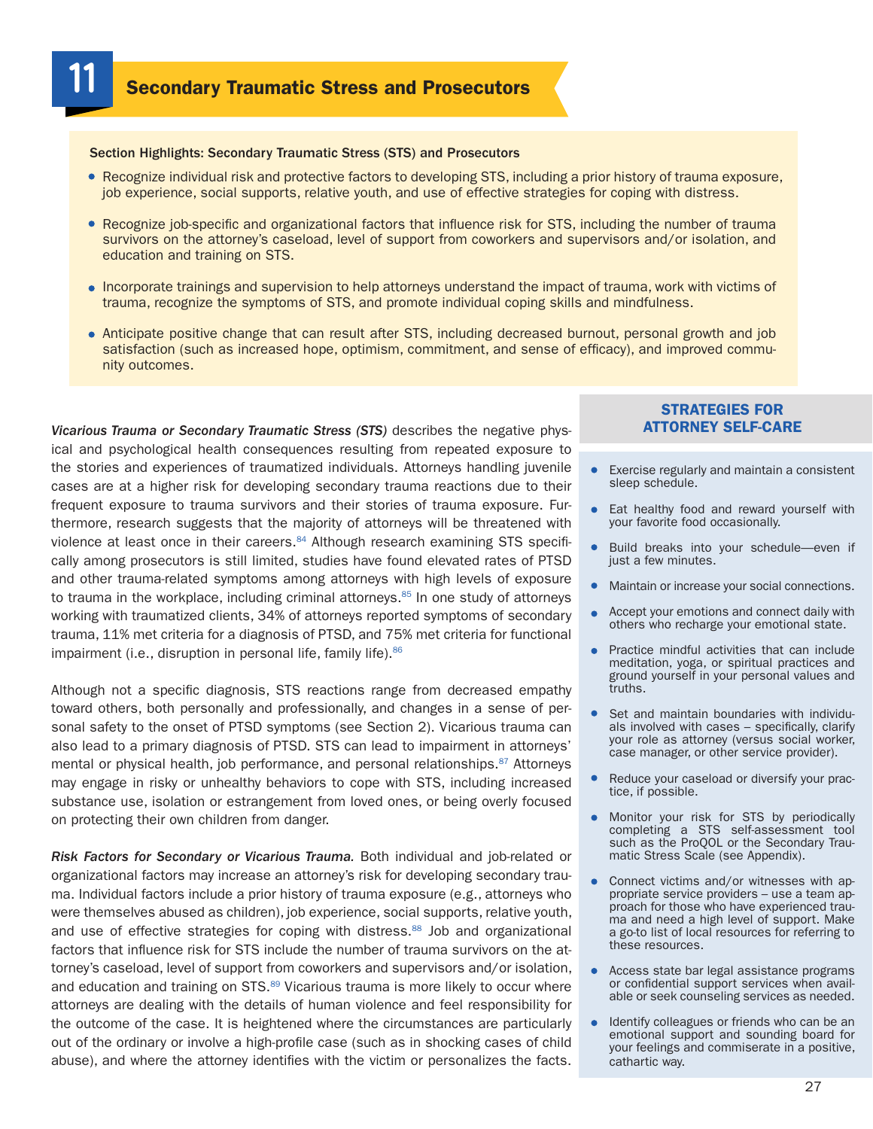**Secondary Traumatic Stress and Prosecutors** 

#### Section Highlights: Secondary Traumatic Stress (STS) and Prosecutors

- Recognize individual risk and protective factors to developing STS, including a prior history of trauma exposure, job experience, social supports, relative youth, and use of effective strategies for coping with distress.
- Recognize job-specific and organizational factors that influence risk for STS, including the number of trauma survivors on the attorney's caseload, level of support from coworkers and supervisors and/or isolation, and education and training on STS.
- Incorporate trainings and supervision to help attorneys understand the impact of trauma, work with victims of trauma, recognize the symptoms of STS, and promote individual coping skills and mindfulness.
- Anticipate positive change that can result after STS, including decreased burnout, personal growth and job satisfaction (such as increased hope, optimism, commitment, and sense of efficacy), and improved community outcomes.

*Vicarious Trauma or Secondary Traumatic Stress (STS)* describes the negative physical and psychological health consequences resulting from repeated exposure to the stories and experiences of traumatized individuals. Attorneys handling juvenile cases are at a higher risk for developing secondary trauma reactions due to their frequent exposure to trauma survivors and their stories of trauma exposure. Furthermore, research suggests that the majority of attorneys will be threatened with violence at least once in their careers. $84$  Although research examining STS specifically among prosecutors is still limited, studies have found elevated rates of PTSD and other trauma-related symptoms among attorneys with high levels of exposure to trauma in the workplace, including criminal attorneys. $85$  In one study of attorneys working with traumatized clients, 34% of attorneys reported symptoms of secondary trauma, 11% met criteria for a diagnosis of PTSD, and 75% met criteria for functional impairment (i.e., disruption in personal life, family life). $86$ 

Although not a specific diagnosis, STS reactions range from decreased empathy toward others, both personally and professionally, and changes in a sense of personal safety to the onset of PTSD symptoms (see Section 2). Vicarious trauma can also lead to a primary diagnosis of PTSD. STS can lead to impairment in attorneys' mental or physical health, job performance, and personal relationships.<sup>87</sup> Attorneys may engage in risky or unhealthy behaviors to cope with STS, including increased substance use, isolation or estrangement from loved ones, or being overly focused on protecting their own children from danger.

*Risk Factors for Secondary or Vicarious Trauma.* Both individual and job-related or organizational factors may increase an attorney's risk for developing secondary trauma. Individual factors include a prior history of trauma exposure (e.g., attorneys who were themselves abused as children), job experience, social supports, relative youth, and use of effective strategies for coping with distress.<sup>88</sup> Job and organizational factors that influence risk for STS include the number of trauma survivors on the attorney's caseload, level of support from coworkers and supervisors and/or isolation, and education and training on STS.<sup>89</sup> Vicarious trauma is more likely to occur where attorneys are dealing with the details of human violence and feel responsibility for the outcome of the case. It is heightened where the circumstances are particularly out of the ordinary or involve a high-profile case (such as in shocking cases of child abuse), and where the attorney identifies with the victim or personalizes the facts.

#### STRATEGIES FOR ATTORNEY SELF-CARE

- **Exercise regularly and maintain a consistent** sleep schedule.
- Eat healthy food and reward yourself with your favorite food occasionally.
- Build breaks into your schedule—even if just a few minutes.
- Maintain or increase your social connections.
- Accept your emotions and connect daily with others who recharge your emotional state.
- Practice mindful activities that can include meditation, yoga, or spiritual practices and ground yourself in your personal values and truths.
- Set and maintain boundaries with individu- als involved with cases specifically, clarify your role as attorney (versus social worker, case manager, or other service provider).
- Reduce your caseload or diversify your practice, if possible.  $\bullet$
- Monitor your risk for STS by periodically completing a STS self-assessment tool such as the ProQOL or the Secondary Traumatic Stress Scale (see Appendix).
- Connect victims and/or witnesses with appropriate service providers – use a team approach for those who have experienced trauma and need a high level of support. Make a go-to list of local resources for referring to these resources.
- Access state bar legal assistance programs or confidential support services when available or seek counseling services as needed.
- Identify colleagues or friends who can be an emotional support and sounding board for your feelings and commiserate in a positive, cathartic way.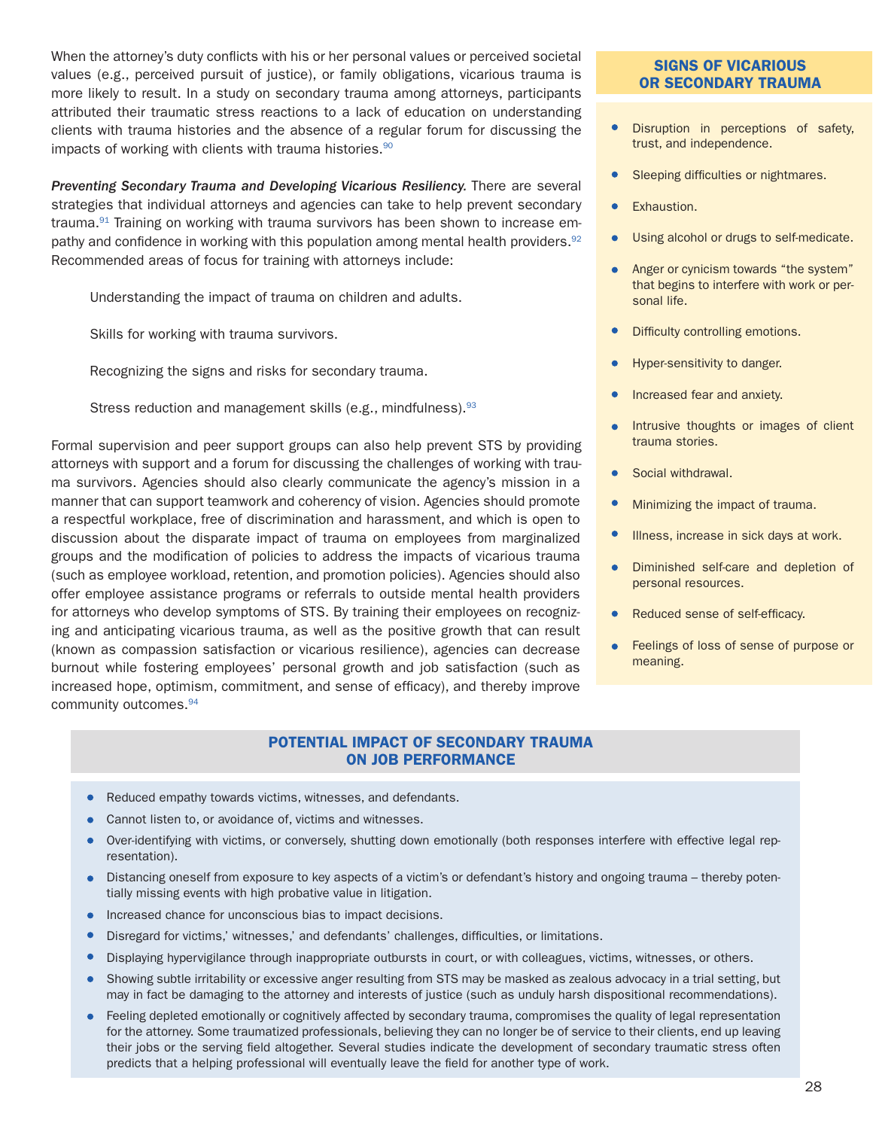When the attorney's duty conflicts with his or her personal values or perceived societal values (e.g., perceived pursuit of justice), or family obligations, vicarious trauma is more likely to result. In a study on secondary trauma among attorneys, participants attributed their traumatic stress reactions to a lack of education on understanding clients with trauma histories and the absence of a regular forum for discussing the impacts of working with clients with trauma histories.<sup>90</sup>

*Preventing Secondary Trauma and Developing Vicarious Resiliency.* There are several strategies that individual attorneys and agencies can take to help prevent secondary trauma.<sup>91</sup> Training on working with trauma survivors has been shown to increase empathy and confidence in working with this population among mental health providers.  $92$ Recommended areas of focus for training with attorneys include:

Understanding the impact of trauma on children and adults.

Skills for working with trauma survivors.

Recognizing the signs and risks for secondary trauma.

Stress reduction and management skills (e.g., mindfulness).<sup>93</sup>

Formal supervision and peer support groups can also help prevent STS by providing attorneys with support and a forum for discussing the challenges of working with trauma survivors. Agencies should also clearly communicate the agency's mission in a manner that can support teamwork and coherency of vision. Agencies should promote a respectful workplace, free of discrimination and harassment, and which is open to discussion about the disparate impact of trauma on employees from marginalized groups and the modification of policies to address the impacts of vicarious trauma (such as employee workload, retention, and promotion policies). Agencies should also offer employee assistance programs or referrals to outside mental health providers for attorneys who develop symptoms of STS. By training their employees on recognizing and anticipating vicarious trauma, as well as the positive growth that can result (known as compassion satisfaction or vicarious resilience), agencies can decrease burnout while fostering employees' personal growth and job satisfaction (such as increased hope, optimism, commitment, and sense of efficacy), and thereby improve community outcomes.<sup>94</sup>

#### POTENTIAL IMPACT OF SECONDARY TRAUMA ON JOB PERFORMANCE

- Reduced empathy towards victims, witnesses, and defendants.
- Cannot listen to, or avoidance of, victims and witnesses.
- Over-identifying with victims, or conversely, shutting down emotionally (both responses interfere with effective legal rep- $\bullet$ resentation).
- Distancing oneself from exposure to key aspects of a victim's or defendant's history and ongoing trauma thereby potentially missing events with high probative value in litigation.
- $\bullet$ Increased chance for unconscious bias to impact decisions.
- Disregard for victims,' witnesses,' and defendants' challenges, difficulties, or limitations.  $\bullet$
- $\bullet$ Displaying hypervigilance through inappropriate outbursts in court, or with colleagues, victims, witnesses, or others.
- $\bullet$ Showing subtle irritability or excessive anger resulting from STS may be masked as zealous advocacy in a trial setting, but may in fact be damaging to the attorney and interests of justice (such as unduly harsh dispositional recommendations).
- Feeling depleted emotionally or cognitively affected by secondary trauma, compromises the quality of legal representation  $\bullet$ for the attorney. Some traumatized professionals, believing they can no longer be of service to their clients, end up leaving their jobs or the serving field altogether. Several studies indicate the development of secondary traumatic stress often predicts that a helping professional will eventually leave the field for another type of work.

#### SIGNS OF VICARIOUS OR SECONDARY TRAUMA

- $\bullet$ Disruption in perceptions of safety, trust, and independence.
- Sleeping difficulties or nightmares.
- Exhaustion.  $\bullet$
- Using alcohol or drugs to self-medicate.
- Anger or cynicism towards "the system" that begins to interfere with work or personal life.
- Difficulty controlling emotions.
- Hyper-sensitivity to danger.
- Increased fear and anxiety.
- Intrusive thoughts or images of client  $\bullet$ trauma stories.
- Social withdrawal.  $\bullet$
- Minimizing the impact of trauma.
- Illness, increase in sick days at work.
- Diminished self-care and depletion of personal resources.
- $\bullet$ Reduced sense of self-efficacy.
- Feelings of loss of sense of purpose or  $\bullet$ meaning.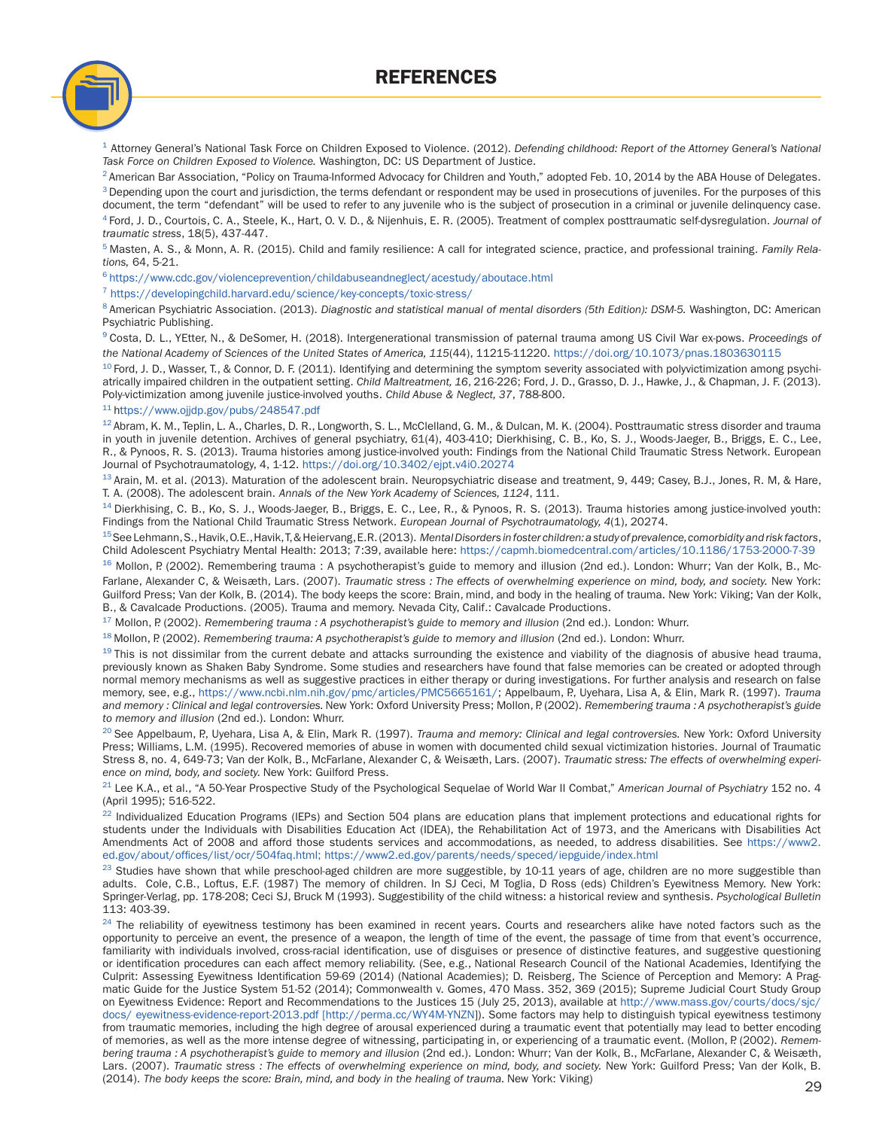REFERENCES



<sup>1</sup> Attorney General's National Task Force on Children Exposed to Violence. (2012). *Defending childhood: Report of the Attorney General's National Task Force on Children Exposed to Violence.* Washington, DC: US Department of Justice.

<sup>2</sup> American Bar Association, "Policy on Trauma-Informed Advocacy for Children and Youth," adopted Feb. 10, 2014 by the ABA House of Delegates. <sup>3</sup> Depending upon the court and jurisdiction, the terms defendant or respondent may be used in prosecutions of juveniles. For the purposes of this document, the term "defendant" will be used to refer to any juvenile who is the subject of prosecution in a criminal or juvenile delinquency case. 4 Ford, J. D., Courtois, C. A., Steele, K., Hart, O. V. D., & Nijenhuis, E. R. (2005). Treatment of complex posttraumatic self-dysregulation. *Journal of traumatic stress*, 18(5), 437-447.

5 Masten, A. S., & Monn, A. R. (2015). Child and family resilience: A call for integrated science, practice, and professional training. *Family Relations,* 64, 5-21.

6 <https://www.cdc.gov/violenceprevention/childabuseandneglect/acestudy/aboutace.html>

<sup>7</sup> <https://developingchild.harvard.edu/science/key-concepts/toxic-stress/>

8 American Psychiatric Association. (2013). *Diagnostic and statistical manual of mental disorders (5th Edition): DSM-5.* Washington, DC: American Psychiatric Publishing.

9 Costa, D. L., YEtter, N., & DeSomer, H. (2018). Intergenerational transmission of paternal trauma among US Civil War ex-pows. *Proceedings of the National Academy of Sciences of the United States of America, 115*(44), 11215-11220. <https://doi.org/10.1073/pnas.1803630115>

 $10$  Ford, J. D., Wasser, T., & Connor, D. F. (2011). Identifying and determining the symptom severity associated with polyvictimization among psychiatrically impaired children in the outpatient setting. *Child Maltreatment, 16*, 216-226; Ford, J. D., Grasso, D. J., Hawke, J., & Chapman, J. F. (2013). Poly-victimization among juvenile justice-involved youths. *Child Abuse & Neglect, 37*, 788-800.

#### 11 <https://www.ojjdp.gov/pubs/248547.pdf>

 $12$  Abram, K. M., Teplin, L. A., Charles, D. R., Longworth, S. L., McClelland, G. M., & Dulcan, M. K. (2004). Posttraumatic stress disorder and trauma in youth in juvenile detention. Archives of general psychiatry, 61(4), 403-410; Dierkhising, C. B., Ko, S. J., Woods-Jaeger, B., Briggs, E. C., Lee, R., & Pynoos, R. S. (2013). Trauma histories among justice-involved youth: Findings from the National Child Traumatic Stress Network. European Journal of Psychotraumatology, 4, 1-12.<https://doi.org/10.3402/ejpt.v4i0.20274>

 $^{13}$  Arain, M. et al. (2013). Maturation of the adolescent brain. Neuropsychiatric disease and treatment, 9, 449; Casey, B.J., Jones, R. M, & Hare, T. A. (2008). The adolescent brain. *Annals of the New York Academy of Sciences, 1124*, 111.

14 Dierkhising, C. B., Ko, S. J., Woods-Jaeger, B., Briggs, E. C., Lee, R., & Pynoos, R. S. (2013). Trauma histories among justice-involved youth: Findings from the National Child Traumatic Stress Network. *European Journal of Psychotraumatology, 4*(1), 20274.

15 See Lehmann, S., Havik, O.E., Havik, T, & Heiervang, E.R. (2013). *Mental Disorders in foster children: a study of prevalence, comorbidity and risk factors*, Child Adolescent Psychiatry Mental Health: 2013; 7:39, available here: <https://capmh.biomedcentral.com/articles/10.1186/1753-2000-7-39>

16 Mollon, P. (2002). Remembering trauma : A psychotherapist's guide to memory and illusion (2nd ed.). London: Whurr; Van der Kolk, B., Mc-Farlane, Alexander C, & Weisæth, Lars. (2007). *Traumatic stress : The effects of overwhelming experience on mind, body, and society.* New York: Guilford Press; Van der Kolk, B. (2014). The body keeps the score: Brain, mind, and body in the healing of trauma. New York: Viking; Van der Kolk, B., & Cavalcade Productions. (2005). Trauma and memory. Nevada City, Calif.: Cavalcade Productions.

<sup>17</sup> Mollon, P. (2002). Remembering trauma : A psychotherapist's guide to memory and illusion (2nd ed.). London: Whurr.

18 Mollon, P. (2002). *Remembering trauma: A psychotherapist's guide to memory and illusion* (2nd ed.). London: Whurr.

<sup>19</sup> This is not dissimilar from the current debate and attacks surrounding the existence and viability of the diagnosis of abusive head trauma, previously known as Shaken Baby Syndrome. Some studies and researchers have found that false memories can be created or adopted through normal memory mechanisms as well as suggestive practices in either therapy or during investigations. For further analysis and research on false memory, see, e.g.,<https://www.ncbi.nlm.nih.gov/pmc/articles/PMC5665161/>; Appelbaum, P., Uyehara, Lisa A, & Elin, Mark R. (1997). *Trauma and memory : Clinical and legal controversies.* New York: Oxford University Press; Mollon, P. (2002). *Remembering trauma : A psychotherapist's guide to memory and illusion* (2nd ed.). London: Whurr.

20 See Appelbaum, P., Uyehara, Lisa A, & Elin, Mark R. (1997). *Trauma and memory: Clinical and legal controversies.* New York: Oxford University Press; Williams, L.M. (1995). Recovered memories of abuse in women with documented child sexual victimization histories. Journal of Traumatic Stress 8, no. 4, 649-73; Van der Kolk, B., McFarlane, Alexander C, & Weisæth, Lars. (2007). *Traumatic stress: The effects of overwhelming experience on mind, body, and society.* New York: Guilford Press.

21 Lee K.A., et al., "A 50-Year Prospective Study of the Psychological Sequelae of World War II Combat," *American Journal of Psychiatry* 152 no. 4 (April 1995); 516-522.

 $22$  Individualized Education Programs (IEPs) and Section 504 plans are education plans that implement protections and educational rights for students under the Individuals with Disabilities Education Act (IDEA), the Rehabilitation Act of 1973, and the Americans with Disabilities Act Amendments Act of 2008 and afford those students services and accommodations, as needed, to address disabilities. See [https://www2.](https://www2.ed.gov/about/offices/list/ocr/504faq.html) [ed.gov/about/offices/list/ocr/504faq.html;](https://www2.ed.gov/about/offices/list/ocr/504faq.html) <https://www2.ed.gov/parents/needs/speced/iepguide/index.html>

<sup>23</sup> Studies have shown that while preschool-aged children are more suggestible, by 10-11 years of age, children are no more suggestible than adults. Cole, C.B., Loftus, E.F. (1987) The memory of children. In SJ Ceci, M Toglia, D Ross (eds) Children's Eyewitness Memory. New York: Springer-Verlag, pp. 178-208; Ceci SJ, Bruck M (1993). Suggestibility of the child witness: a historical review and synthesis. *Psychological Bulletin* 113: 403-39.

<sup>24</sup> The reliability of eyewitness testimony has been examined in recent years. Courts and researchers alike have noted factors such as the opportunity to perceive an event, the presence of a weapon, the length of time of the event, the passage of time from that event's occurrence, familiarity with individuals involved, cross-racial identification, use of disguises or presence of distinctive features, and suggestive questioning or identification procedures can each affect memory reliability. (See, e.g., National Research Council of the National Academies, Identifying the Culprit: Assessing Eyewitness Identification 59-69 (2014) (National Academies); D. Reisberg, The Science of Perception and Memory: A Pragmatic Guide for the Justice System 51-52 (2014); Commonwealth v. Gomes, 470 Mass. 352, 369 (2015); Supreme Judicial Court Study Group on Eyewitness Evidence: Report and Recommendations to the Justices 15 (July 25, 2013), available at [http://www.mass.gov/courts/docs/sjc/](http://www.mass.gov/courts/docs/sjc/docs/) [docs/](http://www.mass.gov/courts/docs/sjc/docs/) eyewitness-evidence-report-2013.pdf [[http://perma.cc/WY4M-YNZN\]](http://perma.cc/WY4M-YNZN)). Some factors may help to distinguish typical eyewitness testimony from traumatic memories, including the high degree of arousal experienced during a traumatic event that potentially may lead to better encoding of memories, as well as the more intense degree of witnessing, participating in, or experiencing of a traumatic event. (Mollon, P. (2002). *Remembering trauma : A psychotherapist's guide to memory and illusion* (2nd ed.). London: Whurr; Van der Kolk, B., McFarlane, Alexander C, & Weisæth, Lars. (2007). *Traumatic stress : The effects of overwhelming experience on mind, body, and society.* New York: Guilford Press; Van der Kolk, B. (2014). The body keeps the score: Brain, mind, and body in the healing of trauma. New York: Viking)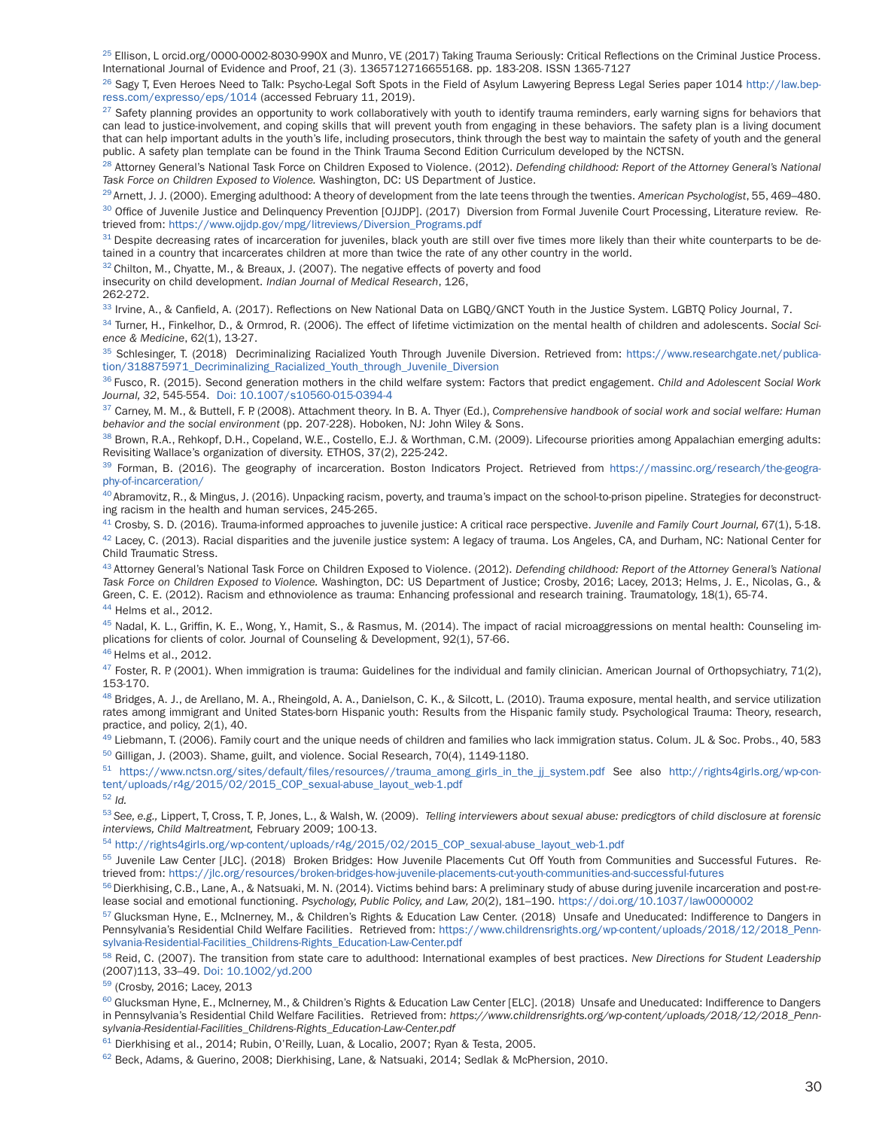<sup>25</sup> Ellison, L [orcid.org/0000-0002-8030-990X](http://orcid.org/0000-0002-8030-990X) and Munro, VE (2017) Taking Trauma Seriously: Critical Reflections on the Criminal Justice Process. International Journal of Evidence and Proof, 21 (3). 1365712716655168. pp. 183-208. ISSN 1365-7127

<sup>26</sup> Sagy T, Even Heroes Need to Talk: Psycho-Legal Soft Spots in the Field of Asylum Lawyering Bepress Legal Series paper 1014 [http://law.bep](http://law.bepress.com/expresso/eps/1014)[ress.com/expresso/eps/1014](http://law.bepress.com/expresso/eps/1014) (accessed February 11, 2019).

 $27$  Safety planning provides an opportunity to work collaboratively with youth to identify trauma reminders, early warning signs for behaviors that can lead to justice-involvement, and coping skills that will prevent youth from engaging in these behaviors. The safety plan is a living document that can help important adults in the youth's life, including prosecutors, think through the best way to maintain the safety of youth and the general public. A safety plan template can be found in the Think Trauma Second Edition Curriculum developed by the NCTSN.

28 Attorney General's National Task Force on Children Exposed to Violence. (2012). *Defending childhood: Report of the Attorney General's National Task Force on Children Exposed to Violence.* Washington, DC: US Department of Justice.

29 Arnett, J. J. (2000). Emerging adulthood: A theory of development from the late teens through the twenties. *American Psychologist*, 55, 469–480.

<sup>30</sup> Office of Juvenile Justice and Delinquency Prevention [OJJDP]. (2017) Diversion from Formal Juvenile Court Processing, Literature review. Retrieved from: [https://www.ojjdp.gov/mpg/litreviews/Diversion\\_Programs.pdf](https://www.ojjdp.gov/mpg/litreviews/Diversion_Programs.pdf)

<sup>31</sup> Despite decreasing rates of incarceration for juveniles, black youth are still over five times more likely than their white counterparts to be detained in a country that incarcerates children at more than twice the rate of any other country in the world.

 $32$  Chilton, M., Chyatte, M., & Breaux, J. (2007). The negative effects of poverty and food

insecurity on child development. *Indian Journal of Medical Research*, 126,

262-272.

33 Irvine, A., & Canfield, A. (2017). Reflections on New National Data on LGBQ/GNCT Youth in the Justice System. LGBTQ Policy Journal, 7.

34 Turner, H., Finkelhor, D., & Ormrod, R. (2006). The effect of lifetime victimization on the mental health of children and adolescents. *Social Science & Medicine*, 62(1), 13-27.

35 Schlesinger, T. (2018) Decriminalizing Racialized Youth Through Juvenile Diversion. Retrieved from: [https://www.researchgate.net/publica](https://www.researchgate.net/publication/318875971_Decriminalizing_Racialized_Youth_through_Juvenile_Diversion)[tion/318875971\\_Decriminalizing\\_Racialized\\_Youth\\_through\\_Juvenile\\_Diversion](https://www.researchgate.net/publication/318875971_Decriminalizing_Racialized_Youth_through_Juvenile_Diversion)

36 Fusco, R. (2015). Second generation mothers in the child welfare system: Factors that predict engagement. *Child and Adolescent Social Work Journal, 32*, 545-554. Doi: 10.1007/s10560-015-0394-4

<sup>37</sup> Carney, M. M., & Buttell, F. P. (2008). Attachment theory. In B. A. Thyer (Ed.), *Comprehensive handbook of social work and social welfare: Human behavior and the social environment* (pp. 207-228). Hoboken, NJ: John Wiley & Sons.

<sup>38</sup> Brown, R.A., Rehkopf, D.H., Copeland, W.E., Costello, E.J. & Worthman, C.M. (2009). Lifecourse priorities among Appalachian emerging adults: Revisiting Wallace's organization of diversity. ETHOS, 37(2), 225-242.

39 Forman, B. (2016). The geography of incarceration. Boston Indicators Project. Retrieved from [https://massinc.org/research/the-geogra](https://massinc.org/research/the-geography-of-incarceration/)[phy-of-incarceration/](https://massinc.org/research/the-geography-of-incarceration/)

 $^{40}$  Abramovitz, R., & Mingus, J. (2016). Unpacking racism, poverty, and trauma's impact on the school-to-prison pipeline. Strategies for deconstructing racism in the health and human services, 245-265.

41 Crosby, S. D. (2016). Trauma-informed approaches to juvenile justice: A critical race perspective. *Juvenile and Family Court Journal, 67*(1), 5-18.  $42$  Lacey, C. (2013). Racial disparities and the juvenile justice system: A legacy of trauma. Los Angeles, CA, and Durham, NC: National Center for Child Traumatic Stress.

43 Attorney General's National Task Force on Children Exposed to Violence. (2012). *Defending childhood: Report of the Attorney General's National Task Force on Children Exposed to Violence.* Washington, DC: US Department of Justice; Crosby, 2016; Lacey, 2013; Helms, J. E., Nicolas, G., & Green, C. E. (2012). Racism and ethnoviolence as trauma: Enhancing professional and research training. Traumatology, 18(1), 65-74. 44 Helms et al., 2012.

<sup>45</sup> Nadal, K. L., Griffin, K. E., Wong, Y., Hamit, S., & Rasmus, M. (2014). The impact of racial microaggressions on mental health: Counseling implications for clients of color. Journal of Counseling & Development, 92(1), 57-66.

#### 46 Helms et al., 2012.

 $47$  Foster, R. P. (2001). When immigration is trauma: Guidelines for the individual and family clinician. American Journal of Orthopsychiatry, 71(2), 153-170.

<sup>48</sup> Bridges, A. J., de Arellano, M. A., Rheingold, A. A., Danielson, C. K., & Silcott, L. (2010). Trauma exposure, mental health, and service utilization rates among immigrant and United States-born Hispanic youth: Results from the Hispanic family study. Psychological Trauma: Theory, research, practice, and policy, 2(1), 40.

<sup>49</sup> Liebmann, T. (2006). Family court and the unique needs of children and families who lack immigration status. Colum. JL & Soc. Probs., 40, 583 50 Gilligan, J. (2003). Shame, guilt, and violence. Social Research, 70(4), 1149-1180.

<sup>51</sup> [https://www.nctsn.org/sites/default/files/resources//trauma\\_among\\_girls\\_in\\_the\\_jj\\_system.pdf](https://www.nctsn.org/sites/default/files/resources//trauma_among_girls_in_the_jj_system.pdf) See also [http://rights4girls.org/wp-con](http://rights4girls.org/wp-content/uploads/r4g/2015/02/2015_COP_sexual-abuse_layout_web-1.pdf)[tent/uploads/r4g/2015/02/2015\\_COP\\_sexual-abuse\\_layout\\_web-1.pdf](http://rights4girls.org/wp-content/uploads/r4g/2015/02/2015_COP_sexual-abuse_layout_web-1.pdf) <sup>52</sup> *Id.*

<sup>53</sup>*See, e.g.,* Lippert, T, Cross, T. P., Jones, L., & Walsh, W. (2009). *Telling interviewers about sexual abuse: predicgtors of child disclosure at forensic interviews, Child Maltreatment,* February 2009; 100-13.

<sup>54</sup> [http://rights4girls.org/wp-content/uploads/r4g/2015/02/2015\\_COP\\_sexual-abuse\\_layout\\_web-1.pdf](http://rights4girls.org/wp-content/uploads/r4g/2015/02/2015_COP_sexual-abuse_layout_web-1.pdf)

55 Juvenile Law Center [JLC]. (2018) Broken Bridges: How Juvenile Placements Cut Off Youth from Communities and Successful Futures. Retrieved from:<https://jlc.org/resources/broken-bridges-how-juvenile-placements-cut-youth-communities-and-successful-futures>

 $56$  Dierkhising, C.B., Lane, A., & Natsuaki, M. N. (2014). Victims behind bars: A preliminary study of abuse during juvenile incarceration and post-release social and emotional functioning. *Psychology, Public Policy, and Law, 20*(2), 181–190. <https://doi.org/10.1037/law0000002>

57 Glucksman Hyne, E., McInerney, M., & Children's Rights & Education Law Center. (2018) Unsafe and Uneducated: Indifference to Dangers in Pennsylvania's Residential Child Welfare Facilities. Retrieved from: [https://www.childrensrights.org/wp-content/uploads/2018/12/2018\\_Penn](https://www.childrensrights.org/wp-content/uploads/2018/12/2018_Pennsylvania-Residential-Facilities_Childrens-Rights_Education-Law-Center.pdf)[sylvania-Residential-Facilities\\_Childrens-Rights\\_Education-Law-Center.pdf](https://www.childrensrights.org/wp-content/uploads/2018/12/2018_Pennsylvania-Residential-Facilities_Childrens-Rights_Education-Law-Center.pdf)

58 Reid, C. (2007). The transition from state care to adulthood: International examples of best practices. *New Directions for Student Leadership* (2007)113, 33–49. Doi: 10.1002/yd.200

59 (Crosby, 2016; Lacey, 2013

60 Glucksman Hyne, E., McInerney, M., & Children's Rights & Education Law Center [ELC]. (2018) Unsafe and Uneducated: Indifference to Dangers in Pennsylvania's Residential Child Welfare Facilities. Retrieved from: *[https://www.childrensrights.org/wp-content/uploads/2018/12/2018\\_Penn](https://www.childrensrights.org/wp-content/uploads/2018/12/2018_Pennsylvania-Residential-Facilities_Childrens-Rights_Education-Law-Center.pdf)[sylvania-Residential-Facilities\\_Childrens-Rights\\_Education-Law-Center.pdf](https://www.childrensrights.org/wp-content/uploads/2018/12/2018_Pennsylvania-Residential-Facilities_Childrens-Rights_Education-Law-Center.pdf)*

61 Dierkhising et al., 2014; Rubin, O'Reilly, Luan, & Localio, 2007; Ryan & Testa, 2005.

62 Beck, Adams, & Guerino, 2008; Dierkhising, Lane, & Natsuaki, 2014; Sedlak & McPhersion, 2010.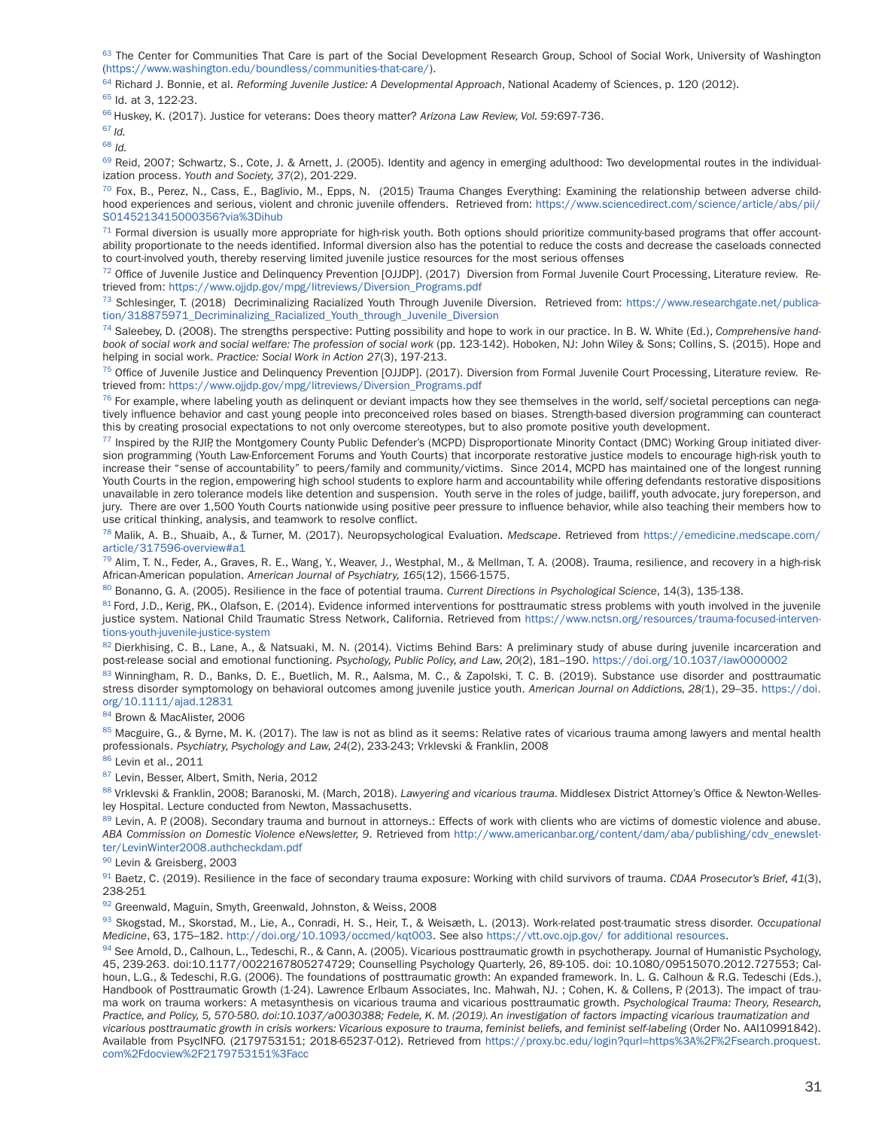63 The Center for Communities That Care is part of the Social Development Research Group, School of Social Work, University of Washington [\(https://www.washington.edu/boundless/communities-that-care/](https://www.washington.edu/boundless/communities-that-care/)).

64 Richard J. Bonnie, et al. *Reforming Juvenile Justice: A Developmental Approach*, National Academy of Sciences, p. 120 (2012).

<sup>65</sup> Id. at 3, 122-23.

66 Huskey, K. (2017). Justice for veterans: Does theory matter? *Arizona Law Review, Vol. 59*:697-736.

<sup>67</sup>*Id.*

<sup>68</sup> *Id.*

69 Reid, 2007; Schwartz, S., Cote, J. & Arnett, J. (2005). Identity and agency in emerging adulthood: Two developmental routes in the individualization process. *Youth and Society, 37*(2), 201-229.

 $^{70}$  Fox, B., Perez, N., Cass, E., Baglivio, M., Epps, N. (2015) Trauma Changes Everything: Examining the relationship between adverse childhood experiences and serious, violent and chronic juvenile offenders. Retrieved from: [https://www.sciencedirect.com/science/article/abs/pii/](https://www.sciencedirect.com/science/article/abs/pii/S0145213415000356?via%3Dihub) [S0145213415000356?via%3Dihub](https://www.sciencedirect.com/science/article/abs/pii/S0145213415000356?via%3Dihub)

 $71$  Formal diversion is usually more appropriate for high-risk youth. Both options should prioritize community-based programs that offer accountability proportionate to the needs identified. Informal diversion also has the potential to reduce the costs and decrease the caseloads connected to court-involved youth, thereby reserving limited juvenile justice resources for the most serious offenses

72 Office of Juvenile Justice and Delinquency Prevention [OJJDP]. (2017) Diversion from Formal Juvenile Court Processing, Literature review. Retrieved from: [https://www.ojjdp.gov/mpg/litreviews/Diversion\\_Programs.pdf](https://www.ojjdp.gov/mpg/litreviews/Diversion_Programs.pdf)

73 Schlesinger, T. (2018) Decriminalizing Racialized Youth Through Juvenile Diversion. Retrieved from: [https://www.researchgate.net/publica](https://www.researchgate.net/publication/318875971_Decriminalizing_Racialized_Youth_through_Juvenile_Diversion)[tion/318875971\\_Decriminalizing\\_Racialized\\_Youth\\_through\\_Juvenile\\_Diversion](https://www.researchgate.net/publication/318875971_Decriminalizing_Racialized_Youth_through_Juvenile_Diversion)

74 Saleebey, D. (2008). The strengths perspective: Putting possibility and hope to work in our practice. In B. W. White (Ed.), *Comprehensive handbook of social work and social welfare: The profession of social work* (pp. 123-142). Hoboken, NJ: John Wiley & Sons; Collins, S. (2015). Hope and helping in social work. *Practice: Social Work in Action 27*(3), 197-213.

<sup>75</sup> Office of Juvenile Justice and Delinquency Prevention [OJJDP]. (2017). Diversion from Formal Juvenile Court Processing, Literature review. Retrieved from: [https://www.ojjdp.gov/mpg/litreviews/Diversion\\_Programs.pdf](https://www.ojjdp.gov/mpg/litreviews/Diversion_Programs.pdf)

 $^{76}$  For example, where labeling youth as delinquent or deviant impacts how they see themselves in the world, self/societal perceptions can negatively influence behavior and cast young people into preconceived roles based on biases. Strength-based diversion programming can counteract this by creating prosocial expectations to not only overcome stereotypes, but to also promote positive youth development.

<sup>77</sup> Inspired by the RJIP, the Montgomery County Public Defender's (MCPD) Disproportionate Minority Contact (DMC) Working Group initiated diversion programming (Youth Law-Enforcement Forums and Youth Courts) that incorporate restorative justice models to encourage high-risk youth to increase their "sense of accountability" to peers/family and community/victims. Since 2014, MCPD has maintained one of the longest running Youth Courts in the region, empowering high school students to explore harm and accountability while offering defendants restorative dispositions unavailable in zero tolerance models like detention and suspension. Youth serve in the roles of judge, bailiff, youth advocate, jury foreperson, and jury. There are over 1,500 Youth Courts nationwide using positive peer pressure to influence behavior, while also teaching their members how to use critical thinking, analysis, and teamwork to resolve conflict.

78 Malik, A. B., Shuaib, A., & Turner, M. (2017). Neuropsychological Evaluation. *Medscape*. Retrieved from [https://emedicine.medscape.com/](https://emedicine.medscape.com/article/317596-overview#a1) [article/317596-overview#a1](https://emedicine.medscape.com/article/317596-overview#a1)

 $^{79}$  Alim, T. N., Feder, A., Graves, R. E., Wang, Y., Weaver, J., Westphal, M., & Mellman, T. A. (2008). Trauma, resilience, and recovery in a high-risk African-American population. *American Journal of Psychiatry, 165*(12), 1566-1575.

80 Bonanno, G. A. (2005). Resilience in the face of potential trauma. *Current Directions in Psychological Science*, 14(3), 135-138.

81 Ford, J.D., Kerig, P.K., Olafson, E. (2014). Evidence informed interventions for posttraumatic stress problems with youth involved in the juvenile justice system. National Child Traumatic Stress Network, California. Retrieved from [https://www.nctsn.org/resources/trauma-focused-interven](https://www.nctsn.org/resources/trauma-focused-interventions-youth-juvenile-justice-system)[tions-youth-juvenile-justice-system](https://www.nctsn.org/resources/trauma-focused-interventions-youth-juvenile-justice-system)

82 Dierkhising, C. B., Lane, A., & Natsuaki, M. N. (2014). Victims Behind Bars: A preliminary study of abuse during juvenile incarceration and post-release social and emotional functioning. *Psychology, Public Policy, and Law, 20*(2), 181–190. <https://doi.org/10.1037/law0000002>

83 Winningham, R. D., Banks, D. E., Buetlich, M. R., Aalsma, M. C., & Zapolski, T. C. B. (2019). Substance use disorder and posttraumatic stress disorder symptomology on behavioral outcomes among juvenile justice youth. *American Journal on Addictions, 28(*1), 29–35. [https://doi.](https://doi.org/10.1111/ajad.12831) [org/10.1111/ajad.12831](https://doi.org/10.1111/ajad.12831)

84 Brown & MacAlister, 2006

<sup>85</sup> Macguire, G., & Byrne, M. K. (2017). The law is not as blind as it seems: Relative rates of vicarious trauma among lawyers and mental health professionals. *Psychiatry, Psychology and Law, 24*(2), 233-243; Vrklevski & Franklin, 2008

86 Levin et al., 2011

87 Levin, Besser, Albert, Smith, Neria, 2012

88 Vrklevski & Franklin, 2008; Baranoski, M. (March, 2018). *Lawyering and vicarious trauma.* Middlesex District Attorney's Office & Newton-Wellesley Hospital. Lecture conducted from Newton, Massachusetts.

89 Levin, A. P. (2008). Secondary trauma and burnout in attorneys.: Effects of work with clients who are victims of domestic violence and abuse. *ABA Commission on Domestic Violence eNewsletter, 9*. Retrieved from [http://www.americanbar.org/content/dam/aba/publishing/cdv\\_enewslet](http://www.americanbar.org/content/dam/aba/publishing/cdv_enewsletter/LevinWinter2008.authcheckdam.pdf)[ter/LevinWinter2008.authcheckdam.pdf](http://www.americanbar.org/content/dam/aba/publishing/cdv_enewsletter/LevinWinter2008.authcheckdam.pdf)

90 Levin & Greisberg, 2003

91 Baetz, C. (2019). Resilience in the face of secondary trauma exposure: Working with child survivors of trauma. *CDAA Prosecutor's Brief, 41*(3), 238-251

92 Greenwald, Maguin, Smyth, Greenwald, Johnston, & Weiss, 2008

93 Skogstad, M., Skorstad, M., Lie, A., Conradi, H. S., Heir, T., & Weisæth, L. (2013). Work-related post-traumatic stress disorder. *Occupational Medicine*, 63, 175–182. <http://doi.org/10.1093/occmed/kqt003>. See also<https://vtt.ovc.ojp.gov/>for additional resources.

94 See Arnold, D., Calhoun, L., Tedeschi, R., & Cann, A. (2005). Vicarious posttraumatic growth in psychotherapy. Journal of Humanistic Psychology, 45, 239-263. doi:10.1177/0022167805274729; Counselling Psychology Quarterly, 26, 89-105. doi: 10.1080/09515070.2012.727553; Calhoun, L.G., & Tedeschi, R.G. (2006). The foundations of posttraumatic growth: An expanded framework. In. L. G. Calhoun & R.G. Tedeschi (Eds.), Handbook of Posttraumatic Growth (1-24). Lawrence Erlbaum Associates, Inc. Mahwah, NJ. ; Cohen, K. & Collens, P. (2013). The impact of trauma work on trauma workers: A metasynthesis on vicarious trauma and vicarious posttraumatic growth. *Psychological Trauma: Theory, Research, Practice, and Policy, 5, 570-580. doi:10.1037/a0030388; Fedele, K. M. (2019). An investigation of factors impacting vicarious traumatization and vicarious posttraumatic growth in crisis workers: Vicarious exposure to trauma, feminist beliefs, and feminist self-labeling* (Order No. AAI10991842). Available from PsycINFO. (2179753151; 2018-65237-012). Retrieved from [https://proxy.bc.edu/login?qurl=https%3A%2F%2Fsearch.proquest.](https://proxy.bc.edu/login?qurl=https%3A%2F%2Fsearch.proquest.com%2Fdocview%2F2179753151%3Facc) [com%2Fdocview%2F2179753151%3Facc](https://proxy.bc.edu/login?qurl=https%3A%2F%2Fsearch.proquest.com%2Fdocview%2F2179753151%3Facc)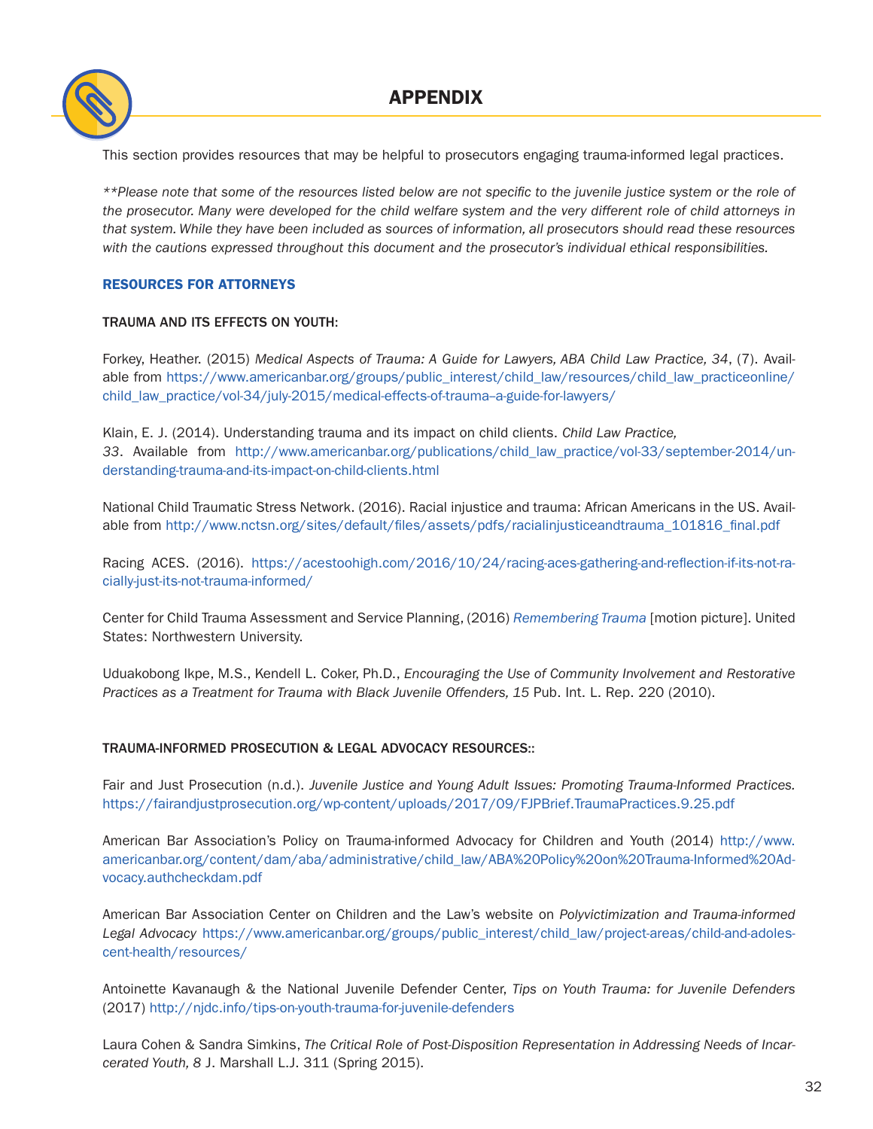## APPENDIX



This section provides resources that may be helpful to prosecutors engaging trauma-informed legal practices.

*\*\*Please note that some of the resources listed below are not specific to the juvenile justice system or the role of the prosecutor. Many were developed for the child welfare system and the very different role of child attorneys in that system. While they have been included as sources of information, all prosecutors should read these resources with the cautions expressed throughout this document and the prosecutor's individual ethical responsibilities.*

#### RESOURCES FOR ATTORNEYS

#### TRAUMA AND ITS EFFECTS ON YOUTH:

Forkey, Heather. (2015) *Medical Aspects of Trauma: A Guide for Lawyers, ABA Child Law Practice, 34*, (7). Available from [https://www.americanbar.org/groups/public\\_interest/child\\_law/resources/child\\_law\\_practiceonline/](https://www.americanbar.org/groups/public_interest/child_law/resources/child_law_practiceonline/child_law_practice/vol-34/july-2015/medical-effects-of-trauma--a-guide-for-lawyers/) [child\\_law\\_practice/vol-34/july-2015/medical-effects-of-trauma--a-guide-for-lawyers/](https://www.americanbar.org/groups/public_interest/child_law/resources/child_law_practiceonline/child_law_practice/vol-34/july-2015/medical-effects-of-trauma--a-guide-for-lawyers/)

Klain, E. J. (2014). Understanding trauma and its impact on child clients. *Child Law Practice, 33*. Available from [http://www.americanbar.org/publications/child\\_law\\_practice/vol-33/september-2014/un](http://www.americanbar.org/publications/child_law_practice/vol-33/september-2014/understanding-trauma-and-its-impact-on-child-clients.html)[derstanding-trauma-and-its-impact-on-child-clients.html](http://www.americanbar.org/publications/child_law_practice/vol-33/september-2014/understanding-trauma-and-its-impact-on-child-clients.html)

National Child Traumatic Stress Network. (2016). Racial injustice and trauma: African Americans in the US. Available from [http://www.nctsn.org/sites/default/files/assets/pdfs/racialinjusticeandtrauma\\_101816\\_final.pdf](http://www.nctsn.org/sites/default/files/assets/pdfs/racialinjusticeandtrauma_101816_final.pdf)

Racing ACES. (2016). [https://acestoohigh.com/2016/10/24/racing-aces-gathering-and-reflection-if-its-not-ra](https://acestoohigh.com/2016/10/24/racing-aces-gathering-and-reflection-if-its-not-racially-just-its-not-trauma-informed/)[cially-just-its-not-trauma-informed/](https://acestoohigh.com/2016/10/24/racing-aces-gathering-and-reflection-if-its-not-racially-just-its-not-trauma-informed/)

Center for Child Trauma Assessment and Service Planning, (2016) *[Remembering Trauma](https://www.youtube.com/watch?v=v13XamSYGBk)* [motion picture]. United States: Northwestern University.

Uduakobong Ikpe, M.S., Kendell L. Coker, Ph.D., *Encouraging the Use of Community Involvement and Restorative Practices as a Treatment for Trauma with Black Juvenile Offenders, 15* Pub. Int. L. Rep. 220 (2010).

#### TRAUMA-INFORMED PROSECUTION & LEGAL ADVOCACY RESOURCES::

Fair and Just Prosecution (n.d.). *Juvenile Justice and Young Adult Issues: Promoting Trauma-Informed Practices.* <https://fairandjustprosecution.org/wp-content/uploads/2017/09/FJPBrief.TraumaPractices.9.25.pdf>

American Bar Association's Policy on Trauma-informed Advocacy for Children and Youth (2014) [http://www.](http://www.americanbar.org/content/dam/aba/administrative/child_law/ABA%20Policy%20on%20Trauma-Informed%20Advocacy.authcheckdam.pdf) [americanbar.org/content/dam/aba/administrative/child\\_law/ABA%20Policy%20on%20Trauma-Informed%20Ad](http://www.americanbar.org/content/dam/aba/administrative/child_law/ABA%20Policy%20on%20Trauma-Informed%20Advocacy.authcheckdam.pdf)[vocacy.authcheckdam.pdf](http://www.americanbar.org/content/dam/aba/administrative/child_law/ABA%20Policy%20on%20Trauma-Informed%20Advocacy.authcheckdam.pdf)

American Bar Association Center on Children and the Law's website on *Polyvictimization and Trauma-informed Legal Advocacy* [https://www.americanbar.org/groups/public\\_interest/child\\_law/project-areas/child-and-adoles](https://www.americanbar.org/groups/public_interest/child_law/project-areas/child-and-adolescent-health/resources/)[cent-health/resources/](https://www.americanbar.org/groups/public_interest/child_law/project-areas/child-and-adolescent-health/resources/)

Antoinette Kavanaugh & the National Juvenile Defender Center, *Tips on Youth Trauma: for Juvenile Defenders* (2017) <http://njdc.info/tips-on-youth-trauma-for-juvenile-defenders>

Laura Cohen & Sandra Simkins, *The Critical Role of Post-Disposition Representation in Addressing Needs of Incarcerated Youth, 8* J. Marshall L.J. 311 (Spring 2015).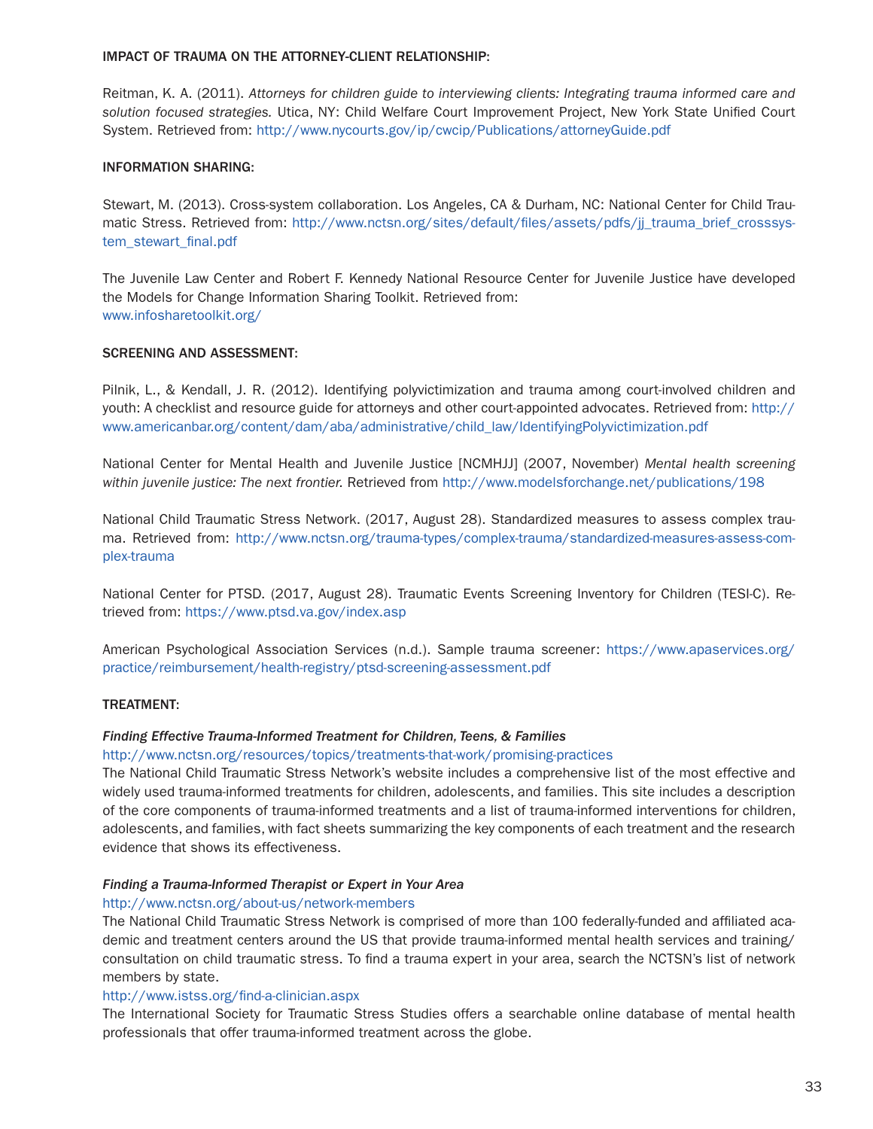#### IMPACT OF TRAUMA ON THE ATTORNEY-CLIENT RELATIONSHIP:

Reitman, K. A. (2011). *Attorneys for children guide to interviewing clients: Integrating trauma informed care and solution focused strategies.* Utica, NY: Child Welfare Court Improvement Project, New York State Unified Court System. Retrieved from:<http://www.nycourts.gov/ip/cwcip/Publications/attorneyGuide.pdf>

#### INFORMATION SHARING:

Stewart, M. (2013). Cross-system collaboration. Los Angeles, CA & Durham, NC: National Center for Child Traumatic Stress. Retrieved from: [http://www.nctsn.org/sites/default/files/assets/pdfs/jj\\_trauma\\_brief\\_crosssys](http://www.nctsn.org/sites/default/files/assets/pdfs/jj_trauma_brief_crosssystem_stewart_final.pdf)[tem\\_stewart\\_final.pdf](http://www.nctsn.org/sites/default/files/assets/pdfs/jj_trauma_brief_crosssystem_stewart_final.pdf)

The Juvenile Law Center and Robert F. Kennedy National Resource Center for Juvenile Justice have developed the Models for Change Information Sharing Toolkit. Retrieved from: <www.infosharetoolkit.org/>

#### SCREENING AND ASSESSMENT:

Pilnik, L., & Kendall, J. R. (2012). Identifying polyvictimization and trauma among court-involved children and youth: A checklist and resource guide for attorneys and other court-appointed advocates. Retrieved from: [http://](http://www.americanbar.org/content/dam/aba/administrative/child_law/IdentifyingPolyvictimization.pdf) [www.americanbar.org/content/dam/aba/administrative/child\\_law/IdentifyingPolyvictimization.pdf](http://www.americanbar.org/content/dam/aba/administrative/child_law/IdentifyingPolyvictimization.pdf)

National Center for Mental Health and Juvenile Justice [NCMHJJ] (2007, November) *Mental health screening within juvenile justice: The next frontier.* Retrieved from<http://www.modelsforchange.net/publications/198>

National Child Traumatic Stress Network. (2017, August 28). Standardized measures to assess complex trauma. Retrieved from: [http://www.nctsn.org/trauma-types/complex-trauma/standardized-measures-assess-com](http://www.nctsn.org/trauma-types/complex-trauma/standardized-measures-assess-complex-trauma)[plex-trauma](http://www.nctsn.org/trauma-types/complex-trauma/standardized-measures-assess-complex-trauma)

National Center for PTSD. (2017, August 28). Traumatic Events Screening Inventory for Children (TESI-C). Retrieved from:<https://www.ptsd.va.gov/index.asp>

American Psychological Association Services (n.d.). Sample trauma screener: [https://www.apaservices.org/](https://www.apaservices.org/practice/reimbursement/health-registry/ptsd-screening-assessment.pdf) [practice/reimbursement/health-registry/ptsd-screening-assessment.pdf](https://www.apaservices.org/practice/reimbursement/health-registry/ptsd-screening-assessment.pdf)

#### TREATMENT:

#### *Finding Effective Trauma-Informed Treatment for Children, Teens, & Families*

#### <http://www.nctsn.org/resources/topics/treatments-that-work/promising-practices>

The National Child Traumatic Stress Network's website includes a comprehensive list of the most effective and widely used trauma-informed treatments for children, adolescents, and families. This site includes a description of the core components of trauma-informed treatments and a list of trauma-informed interventions for children, adolescents, and families, with fact sheets summarizing the key components of each treatment and the research evidence that shows its effectiveness.

#### *Finding a Trauma-Informed Therapist or Expert in Your Area*

#### <http://www.nctsn.org/about-us/network-members>

The National Child Traumatic Stress Network is comprised of more than 100 federally-funded and affiliated academic and treatment centers around the US that provide trauma-informed mental health services and training/ consultation on child traumatic stress. To find a trauma expert in your area, search the NCTSN's list of network members by state.

#### <http://www.istss.org/find-a-clinician.aspx>

The International Society for Traumatic Stress Studies offers a searchable online database of mental health professionals that offer trauma-informed treatment across the globe.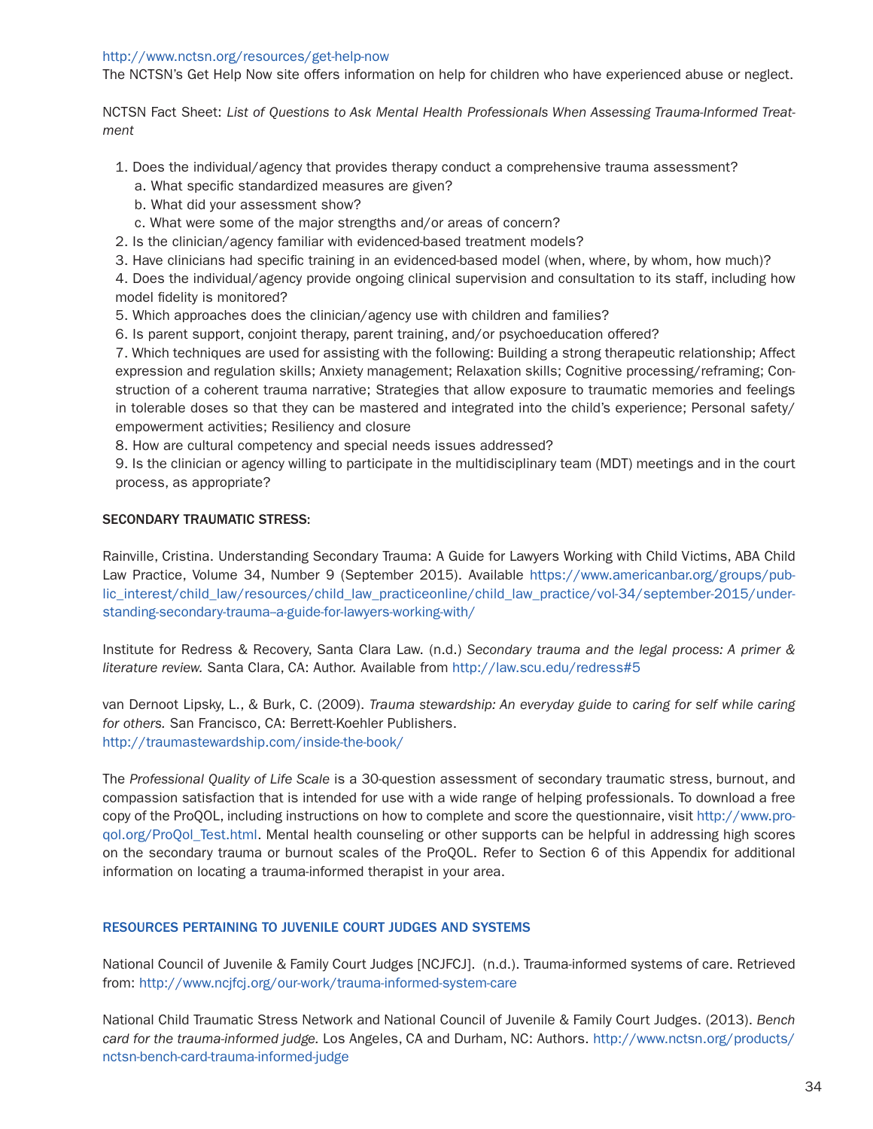#### <http://www.nctsn.org/resources/get-help-now>

The NCTSN's Get Help Now site offers information on help for children who have experienced abuse or neglect.

NCTSN Fact Sheet: *List of Questions to Ask Mental Health Professionals When Assessing Trauma-Informed Treatment*

- 1. Does the individual/agency that provides therapy conduct a comprehensive trauma assessment?
	- a. What specific standardized measures are given?
	- b. What did your assessment show?
	- c. What were some of the major strengths and/or areas of concern?
- 2. Is the clinician/agency familiar with evidenced-based treatment models?
- 3. Have clinicians had specific training in an evidenced-based model (when, where, by whom, how much)?

4. Does the individual/agency provide ongoing clinical supervision and consultation to its staff, including how model fidelity is monitored?

5. Which approaches does the clinician/agency use with children and families?

6. Is parent support, conjoint therapy, parent training, and/or psychoeducation offered?

7. Which techniques are used for assisting with the following: Building a strong therapeutic relationship; Affect expression and regulation skills; Anxiety management; Relaxation skills; Cognitive processing/reframing; Construction of a coherent trauma narrative; Strategies that allow exposure to traumatic memories and feelings in tolerable doses so that they can be mastered and integrated into the child's experience; Personal safety/ empowerment activities; Resiliency and closure

8. How are cultural competency and special needs issues addressed?

9. Is the clinician or agency willing to participate in the multidisciplinary team (MDT) meetings and in the court process, as appropriate?

#### SECONDARY TRAUMATIC STRESS:

Rainville, Cristina. Understanding Secondary Trauma: A Guide for Lawyers Working with Child Victims, ABA Child Law Practice, Volume 34, Number 9 (September 2015). Available [https://www.americanbar.org/groups/pub](https://www.americanbar.org/groups/public_interest/child_law/resources/child_law_practiceonline/child_law_practice/vol-34/september-2015/understanding-secondary-trauma--a-guide-for-lawyers-working-with/)[lic\\_interest/child\\_law/resources/child\\_law\\_practiceonline/child\\_law\\_practice/vol-34/september-2015/under](https://www.americanbar.org/groups/public_interest/child_law/resources/child_law_practiceonline/child_law_practice/vol-34/september-2015/understanding-secondary-trauma--a-guide-for-lawyers-working-with/)standing-secondary-trauma-a-guide-for-lawyers-working-with/

Institute for Redress & Recovery, Santa Clara Law. (n.d.) *Secondary trauma and the legal process: A primer & literature review.* Santa Clara, CA: Author. Available from<http://law.scu.edu/redress#5>

van Dernoot Lipsky, L., & Burk, C. (2009). *Trauma stewardship: An everyday guide to caring for self while caring for others.* San Francisco, CA: Berrett-Koehler Publishers. <http://traumastewardship.com/inside-the-book/>

The *Professional Quality of Life Scale* is a 30-question assessment of secondary traumatic stress, burnout, and compassion satisfaction that is intended for use with a wide range of helping professionals. To download a free copy of the ProQOL, including instructions on how to complete and score the questionnaire, visit [http://www.pro](http://www.proqol.org/ProQol_Test.html)[qol.org/ProQol\\_Test.html.](http://www.proqol.org/ProQol_Test.html) Mental health counseling or other supports can be helpful in addressing high scores on the secondary trauma or burnout scales of the ProQOL. Refer to Section 6 of this Appendix for additional information on locating a trauma-informed therapist in your area.

#### RESOURCES PERTAINING TO JUVENILE COURT JUDGES AND SYSTEMS

National Council of Juvenile & Family Court Judges [NCJFCJ]. (n.d.). Trauma-informed systems of care. Retrieved from: <http://www.ncjfcj.org/our-work/trauma-informed-system-care>

National Child Traumatic Stress Network and National Council of Juvenile & Family Court Judges. (2013). *Bench card for the trauma-informed judge.* Los Angeles, CA and Durham, NC: Authors. [http://www.nctsn.org/products/](http://www.nctsn.org/products/nctsn-bench-card-trauma-informed-judge) [nctsn-bench-card-trauma-informed-judge](http://www.nctsn.org/products/nctsn-bench-card-trauma-informed-judge)